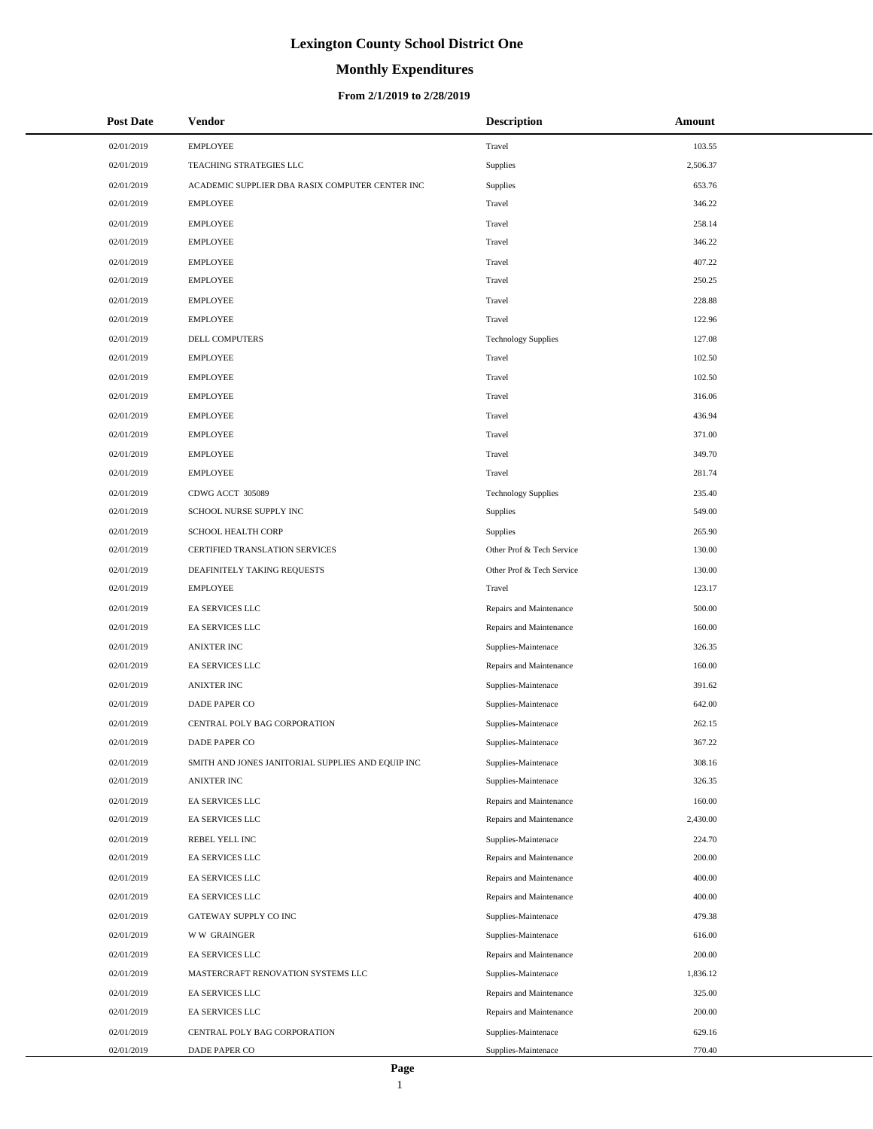# **Monthly Expenditures**

#### **From 2/1/2019 to 2/28/2019**

| <b>Post Date</b> | <b>Vendor</b>                                     | <b>Description</b>         | Amount   |
|------------------|---------------------------------------------------|----------------------------|----------|
| 02/01/2019       | <b>EMPLOYEE</b>                                   | Travel                     | 103.55   |
| 02/01/2019       | TEACHING STRATEGIES LLC                           | Supplies                   | 2,506.37 |
| 02/01/2019       | ACADEMIC SUPPLIER DBA RASIX COMPUTER CENTER INC   | Supplies                   | 653.76   |
| 02/01/2019       | <b>EMPLOYEE</b>                                   | Travel                     | 346.22   |
| 02/01/2019       | <b>EMPLOYEE</b>                                   | Travel                     | 258.14   |
| 02/01/2019       | <b>EMPLOYEE</b>                                   | Travel                     | 346.22   |
| 02/01/2019       | <b>EMPLOYEE</b>                                   | Travel                     | 407.22   |
| 02/01/2019       | <b>EMPLOYEE</b>                                   | Travel                     | 250.25   |
| 02/01/2019       | <b>EMPLOYEE</b>                                   | Travel                     | 228.88   |
| 02/01/2019       | <b>EMPLOYEE</b>                                   | Travel                     | 122.96   |
| 02/01/2019       | DELL COMPUTERS                                    | <b>Technology Supplies</b> | 127.08   |
| 02/01/2019       | <b>EMPLOYEE</b>                                   | Travel                     | 102.50   |
| 02/01/2019       | <b>EMPLOYEE</b>                                   | Travel                     | 102.50   |
| 02/01/2019       | <b>EMPLOYEE</b>                                   | Travel                     | 316.06   |
| 02/01/2019       | <b>EMPLOYEE</b>                                   | Travel                     | 436.94   |
| 02/01/2019       | <b>EMPLOYEE</b>                                   | Travel                     | 371.00   |
| 02/01/2019       | <b>EMPLOYEE</b>                                   | Travel                     | 349.70   |
| 02/01/2019       | <b>EMPLOYEE</b>                                   | Travel                     | 281.74   |
| 02/01/2019       | CDWG ACCT 305089                                  | <b>Technology Supplies</b> | 235.40   |
| 02/01/2019       | SCHOOL NURSE SUPPLY INC                           | Supplies                   | 549.00   |
| 02/01/2019       | SCHOOL HEALTH CORP                                | Supplies                   | 265.90   |
| 02/01/2019       | CERTIFIED TRANSLATION SERVICES                    | Other Prof & Tech Service  | 130.00   |
| 02/01/2019       | DEAFINITELY TAKING REQUESTS                       | Other Prof & Tech Service  | 130.00   |
| 02/01/2019       | <b>EMPLOYEE</b>                                   | Travel                     | 123.17   |
| 02/01/2019       | EA SERVICES LLC                                   | Repairs and Maintenance    | 500.00   |
| 02/01/2019       | EA SERVICES LLC                                   | Repairs and Maintenance    | 160.00   |
| 02/01/2019       | <b>ANIXTER INC</b>                                | Supplies-Maintenace        | 326.35   |
| 02/01/2019       | EA SERVICES LLC                                   | Repairs and Maintenance    | 160.00   |
| 02/01/2019       | <b>ANIXTER INC</b>                                | Supplies-Maintenace        | 391.62   |
| 02/01/2019       | DADE PAPER CO                                     | Supplies-Maintenace        | 642.00   |
| 02/01/2019       | CENTRAL POLY BAG CORPORATION                      | Supplies-Maintenace        | 262.15   |
| 02/01/2019       | DADE PAPER CO                                     | Supplies-Maintenace        | 367.22   |
| 02/01/2019       | SMITH AND JONES JANITORIAL SUPPLIES AND EQUIP INC | Supplies-Maintenace        | 308.16   |
| 02/01/2019       | ANIXTER INC                                       | Supplies-Maintenace        | 326.35   |
| 02/01/2019       | EA SERVICES LLC                                   | Repairs and Maintenance    | 160.00   |
| 02/01/2019       | EA SERVICES LLC                                   | Repairs and Maintenance    | 2,430.00 |
| 02/01/2019       | REBEL YELL INC                                    | Supplies-Maintenace        | 224.70   |
| 02/01/2019       | EA SERVICES LLC                                   | Repairs and Maintenance    | 200.00   |
| 02/01/2019       | EA SERVICES LLC                                   | Repairs and Maintenance    | 400.00   |
| 02/01/2019       | EA SERVICES LLC                                   | Repairs and Maintenance    | 400.00   |
| 02/01/2019       | GATEWAY SUPPLY CO INC                             | Supplies-Maintenace        | 479.38   |
| 02/01/2019       | <b>WW GRAINGER</b>                                | Supplies-Maintenace        | 616.00   |
| 02/01/2019       | EA SERVICES LLC                                   | Repairs and Maintenance    | 200.00   |
| 02/01/2019       | MASTERCRAFT RENOVATION SYSTEMS LLC                | Supplies-Maintenace        | 1,836.12 |
| 02/01/2019       | EA SERVICES LLC                                   | Repairs and Maintenance    | 325.00   |
| 02/01/2019       | EA SERVICES LLC                                   | Repairs and Maintenance    | 200.00   |
| 02/01/2019       | CENTRAL POLY BAG CORPORATION                      | Supplies-Maintenace        | 629.16   |
| 02/01/2019       | DADE PAPER CO                                     | Supplies-Maintenace        | 770.40   |

L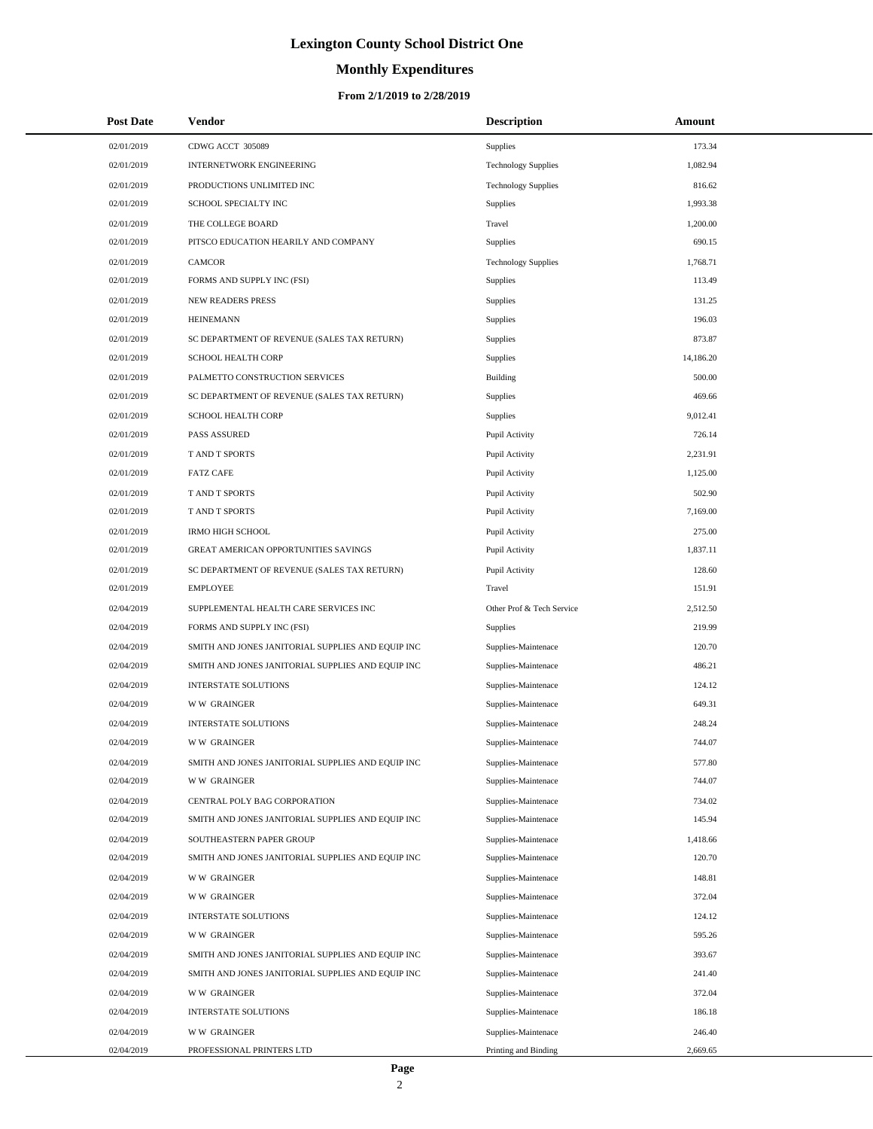# **Monthly Expenditures**

| <b>Post Date</b> | Vendor                                            | <b>Description</b>         | Amount    |
|------------------|---------------------------------------------------|----------------------------|-----------|
| 02/01/2019       | CDWG ACCT 305089                                  | Supplies                   | 173.34    |
| 02/01/2019       | INTERNETWORK ENGINEERING                          | <b>Technology Supplies</b> | 1,082.94  |
| 02/01/2019       | PRODUCTIONS UNLIMITED INC                         | <b>Technology Supplies</b> | 816.62    |
| 02/01/2019       | SCHOOL SPECIALTY INC                              | <b>Supplies</b>            | 1,993.38  |
| 02/01/2019       | THE COLLEGE BOARD                                 | Travel                     | 1,200.00  |
| 02/01/2019       | PITSCO EDUCATION HEARILY AND COMPANY              | Supplies                   | 690.15    |
| 02/01/2019       | <b>CAMCOR</b>                                     | <b>Technology Supplies</b> | 1,768.71  |
| 02/01/2019       | FORMS AND SUPPLY INC (FSI)                        | Supplies                   | 113.49    |
| 02/01/2019       | <b>NEW READERS PRESS</b>                          | Supplies                   | 131.25    |
| 02/01/2019       | <b>HEINEMANN</b>                                  | Supplies                   | 196.03    |
| 02/01/2019       | SC DEPARTMENT OF REVENUE (SALES TAX RETURN)       | Supplies                   | 873.87    |
| 02/01/2019       | SCHOOL HEALTH CORP                                | Supplies                   | 14,186.20 |
| 02/01/2019       | PALMETTO CONSTRUCTION SERVICES                    | <b>Building</b>            | 500.00    |
| 02/01/2019       | SC DEPARTMENT OF REVENUE (SALES TAX RETURN)       | Supplies                   | 469.66    |
| 02/01/2019       | <b>SCHOOL HEALTH CORP</b>                         | Supplies                   | 9,012.41  |
| 02/01/2019       | <b>PASS ASSURED</b>                               | Pupil Activity             | 726.14    |
| 02/01/2019       | T AND T SPORTS                                    | Pupil Activity             | 2,231.91  |
| 02/01/2019       | <b>FATZ CAFE</b>                                  | Pupil Activity             | 1,125.00  |
| 02/01/2019       | T AND T SPORTS                                    | Pupil Activity             | 502.90    |
| 02/01/2019       | T AND T SPORTS                                    | Pupil Activity             | 7,169.00  |
| 02/01/2019       | <b>IRMO HIGH SCHOOL</b>                           | Pupil Activity             | 275.00    |
| 02/01/2019       | GREAT AMERICAN OPPORTUNITIES SAVINGS              | Pupil Activity             | 1,837.11  |
| 02/01/2019       | SC DEPARTMENT OF REVENUE (SALES TAX RETURN)       | Pupil Activity             | 128.60    |
| 02/01/2019       | <b>EMPLOYEE</b>                                   | Travel                     | 151.91    |
| 02/04/2019       | SUPPLEMENTAL HEALTH CARE SERVICES INC             | Other Prof & Tech Service  | 2,512.50  |
| 02/04/2019       | FORMS AND SUPPLY INC (FSI)                        | <b>Supplies</b>            | 219.99    |
| 02/04/2019       | SMITH AND JONES JANITORIAL SUPPLIES AND EQUIP INC | Supplies-Maintenace        | 120.70    |
| 02/04/2019       | SMITH AND JONES JANITORIAL SUPPLIES AND EQUIP INC | Supplies-Maintenace        | 486.21    |
| 02/04/2019       | <b>INTERSTATE SOLUTIONS</b>                       | Supplies-Maintenace        | 124.12    |
| 02/04/2019       | <b>WW GRAINGER</b>                                | Supplies-Maintenace        | 649.31    |
| 02/04/2019       | <b>INTERSTATE SOLUTIONS</b>                       | Supplies-Maintenace        | 248.24    |
| 02/04/2019       | <b>WW GRAINGER</b>                                | Supplies-Maintenace        | 744.07    |
| 02/04/2019       | SMITH AND JONES JANITORIAL SUPPLIES AND EQUIP INC | Supplies-Maintenace        | 577.80    |
| 02/04/2019       | <b>WW GRAINGER</b>                                | Supplies-Maintenace        | 744.07    |
| 02/04/2019       | CENTRAL POLY BAG CORPORATION                      | Supplies-Maintenace        | 734.02    |
| 02/04/2019       | SMITH AND JONES JANITORIAL SUPPLIES AND EQUIP INC | Supplies-Maintenace        | 145.94    |
| 02/04/2019       | SOUTHEASTERN PAPER GROUP                          | Supplies-Maintenace        | 1,418.66  |
| 02/04/2019       | SMITH AND JONES JANITORIAL SUPPLIES AND EQUIP INC | Supplies-Maintenace        | 120.70    |
| 02/04/2019       | <b>WW GRAINGER</b>                                | Supplies-Maintenace        | 148.81    |
| 02/04/2019       | <b>WW GRAINGER</b>                                | Supplies-Maintenace        | 372.04    |
| 02/04/2019       | <b>INTERSTATE SOLUTIONS</b>                       | Supplies-Maintenace        | 124.12    |
| 02/04/2019       | <b>WW GRAINGER</b>                                | Supplies-Maintenace        | 595.26    |
| 02/04/2019       | SMITH AND JONES JANITORIAL SUPPLIES AND EQUIP INC | Supplies-Maintenace        | 393.67    |
| 02/04/2019       | SMITH AND JONES JANITORIAL SUPPLIES AND EQUIP INC | Supplies-Maintenace        | 241.40    |
| 02/04/2019       | <b>WW GRAINGER</b>                                | Supplies-Maintenace        | 372.04    |
| 02/04/2019       | <b>INTERSTATE SOLUTIONS</b>                       | Supplies-Maintenace        | 186.18    |
| 02/04/2019       | <b>WW GRAINGER</b>                                | Supplies-Maintenace        | 246.40    |
| 02/04/2019       | PROFESSIONAL PRINTERS LTD                         | Printing and Binding       | 2,669.65  |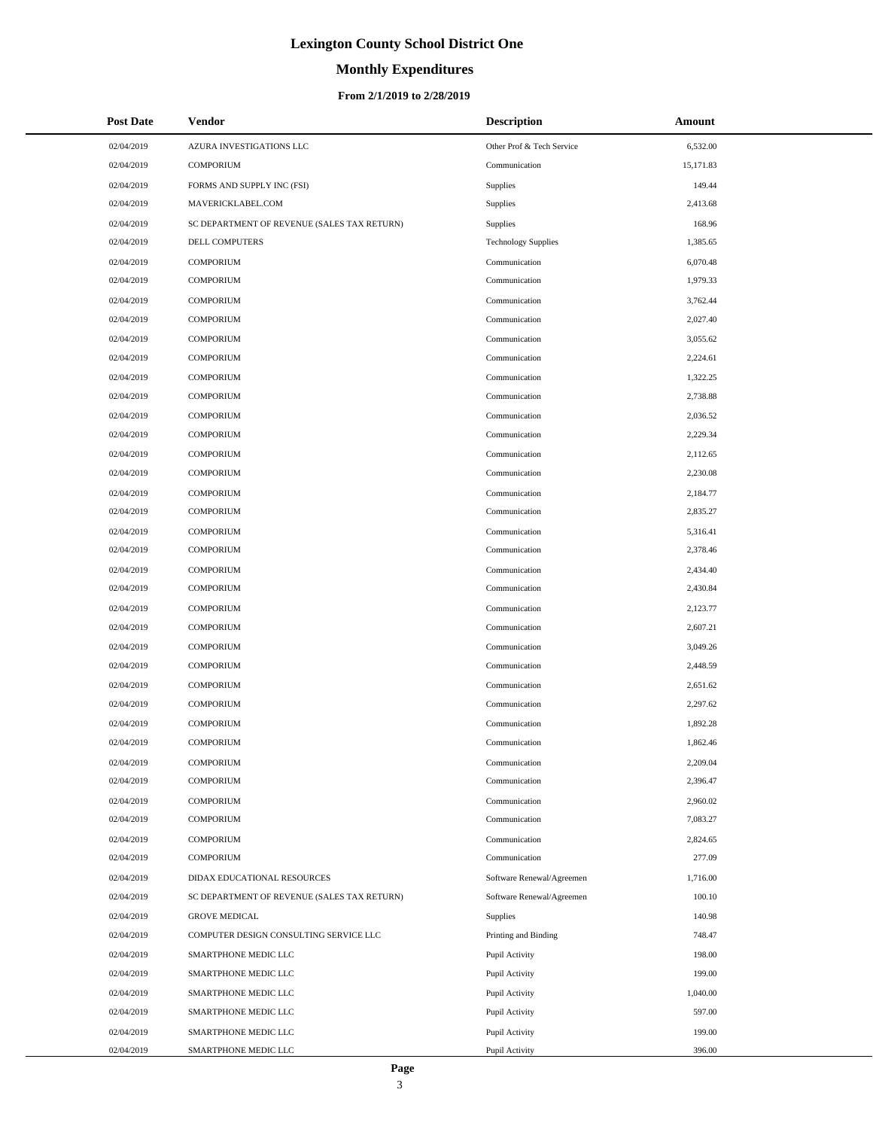# **Monthly Expenditures**

#### **From 2/1/2019 to 2/28/2019**

| <b>Post Date</b> | <b>Vendor</b>                               | <b>Description</b>         | Amount    |
|------------------|---------------------------------------------|----------------------------|-----------|
| 02/04/2019       | AZURA INVESTIGATIONS LLC                    | Other Prof & Tech Service  | 6,532.00  |
| 02/04/2019       | <b>COMPORIUM</b>                            | Communication              | 15,171.83 |
| 02/04/2019       | FORMS AND SUPPLY INC (FSI)                  | Supplies                   | 149.44    |
| 02/04/2019       | MAVERICKLABEL.COM                           | Supplies                   | 2,413.68  |
| 02/04/2019       | SC DEPARTMENT OF REVENUE (SALES TAX RETURN) | Supplies                   | 168.96    |
| 02/04/2019       | DELL COMPUTERS                              | <b>Technology Supplies</b> | 1,385.65  |
| 02/04/2019       | <b>COMPORIUM</b>                            | Communication              | 6,070.48  |
| 02/04/2019       | <b>COMPORIUM</b>                            | Communication              | 1.979.33  |
| 02/04/2019       | <b>COMPORIUM</b>                            | Communication              | 3,762.44  |
| 02/04/2019       | <b>COMPORIUM</b>                            | Communication              | 2,027.40  |
| 02/04/2019       | <b>COMPORIUM</b>                            | Communication              | 3,055.62  |
| 02/04/2019       | COMPORIUM                                   | Communication              | 2,224.61  |
| 02/04/2019       | <b>COMPORIUM</b>                            | Communication              | 1,322.25  |
| 02/04/2019       | <b>COMPORIUM</b>                            | Communication              | 2,738.88  |
| 02/04/2019       | <b>COMPORIUM</b>                            | Communication              | 2,036.52  |
| 02/04/2019       | <b>COMPORIUM</b>                            | Communication              | 2,229.34  |
| 02/04/2019       | <b>COMPORIUM</b>                            | Communication              | 2,112.65  |
| 02/04/2019       | <b>COMPORIUM</b>                            | Communication              | 2,230.08  |
| 02/04/2019       | <b>COMPORIUM</b>                            | Communication              | 2,184.77  |
| 02/04/2019       | <b>COMPORIUM</b>                            | Communication              | 2,835.27  |
| 02/04/2019       | <b>COMPORIUM</b>                            | Communication              | 5,316.41  |
| 02/04/2019       | <b>COMPORIUM</b>                            | Communication              | 2,378.46  |
| 02/04/2019       | <b>COMPORIUM</b>                            | Communication              | 2,434.40  |
| 02/04/2019       | <b>COMPORIUM</b>                            | Communication              | 2,430.84  |
| 02/04/2019       | <b>COMPORIUM</b>                            | Communication              | 2,123.77  |
| 02/04/2019       | <b>COMPORIUM</b>                            | Communication              | 2,607.21  |
| 02/04/2019       | <b>COMPORIUM</b>                            | Communication              | 3,049.26  |
| 02/04/2019       | <b>COMPORIUM</b>                            | Communication              | 2,448.59  |
| 02/04/2019       | <b>COMPORIUM</b>                            | Communication              | 2,651.62  |
| 02/04/2019       | <b>COMPORIUM</b>                            | Communication              | 2,297.62  |
| 02/04/2019       | <b>COMPORIUM</b>                            | Communication              | 1,892.28  |
| 02/04/2019       | <b>COMPORIUM</b>                            | Communication              | 1.862.46  |
| 02/04/2019       | COMPORIUM                                   | Communication              | 2,209.04  |
| 02/04/2019       | <b>COMPORIUM</b>                            | Communication              | 2,396.47  |
| 02/04/2019       | <b>COMPORIUM</b>                            | Communication              | 2,960.02  |
| 02/04/2019       | <b>COMPORIUM</b>                            | Communication              | 7,083.27  |
| 02/04/2019       | <b>COMPORIUM</b>                            | Communication              | 2,824.65  |
| 02/04/2019       | <b>COMPORIUM</b>                            | Communication              | 277.09    |
| 02/04/2019       | DIDAX EDUCATIONAL RESOURCES                 | Software Renewal/Agreemen  | 1,716.00  |
| 02/04/2019       | SC DEPARTMENT OF REVENUE (SALES TAX RETURN) | Software Renewal/Agreemen  | 100.10    |
| 02/04/2019       | <b>GROVE MEDICAL</b>                        | Supplies                   | 140.98    |
| 02/04/2019       | COMPUTER DESIGN CONSULTING SERVICE LLC      | Printing and Binding       | 748.47    |
| 02/04/2019       | SMARTPHONE MEDIC LLC                        | Pupil Activity             | 198.00    |
| 02/04/2019       | SMARTPHONE MEDIC LLC                        | Pupil Activity             | 199.00    |
| 02/04/2019       | SMARTPHONE MEDIC LLC                        | Pupil Activity             | 1,040.00  |
| 02/04/2019       | SMARTPHONE MEDIC LLC                        | Pupil Activity             | 597.00    |
| 02/04/2019       | SMARTPHONE MEDIC LLC                        | Pupil Activity             | 199.00    |
| 02/04/2019       | SMARTPHONE MEDIC LLC                        | Pupil Activity             | 396.00    |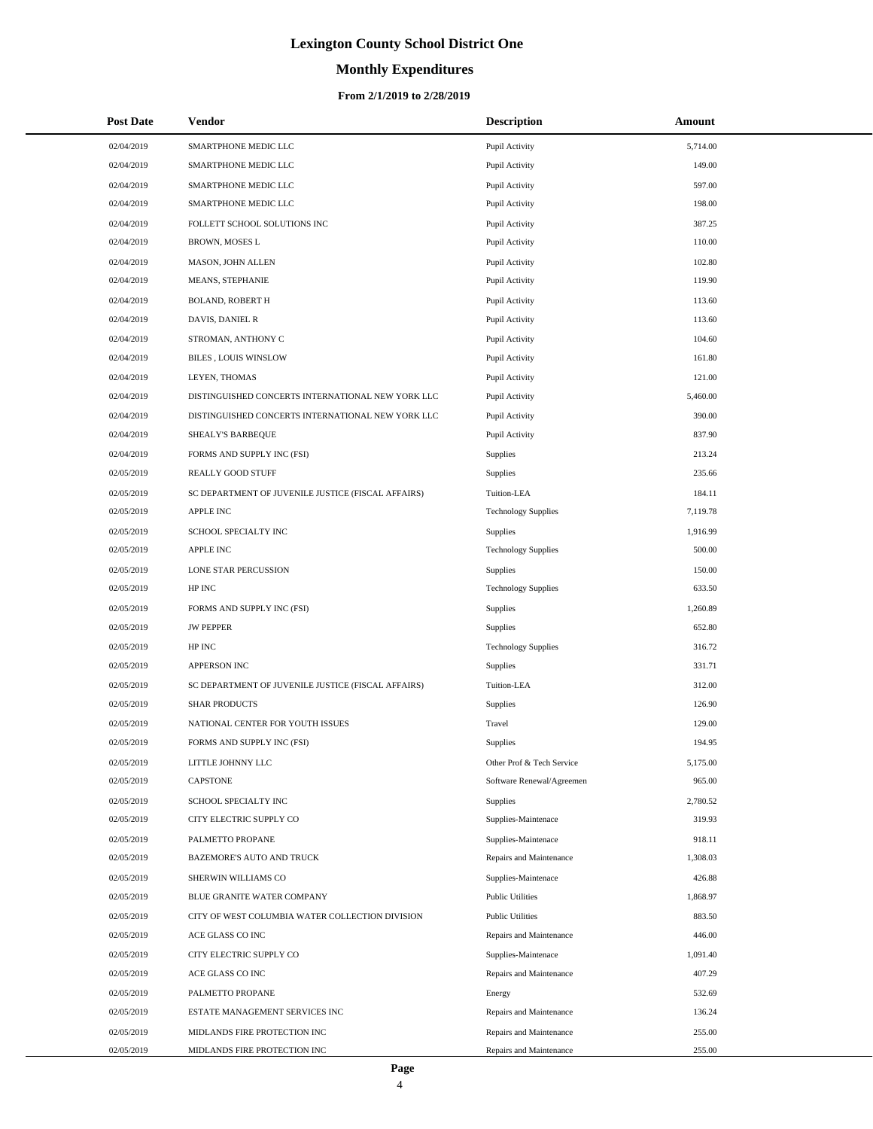# **Monthly Expenditures**

#### **From 2/1/2019 to 2/28/2019**

| <b>Post Date</b> | <b>Vendor</b>                                      | <b>Description</b>         | Amount   |
|------------------|----------------------------------------------------|----------------------------|----------|
| 02/04/2019       | SMARTPHONE MEDIC LLC                               | Pupil Activity             | 5,714.00 |
| 02/04/2019       | SMARTPHONE MEDIC LLC                               | Pupil Activity             | 149.00   |
| 02/04/2019       | SMARTPHONE MEDIC LLC                               | Pupil Activity             | 597.00   |
| 02/04/2019       | SMARTPHONE MEDIC LLC                               | Pupil Activity             | 198.00   |
| 02/04/2019       | FOLLETT SCHOOL SOLUTIONS INC                       | Pupil Activity             | 387.25   |
| 02/04/2019       | BROWN, MOSES L                                     | Pupil Activity             | 110.00   |
| 02/04/2019       | MASON, JOHN ALLEN                                  | Pupil Activity             | 102.80   |
| 02/04/2019       | <b>MEANS, STEPHANIE</b>                            | Pupil Activity             | 119.90   |
| 02/04/2019       | <b>BOLAND, ROBERT H</b>                            | Pupil Activity             | 113.60   |
| 02/04/2019       | DAVIS, DANIEL R                                    | Pupil Activity             | 113.60   |
| 02/04/2019       | STROMAN, ANTHONY C                                 | Pupil Activity             | 104.60   |
| 02/04/2019       | <b>BILES, LOUIS WINSLOW</b>                        | Pupil Activity             | 161.80   |
| 02/04/2019       | LEYEN, THOMAS                                      | Pupil Activity             | 121.00   |
| 02/04/2019       | DISTINGUISHED CONCERTS INTERNATIONAL NEW YORK LLC  | Pupil Activity             | 5,460.00 |
| 02/04/2019       | DISTINGUISHED CONCERTS INTERNATIONAL NEW YORK LLC  | Pupil Activity             | 390.00   |
| 02/04/2019       | SHEALY'S BARBEQUE                                  | Pupil Activity             | 837.90   |
| 02/04/2019       | FORMS AND SUPPLY INC (FSI)                         | Supplies                   | 213.24   |
| 02/05/2019       | <b>REALLY GOOD STUFF</b>                           | Supplies                   | 235.66   |
| 02/05/2019       | SC DEPARTMENT OF JUVENILE JUSTICE (FISCAL AFFAIRS) | Tuition-LEA                | 184.11   |
| 02/05/2019       | APPLE INC                                          | <b>Technology Supplies</b> | 7,119.78 |
| 02/05/2019       | SCHOOL SPECIALTY INC                               | Supplies                   | 1,916.99 |
| 02/05/2019       | <b>APPLE INC</b>                                   | <b>Technology Supplies</b> | 500.00   |
| 02/05/2019       | LONE STAR PERCUSSION                               | Supplies                   | 150.00   |
| 02/05/2019       | HP INC                                             | <b>Technology Supplies</b> | 633.50   |
| 02/05/2019       | FORMS AND SUPPLY INC (FSI)                         | Supplies                   | 1,260.89 |
| 02/05/2019       | <b>JW PEPPER</b>                                   | <b>Supplies</b>            | 652.80   |
| 02/05/2019       | HP INC                                             | <b>Technology Supplies</b> | 316.72   |
| 02/05/2019       | APPERSON INC                                       | Supplies                   | 331.71   |
| 02/05/2019       | SC DEPARTMENT OF JUVENILE JUSTICE (FISCAL AFFAIRS) | Tuition-LEA                | 312.00   |
| 02/05/2019       | <b>SHAR PRODUCTS</b>                               | Supplies                   | 126.90   |
| 02/05/2019       | NATIONAL CENTER FOR YOUTH ISSUES                   | Travel                     | 129.00   |
| 02/05/2019       | FORMS AND SUPPLY INC (FSI)                         | Supplies                   | 194.95   |
| 02/05/2019       | LITTLE JOHNNY LLC                                  | Other Prof & Tech Service  | 5,175.00 |
| 02/05/2019       | <b>CAPSTONE</b>                                    | Software Renewal/Agreemen  | 965.00   |
| 02/05/2019       | SCHOOL SPECIALTY INC                               | Supplies                   | 2,780.52 |
| 02/05/2019       | CITY ELECTRIC SUPPLY CO                            | Supplies-Maintenace        | 319.93   |
| 02/05/2019       | PALMETTO PROPANE                                   | Supplies-Maintenace        | 918.11   |
| 02/05/2019       | BAZEMORE'S AUTO AND TRUCK                          | Repairs and Maintenance    | 1,308.03 |
| 02/05/2019       | SHERWIN WILLIAMS CO                                | Supplies-Maintenace        | 426.88   |
| 02/05/2019       | BLUE GRANITE WATER COMPANY                         | <b>Public Utilities</b>    | 1,868.97 |
| 02/05/2019       | CITY OF WEST COLUMBIA WATER COLLECTION DIVISION    | <b>Public Utilities</b>    | 883.50   |
| 02/05/2019       | ACE GLASS CO INC                                   | Repairs and Maintenance    | 446.00   |
| 02/05/2019       | CITY ELECTRIC SUPPLY CO                            | Supplies-Maintenace        | 1,091.40 |
| 02/05/2019       | ACE GLASS CO INC                                   | Repairs and Maintenance    | 407.29   |
| 02/05/2019       | PALMETTO PROPANE                                   | Energy                     | 532.69   |
| 02/05/2019       | ESTATE MANAGEMENT SERVICES INC                     | Repairs and Maintenance    | 136.24   |
| 02/05/2019       | MIDLANDS FIRE PROTECTION INC                       | Repairs and Maintenance    | 255.00   |
| 02/05/2019       | MIDLANDS FIRE PROTECTION INC                       | Repairs and Maintenance    | 255.00   |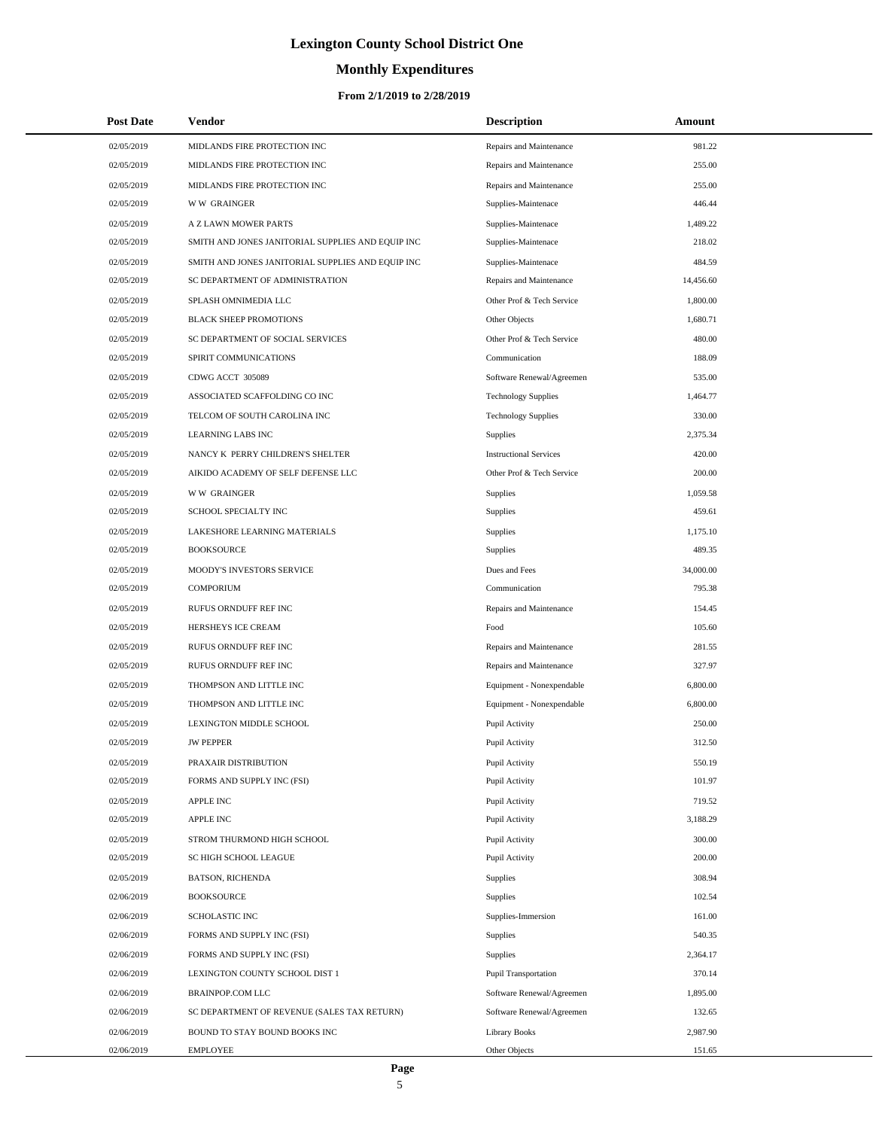# **Monthly Expenditures**

#### **From 2/1/2019 to 2/28/2019**

| <b>Post Date</b> | Vendor                                            | <b>Description</b>            | Amount    |  |
|------------------|---------------------------------------------------|-------------------------------|-----------|--|
| 02/05/2019       | MIDLANDS FIRE PROTECTION INC                      | Repairs and Maintenance       | 981.22    |  |
| 02/05/2019       | MIDLANDS FIRE PROTECTION INC                      | Repairs and Maintenance       | 255.00    |  |
| 02/05/2019       | MIDLANDS FIRE PROTECTION INC                      | Repairs and Maintenance       | 255.00    |  |
| 02/05/2019       | <b>WW GRAINGER</b>                                | Supplies-Maintenace           | 446.44    |  |
| 02/05/2019       | A Z LAWN MOWER PARTS                              | Supplies-Maintenace           | 1,489.22  |  |
| 02/05/2019       | SMITH AND JONES JANITORIAL SUPPLIES AND EQUIP INC | Supplies-Maintenace           | 218.02    |  |
| 02/05/2019       | SMITH AND JONES JANITORIAL SUPPLIES AND EQUIP INC | Supplies-Maintenace           | 484.59    |  |
| 02/05/2019       | SC DEPARTMENT OF ADMINISTRATION                   | Repairs and Maintenance       | 14,456.60 |  |
| 02/05/2019       | SPLASH OMNIMEDIA LLC                              | Other Prof & Tech Service     | 1,800.00  |  |
| 02/05/2019       | <b>BLACK SHEEP PROMOTIONS</b>                     | Other Objects                 | 1,680.71  |  |
| 02/05/2019       | SC DEPARTMENT OF SOCIAL SERVICES                  | Other Prof & Tech Service     | 480.00    |  |
| 02/05/2019       | SPIRIT COMMUNICATIONS                             | Communication                 | 188.09    |  |
| 02/05/2019       | CDWG ACCT 305089                                  | Software Renewal/Agreemen     | 535.00    |  |
| 02/05/2019       | ASSOCIATED SCAFFOLDING CO INC                     | <b>Technology Supplies</b>    | 1,464.77  |  |
| 02/05/2019       | TELCOM OF SOUTH CAROLINA INC                      | <b>Technology Supplies</b>    | 330.00    |  |
| 02/05/2019       | LEARNING LABS INC                                 | Supplies                      | 2,375.34  |  |
| 02/05/2019       | NANCY K PERRY CHILDREN'S SHELTER                  | <b>Instructional Services</b> | 420.00    |  |
| 02/05/2019       | AIKIDO ACADEMY OF SELF DEFENSE LLC                | Other Prof & Tech Service     | 200.00    |  |
| 02/05/2019       | <b>WW GRAINGER</b>                                | Supplies                      | 1,059.58  |  |
| 02/05/2019       | SCHOOL SPECIALTY INC                              | Supplies                      | 459.61    |  |
| 02/05/2019       | LAKESHORE LEARNING MATERIALS                      | Supplies                      | 1,175.10  |  |
| 02/05/2019       | <b>BOOKSOURCE</b>                                 | Supplies                      | 489.35    |  |
| 02/05/2019       | MOODY'S INVESTORS SERVICE                         | Dues and Fees                 | 34,000.00 |  |
| 02/05/2019       | <b>COMPORIUM</b>                                  | Communication                 | 795.38    |  |
| 02/05/2019       | RUFUS ORNDUFF REF INC                             | Repairs and Maintenance       | 154.45    |  |
| 02/05/2019       | HERSHEYS ICE CREAM                                | Food                          | 105.60    |  |
| 02/05/2019       | RUFUS ORNDUFF REF INC                             | Repairs and Maintenance       | 281.55    |  |
| 02/05/2019       | RUFUS ORNDUFF REF INC                             | Repairs and Maintenance       | 327.97    |  |
| 02/05/2019       | THOMPSON AND LITTLE INC                           | Equipment - Nonexpendable     | 6,800.00  |  |
| 02/05/2019       | THOMPSON AND LITTLE INC                           | Equipment - Nonexpendable     | 6,800.00  |  |
| 02/05/2019       | LEXINGTON MIDDLE SCHOOL                           | Pupil Activity                | 250.00    |  |
| 02/05/2019       | <b>JW PEPPER</b>                                  | Pupil Activity                | 312.50    |  |
| 02/05/2019       | PRAXAIR DISTRIBUTION                              | Pupil Activity                | 550.19    |  |
| 02/05/2019       | FORMS AND SUPPLY INC (FSI)                        | Pupil Activity                | 101.97    |  |
| 02/05/2019       | <b>APPLE INC</b>                                  | Pupil Activity                | 719.52    |  |
| 02/05/2019       | <b>APPLE INC</b>                                  | Pupil Activity                | 3,188.29  |  |
| 02/05/2019       | STROM THURMOND HIGH SCHOOL                        | Pupil Activity                | 300.00    |  |
| 02/05/2019       | SC HIGH SCHOOL LEAGUE                             | Pupil Activity                | 200.00    |  |
| 02/05/2019       | <b>BATSON, RICHENDA</b>                           | Supplies                      | 308.94    |  |
| 02/06/2019       | <b>BOOKSOURCE</b>                                 | Supplies                      | 102.54    |  |
| 02/06/2019       | <b>SCHOLASTIC INC</b>                             | Supplies-Immersion            | 161.00    |  |
| 02/06/2019       | FORMS AND SUPPLY INC (FSI)                        | Supplies                      | 540.35    |  |
| 02/06/2019       | FORMS AND SUPPLY INC (FSI)                        | Supplies                      | 2,364.17  |  |
| 02/06/2019       | LEXINGTON COUNTY SCHOOL DIST 1                    | <b>Pupil Transportation</b>   | 370.14    |  |
| 02/06/2019       | <b>BRAINPOP.COM LLC</b>                           | Software Renewal/Agreemen     | 1,895.00  |  |
| 02/06/2019       | SC DEPARTMENT OF REVENUE (SALES TAX RETURN)       | Software Renewal/Agreemen     | 132.65    |  |
| 02/06/2019       | BOUND TO STAY BOUND BOOKS INC                     | <b>Library Books</b>          | 2,987.90  |  |
| 02/06/2019       | <b>EMPLOYEE</b>                                   | Other Objects                 | 151.65    |  |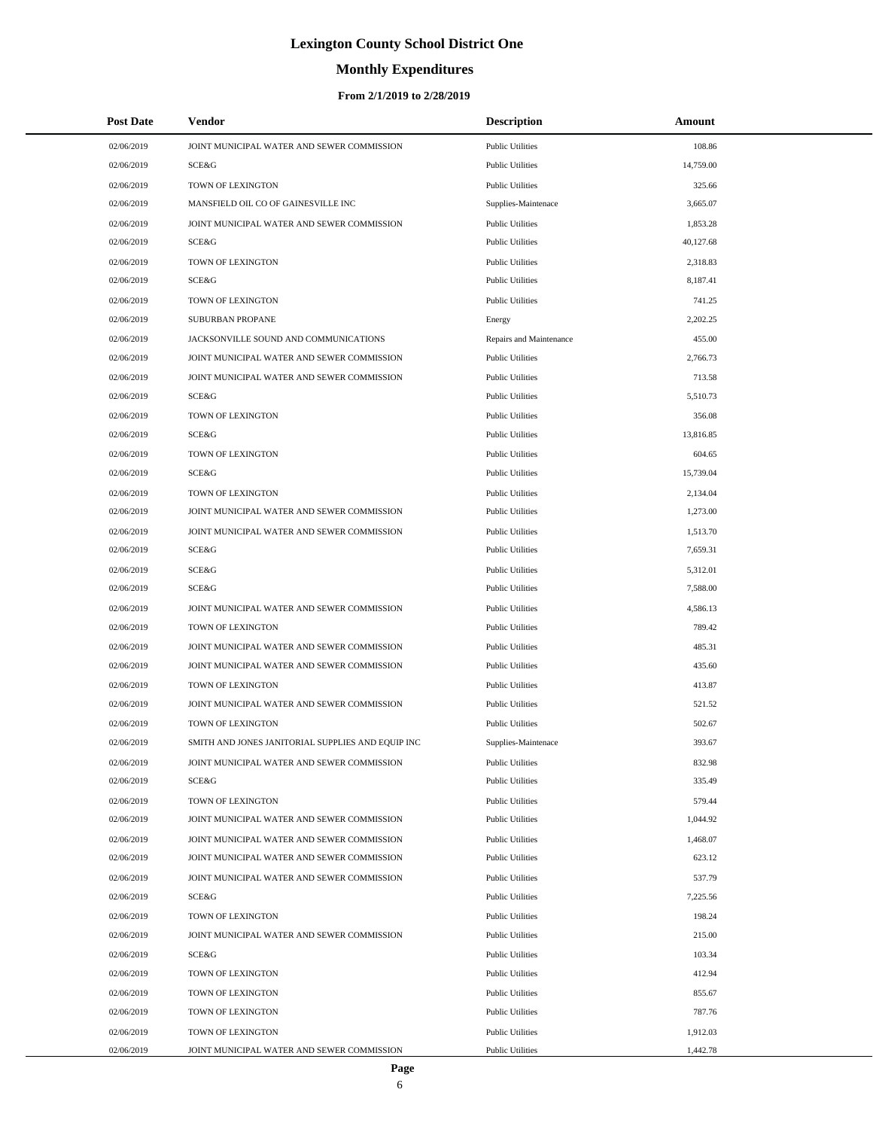# **Monthly Expenditures**

#### **From 2/1/2019 to 2/28/2019**

| <b>Post Date</b> | Vendor                                            | <b>Description</b>      | Amount    |  |
|------------------|---------------------------------------------------|-------------------------|-----------|--|
| 02/06/2019       | JOINT MUNICIPAL WATER AND SEWER COMMISSION        | <b>Public Utilities</b> | 108.86    |  |
| 02/06/2019       | SCE&G                                             | <b>Public Utilities</b> | 14,759.00 |  |
| 02/06/2019       | TOWN OF LEXINGTON                                 | <b>Public Utilities</b> | 325.66    |  |
| 02/06/2019       | MANSFIELD OIL CO OF GAINESVILLE INC               | Supplies-Maintenace     | 3,665.07  |  |
| 02/06/2019       | JOINT MUNICIPAL WATER AND SEWER COMMISSION        | <b>Public Utilities</b> | 1,853.28  |  |
| 02/06/2019       | SCE&G                                             | <b>Public Utilities</b> | 40,127.68 |  |
| 02/06/2019       | TOWN OF LEXINGTON                                 | <b>Public Utilities</b> | 2,318.83  |  |
| 02/06/2019       | SCE&G                                             | <b>Public Utilities</b> | 8,187.41  |  |
| 02/06/2019       | TOWN OF LEXINGTON                                 | <b>Public Utilities</b> | 741.25    |  |
| 02/06/2019       | SUBURBAN PROPANE                                  | Energy                  | 2,202.25  |  |
| 02/06/2019       | JACKSONVILLE SOUND AND COMMUNICATIONS             | Repairs and Maintenance | 455.00    |  |
| 02/06/2019       | JOINT MUNICIPAL WATER AND SEWER COMMISSION        | <b>Public Utilities</b> | 2,766.73  |  |
| 02/06/2019       | JOINT MUNICIPAL WATER AND SEWER COMMISSION        | <b>Public Utilities</b> | 713.58    |  |
| 02/06/2019       | SCE&G                                             | <b>Public Utilities</b> | 5,510.73  |  |
| 02/06/2019       | TOWN OF LEXINGTON                                 | <b>Public Utilities</b> | 356.08    |  |
| 02/06/2019       | SCE&G                                             | <b>Public Utilities</b> | 13,816.85 |  |
| 02/06/2019       | TOWN OF LEXINGTON                                 | <b>Public Utilities</b> | 604.65    |  |
| 02/06/2019       | SCE&G                                             | <b>Public Utilities</b> | 15,739.04 |  |
| 02/06/2019       | TOWN OF LEXINGTON                                 | <b>Public Utilities</b> | 2,134.04  |  |
| 02/06/2019       | JOINT MUNICIPAL WATER AND SEWER COMMISSION        | <b>Public Utilities</b> | 1,273.00  |  |
| 02/06/2019       | JOINT MUNICIPAL WATER AND SEWER COMMISSION        | <b>Public Utilities</b> | 1,513.70  |  |
| 02/06/2019       | SCE&G                                             | <b>Public Utilities</b> | 7,659.31  |  |
| 02/06/2019       | <b>SCE&amp;G</b>                                  | <b>Public Utilities</b> | 5,312.01  |  |
| 02/06/2019       | SCE&G                                             | <b>Public Utilities</b> | 7,588.00  |  |
| 02/06/2019       | JOINT MUNICIPAL WATER AND SEWER COMMISSION        | <b>Public Utilities</b> | 4,586.13  |  |
| 02/06/2019       | TOWN OF LEXINGTON                                 | <b>Public Utilities</b> | 789.42    |  |
| 02/06/2019       | JOINT MUNICIPAL WATER AND SEWER COMMISSION        | <b>Public Utilities</b> | 485.31    |  |
| 02/06/2019       | JOINT MUNICIPAL WATER AND SEWER COMMISSION        | <b>Public Utilities</b> | 435.60    |  |
| 02/06/2019       | TOWN OF LEXINGTON                                 | <b>Public Utilities</b> | 413.87    |  |
| 02/06/2019       | JOINT MUNICIPAL WATER AND SEWER COMMISSION        | <b>Public Utilities</b> | 521.52    |  |
| 02/06/2019       | TOWN OF LEXINGTON                                 | <b>Public Utilities</b> | 502.67    |  |
| 02/06/2019       | SMITH AND JONES JANITORIAL SUPPLIES AND EQUIP INC | Supplies-Maintenace     | 393.67    |  |
| 02/06/2019       | JOINT MUNICIPAL WATER AND SEWER COMMISSION        | <b>Public Utilities</b> | 832.98    |  |
| 02/06/2019       | SCE&G                                             | <b>Public Utilities</b> | 335.49    |  |
| 02/06/2019       | TOWN OF LEXINGTON                                 | <b>Public Utilities</b> | 579.44    |  |
| 02/06/2019       | JOINT MUNICIPAL WATER AND SEWER COMMISSION        | <b>Public Utilities</b> | 1,044.92  |  |
| 02/06/2019       | JOINT MUNICIPAL WATER AND SEWER COMMISSION        | <b>Public Utilities</b> | 1,468.07  |  |
| 02/06/2019       | JOINT MUNICIPAL WATER AND SEWER COMMISSION        | <b>Public Utilities</b> | 623.12    |  |
| 02/06/2019       | JOINT MUNICIPAL WATER AND SEWER COMMISSION        | <b>Public Utilities</b> | 537.79    |  |
| 02/06/2019       | SCE&G                                             | <b>Public Utilities</b> | 7,225.56  |  |
| 02/06/2019       | TOWN OF LEXINGTON                                 | <b>Public Utilities</b> | 198.24    |  |
| 02/06/2019       | JOINT MUNICIPAL WATER AND SEWER COMMISSION        | <b>Public Utilities</b> | 215.00    |  |
| 02/06/2019       | SCE&G                                             | <b>Public Utilities</b> | 103.34    |  |
| 02/06/2019       | TOWN OF LEXINGTON                                 | <b>Public Utilities</b> | 412.94    |  |
| 02/06/2019       | TOWN OF LEXINGTON                                 | <b>Public Utilities</b> | 855.67    |  |
| 02/06/2019       | TOWN OF LEXINGTON                                 | <b>Public Utilities</b> | 787.76    |  |
| 02/06/2019       | TOWN OF LEXINGTON                                 | <b>Public Utilities</b> | 1,912.03  |  |
| 02/06/2019       | JOINT MUNICIPAL WATER AND SEWER COMMISSION        | <b>Public Utilities</b> | 1,442.78  |  |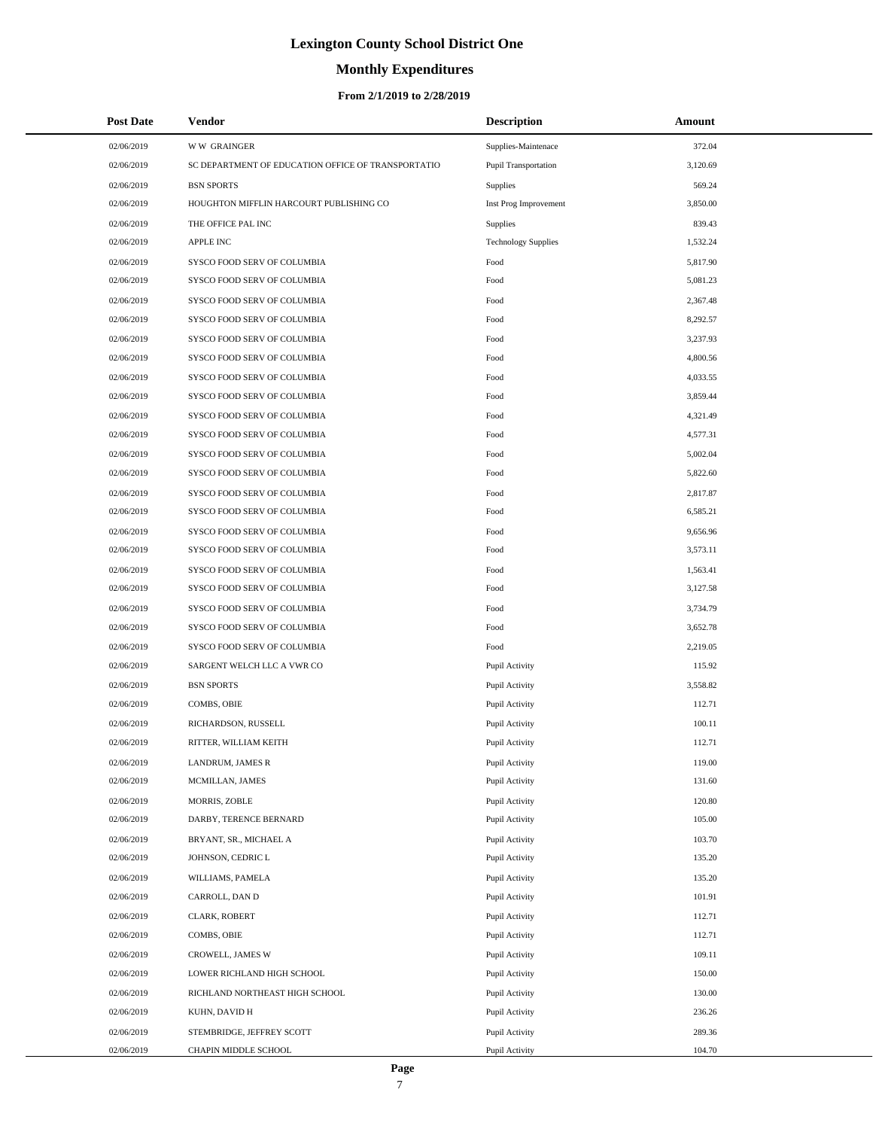# **Monthly Expenditures**

| <b>Post Date</b> | <b>Vendor</b>                                      | <b>Description</b>         | Amount   |
|------------------|----------------------------------------------------|----------------------------|----------|
| 02/06/2019       | <b>WW GRAINGER</b>                                 | Supplies-Maintenace        | 372.04   |
| 02/06/2019       | SC DEPARTMENT OF EDUCATION OFFICE OF TRANSPORTATIO | Pupil Transportation       | 3,120.69 |
| 02/06/2019       | <b>BSN SPORTS</b>                                  | <b>Supplies</b>            | 569.24   |
| 02/06/2019       | HOUGHTON MIFFLIN HARCOURT PUBLISHING CO            | Inst Prog Improvement      | 3,850.00 |
| 02/06/2019       | THE OFFICE PAL INC                                 | <b>Supplies</b>            | 839.43   |
| 02/06/2019       | <b>APPLE INC</b>                                   | <b>Technology Supplies</b> | 1,532.24 |
| 02/06/2019       | SYSCO FOOD SERV OF COLUMBIA                        | Food                       | 5,817.90 |
| 02/06/2019       | SYSCO FOOD SERV OF COLUMBIA                        | Food                       | 5,081.23 |
| 02/06/2019       | SYSCO FOOD SERV OF COLUMBIA                        | Food                       | 2,367.48 |
| 02/06/2019       | SYSCO FOOD SERV OF COLUMBIA                        | Food                       | 8,292.57 |
| 02/06/2019       | SYSCO FOOD SERV OF COLUMBIA                        | Food                       | 3,237.93 |
| 02/06/2019       | SYSCO FOOD SERV OF COLUMBIA                        | Food                       | 4,800.56 |
| 02/06/2019       | SYSCO FOOD SERV OF COLUMBIA                        | Food                       | 4,033.55 |
| 02/06/2019       | SYSCO FOOD SERV OF COLUMBIA                        | Food                       | 3,859.44 |
| 02/06/2019       | SYSCO FOOD SERV OF COLUMBIA                        | Food                       | 4,321.49 |
| 02/06/2019       | SYSCO FOOD SERV OF COLUMBIA                        | Food                       | 4,577.31 |
| 02/06/2019       | SYSCO FOOD SERV OF COLUMBIA                        | Food                       | 5,002.04 |
| 02/06/2019       | SYSCO FOOD SERV OF COLUMBIA                        | Food                       | 5,822.60 |
| 02/06/2019       | SYSCO FOOD SERV OF COLUMBIA                        | Food                       | 2,817.87 |
| 02/06/2019       | SYSCO FOOD SERV OF COLUMBIA                        | Food                       | 6,585.21 |
| 02/06/2019       | SYSCO FOOD SERV OF COLUMBIA                        | Food                       | 9,656.96 |
| 02/06/2019       | SYSCO FOOD SERV OF COLUMBIA                        | Food                       | 3,573.11 |
| 02/06/2019       | SYSCO FOOD SERV OF COLUMBIA                        | Food                       | 1,563.41 |
| 02/06/2019       | SYSCO FOOD SERV OF COLUMBIA                        | Food                       | 3,127.58 |
| 02/06/2019       | SYSCO FOOD SERV OF COLUMBIA                        | Food                       | 3,734.79 |
| 02/06/2019       | SYSCO FOOD SERV OF COLUMBIA                        | Food                       | 3,652.78 |
| 02/06/2019       | SYSCO FOOD SERV OF COLUMBIA                        | Food                       | 2,219.05 |
| 02/06/2019       | SARGENT WELCH LLC A VWR CO                         | Pupil Activity             | 115.92   |
| 02/06/2019       | <b>BSN SPORTS</b>                                  | Pupil Activity             | 3,558.82 |
| 02/06/2019       | COMBS, OBIE                                        | Pupil Activity             | 112.71   |
| 02/06/2019       | RICHARDSON, RUSSELL                                | Pupil Activity             | 100.11   |
| 02/06/2019       | RITTER, WILLIAM KEITH                              | Pupil Activity             | 112.71   |
| 02/06/2019       | LANDRUM, JAMES R                                   | Pupil Activity             | 119.00   |
| 02/06/2019       | MCMILLAN, JAMES                                    | Pupil Activity             | 131.60   |
| 02/06/2019       | MORRIS, ZOBLE                                      | Pupil Activity             | 120.80   |
| 02/06/2019       | DARBY, TERENCE BERNARD                             | Pupil Activity             | 105.00   |
| 02/06/2019       | BRYANT, SR., MICHAEL A                             | Pupil Activity             | 103.70   |
| 02/06/2019       | JOHNSON, CEDRIC L                                  | Pupil Activity             | 135.20   |
| 02/06/2019       | WILLIAMS, PAMELA                                   | Pupil Activity             | 135.20   |
| 02/06/2019       | CARROLL, DAN D                                     | Pupil Activity             | 101.91   |
| 02/06/2019       | CLARK, ROBERT                                      | Pupil Activity             | 112.71   |
| 02/06/2019       | COMBS, OBIE                                        | Pupil Activity             | 112.71   |
| 02/06/2019       | CROWELL, JAMES W                                   | Pupil Activity             | 109.11   |
| 02/06/2019       | LOWER RICHLAND HIGH SCHOOL                         | Pupil Activity             | 150.00   |
| 02/06/2019       | RICHLAND NORTHEAST HIGH SCHOOL                     | Pupil Activity             | 130.00   |
| 02/06/2019       | KUHN, DAVID H                                      | Pupil Activity             | 236.26   |
| 02/06/2019       | STEMBRIDGE, JEFFREY SCOTT                          | Pupil Activity             | 289.36   |
| 02/06/2019       | CHAPIN MIDDLE SCHOOL                               | Pupil Activity             | 104.70   |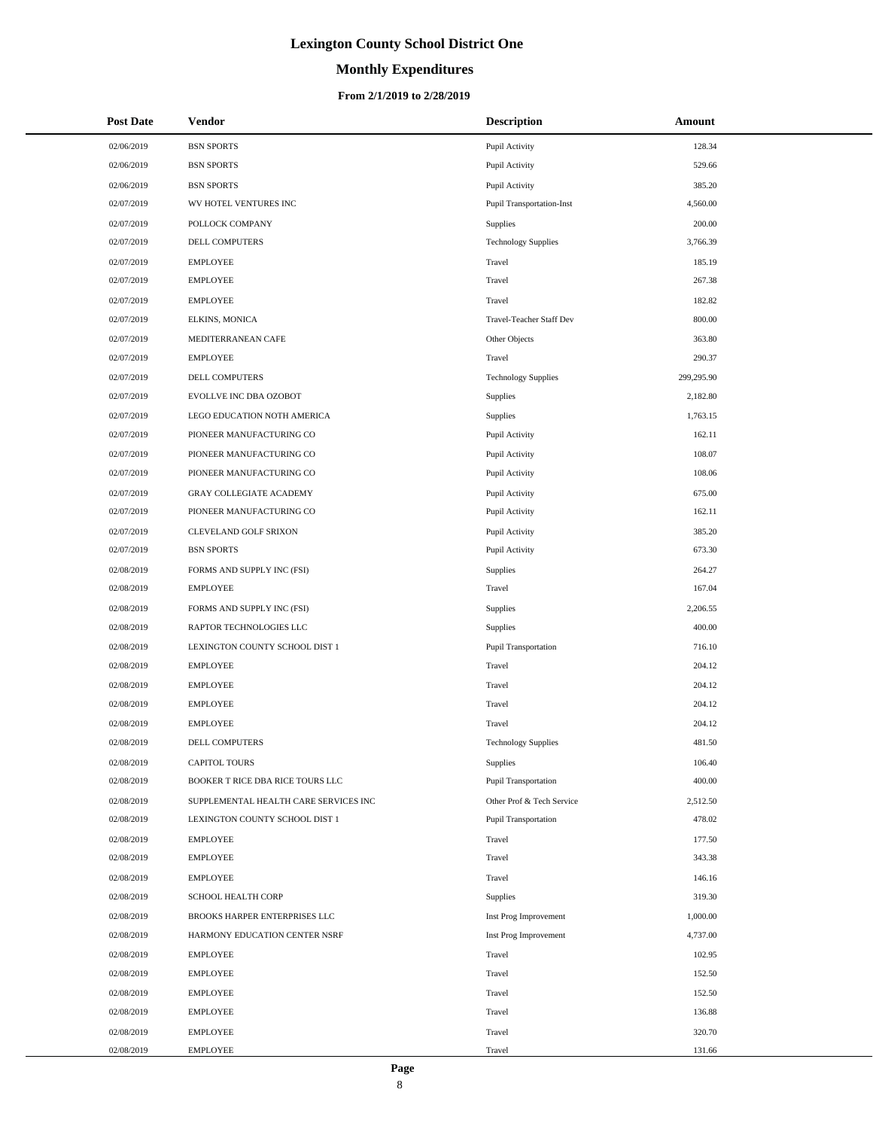# **Monthly Expenditures**

| <b>Post Date</b> | <b>Vendor</b>                         | <b>Description</b>               | Amount     |
|------------------|---------------------------------------|----------------------------------|------------|
| 02/06/2019       | <b>BSN SPORTS</b>                     | Pupil Activity                   | 128.34     |
| 02/06/2019       | <b>BSN SPORTS</b>                     | Pupil Activity                   | 529.66     |
| 02/06/2019       | <b>BSN SPORTS</b>                     | Pupil Activity                   | 385.20     |
| 02/07/2019       | WV HOTEL VENTURES INC                 | <b>Pupil Transportation-Inst</b> | 4,560.00   |
| 02/07/2019       | POLLOCK COMPANY                       | Supplies                         | 200.00     |
| 02/07/2019       | DELL COMPUTERS                        | <b>Technology Supplies</b>       | 3,766.39   |
| 02/07/2019       | <b>EMPLOYEE</b>                       | Travel                           | 185.19     |
| 02/07/2019       | <b>EMPLOYEE</b>                       | Travel                           | 267.38     |
| 02/07/2019       | <b>EMPLOYEE</b>                       | Travel                           | 182.82     |
| 02/07/2019       | ELKINS, MONICA                        | Travel-Teacher Staff Dev         | 800.00     |
| 02/07/2019       | MEDITERRANEAN CAFE                    | Other Objects                    | 363.80     |
| 02/07/2019       | <b>EMPLOYEE</b>                       | Travel                           | 290.37     |
| 02/07/2019       | DELL COMPUTERS                        | <b>Technology Supplies</b>       | 299,295.90 |
| 02/07/2019       | EVOLLVE INC DBA OZOBOT                | <b>Supplies</b>                  | 2,182.80   |
| 02/07/2019       | LEGO EDUCATION NOTH AMERICA           | Supplies                         | 1,763.15   |
| 02/07/2019       | PIONEER MANUFACTURING CO              | Pupil Activity                   | 162.11     |
| 02/07/2019       | PIONEER MANUFACTURING CO              | Pupil Activity                   | 108.07     |
| 02/07/2019       | PIONEER MANUFACTURING CO              | Pupil Activity                   | 108.06     |
| 02/07/2019       | <b>GRAY COLLEGIATE ACADEMY</b>        | Pupil Activity                   | 675.00     |
| 02/07/2019       | PIONEER MANUFACTURING CO              | Pupil Activity                   | 162.11     |
| 02/07/2019       | CLEVELAND GOLF SRIXON                 | Pupil Activity                   | 385.20     |
| 02/07/2019       | <b>BSN SPORTS</b>                     | Pupil Activity                   | 673.30     |
| 02/08/2019       | FORMS AND SUPPLY INC (FSI)            | Supplies                         | 264.27     |
| 02/08/2019       | <b>EMPLOYEE</b>                       | Travel                           | 167.04     |
| 02/08/2019       | FORMS AND SUPPLY INC (FSI)            | Supplies                         | 2,206.55   |
| 02/08/2019       | RAPTOR TECHNOLOGIES LLC               | Supplies                         | 400.00     |
| 02/08/2019       | LEXINGTON COUNTY SCHOOL DIST 1        | Pupil Transportation             | 716.10     |
| 02/08/2019       | <b>EMPLOYEE</b>                       | Travel                           | 204.12     |
| 02/08/2019       | <b>EMPLOYEE</b>                       | Travel                           | 204.12     |
| 02/08/2019       | <b>EMPLOYEE</b>                       | Travel                           | 204.12     |
| 02/08/2019       | <b>EMPLOYEE</b>                       | Travel                           | 204.12     |
| 02/08/2019       | DELL COMPUTERS                        | <b>Technology Supplies</b>       | 481.50     |
| 02/08/2019       | CAPITOL TOURS                         | Supplies                         | 106.40     |
| 02/08/2019       | BOOKER T RICE DBA RICE TOURS LLC      | Pupil Transportation             | 400.00     |
| 02/08/2019       | SUPPLEMENTAL HEALTH CARE SERVICES INC | Other Prof & Tech Service        | 2,512.50   |
| 02/08/2019       | LEXINGTON COUNTY SCHOOL DIST 1        | Pupil Transportation             | 478.02     |
| 02/08/2019       | <b>EMPLOYEE</b>                       | Travel                           | 177.50     |
| 02/08/2019       | <b>EMPLOYEE</b>                       | Travel                           | 343.38     |
| 02/08/2019       | <b>EMPLOYEE</b>                       | Travel                           | 146.16     |
| 02/08/2019       | SCHOOL HEALTH CORP                    | Supplies                         | 319.30     |
| 02/08/2019       | BROOKS HARPER ENTERPRISES LLC         | Inst Prog Improvement            | 1,000.00   |
| 02/08/2019       | HARMONY EDUCATION CENTER NSRF         | Inst Prog Improvement            | 4,737.00   |
| 02/08/2019       | <b>EMPLOYEE</b>                       | Travel                           | 102.95     |
| 02/08/2019       | <b>EMPLOYEE</b>                       | Travel                           | 152.50     |
| 02/08/2019       | <b>EMPLOYEE</b>                       | Travel                           | 152.50     |
| 02/08/2019       | <b>EMPLOYEE</b>                       | Travel                           | 136.88     |
| 02/08/2019       | <b>EMPLOYEE</b>                       | Travel                           | 320.70     |
| 02/08/2019       | <b>EMPLOYEE</b>                       | Travel                           | 131.66     |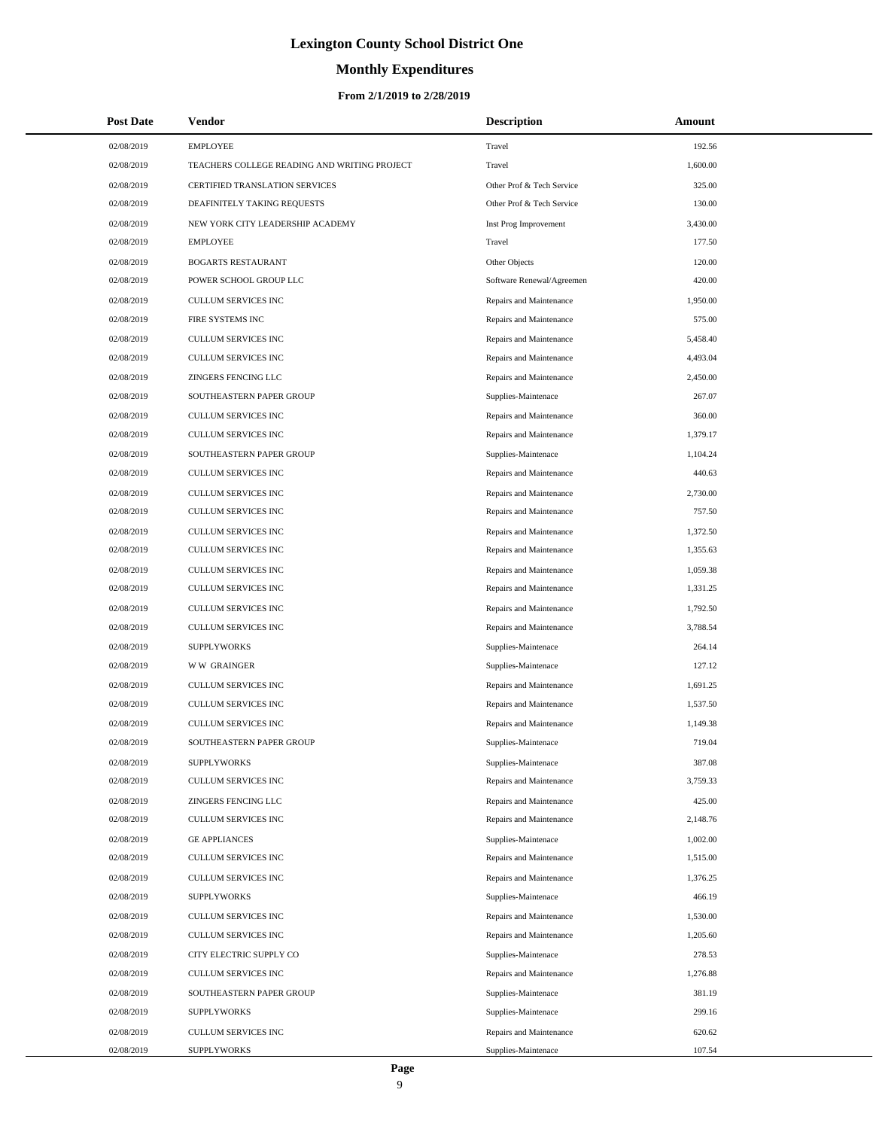# **Monthly Expenditures**

#### **From 2/1/2019 to 2/28/2019**

| <b>Post Date</b> | Vendor                                       | <b>Description</b>        | Amount   |
|------------------|----------------------------------------------|---------------------------|----------|
| 02/08/2019       | <b>EMPLOYEE</b>                              | Travel                    | 192.56   |
| 02/08/2019       | TEACHERS COLLEGE READING AND WRITING PROJECT | Travel                    | 1,600.00 |
| 02/08/2019       | CERTIFIED TRANSLATION SERVICES               | Other Prof & Tech Service | 325.00   |
| 02/08/2019       | DEAFINITELY TAKING REQUESTS                  | Other Prof & Tech Service | 130.00   |
| 02/08/2019       | NEW YORK CITY LEADERSHIP ACADEMY             | Inst Prog Improvement     | 3,430.00 |
| 02/08/2019       | <b>EMPLOYEE</b>                              | Travel                    | 177.50   |
| 02/08/2019       | <b>BOGARTS RESTAURANT</b>                    | Other Objects             | 120.00   |
| 02/08/2019       | POWER SCHOOL GROUP LLC                       | Software Renewal/Agreemen | 420.00   |
| 02/08/2019       | <b>CULLUM SERVICES INC</b>                   | Repairs and Maintenance   | 1,950.00 |
| 02/08/2019       | FIRE SYSTEMS INC                             | Repairs and Maintenance   | 575.00   |
| 02/08/2019       | CULLUM SERVICES INC                          | Repairs and Maintenance   | 5,458.40 |
| 02/08/2019       | CULLUM SERVICES INC                          | Repairs and Maintenance   | 4,493.04 |
| 02/08/2019       | ZINGERS FENCING LLC                          | Repairs and Maintenance   | 2,450.00 |
| 02/08/2019       | SOUTHEASTERN PAPER GROUP                     | Supplies-Maintenace       | 267.07   |
| 02/08/2019       | <b>CULLUM SERVICES INC</b>                   | Repairs and Maintenance   | 360.00   |
| 02/08/2019       | CULLUM SERVICES INC                          | Repairs and Maintenance   | 1,379.17 |
| 02/08/2019       | SOUTHEASTERN PAPER GROUP                     | Supplies-Maintenace       | 1,104.24 |
| 02/08/2019       | CULLUM SERVICES INC                          | Repairs and Maintenance   | 440.63   |
| 02/08/2019       | <b>CULLUM SERVICES INC</b>                   | Repairs and Maintenance   | 2,730.00 |
| 02/08/2019       | CULLUM SERVICES INC                          | Repairs and Maintenance   | 757.50   |
| 02/08/2019       | CULLUM SERVICES INC                          | Repairs and Maintenance   | 1,372.50 |
| 02/08/2019       | CULLUM SERVICES INC                          | Repairs and Maintenance   | 1,355.63 |
| 02/08/2019       | CULLUM SERVICES INC                          | Repairs and Maintenance   | 1,059.38 |
| 02/08/2019       | CULLUM SERVICES INC                          | Repairs and Maintenance   | 1,331.25 |
| 02/08/2019       | CULLUM SERVICES INC                          | Repairs and Maintenance   | 1,792.50 |
| 02/08/2019       | CULLUM SERVICES INC                          | Repairs and Maintenance   | 3,788.54 |
| 02/08/2019       | <b>SUPPLYWORKS</b>                           | Supplies-Maintenace       | 264.14   |
| 02/08/2019       | <b>WW GRAINGER</b>                           | Supplies-Maintenace       | 127.12   |
| 02/08/2019       | CULLUM SERVICES INC                          | Repairs and Maintenance   | 1,691.25 |
| 02/08/2019       | CULLUM SERVICES INC                          | Repairs and Maintenance   | 1,537.50 |
| 02/08/2019       | CULLUM SERVICES INC                          | Repairs and Maintenance   | 1,149.38 |
| 02/08/2019       | SOUTHEASTERN PAPER GROUP                     | Supplies-Maintenace       | 719.04   |
| 02/08/2019       | <b>SUPPLYWORKS</b>                           | Supplies-Maintenace       | 387.08   |
| 02/08/2019       | CULLUM SERVICES INC                          | Repairs and Maintenance   | 3,759.33 |
| 02/08/2019       | ZINGERS FENCING LLC                          | Repairs and Maintenance   | 425.00   |
| 02/08/2019       | CULLUM SERVICES INC                          | Repairs and Maintenance   | 2,148.76 |
| 02/08/2019       | <b>GE APPLIANCES</b>                         | Supplies-Maintenace       | 1,002.00 |
| 02/08/2019       | CULLUM SERVICES INC                          | Repairs and Maintenance   | 1,515.00 |
| 02/08/2019       | CULLUM SERVICES INC                          | Repairs and Maintenance   | 1,376.25 |
| 02/08/2019       | <b>SUPPLYWORKS</b>                           | Supplies-Maintenace       | 466.19   |
| 02/08/2019       | CULLUM SERVICES INC                          | Repairs and Maintenance   | 1,530.00 |
| 02/08/2019       | CULLUM SERVICES INC                          | Repairs and Maintenance   | 1,205.60 |
| 02/08/2019       | CITY ELECTRIC SUPPLY CO                      | Supplies-Maintenace       | 278.53   |
| 02/08/2019       | CULLUM SERVICES INC                          | Repairs and Maintenance   | 1,276.88 |
| 02/08/2019       | SOUTHEASTERN PAPER GROUP                     | Supplies-Maintenace       | 381.19   |
| 02/08/2019       | <b>SUPPLYWORKS</b>                           | Supplies-Maintenace       | 299.16   |
| 02/08/2019       | CULLUM SERVICES INC                          | Repairs and Maintenance   | 620.62   |
| 02/08/2019       | <b>SUPPLYWORKS</b>                           | Supplies-Maintenace       | 107.54   |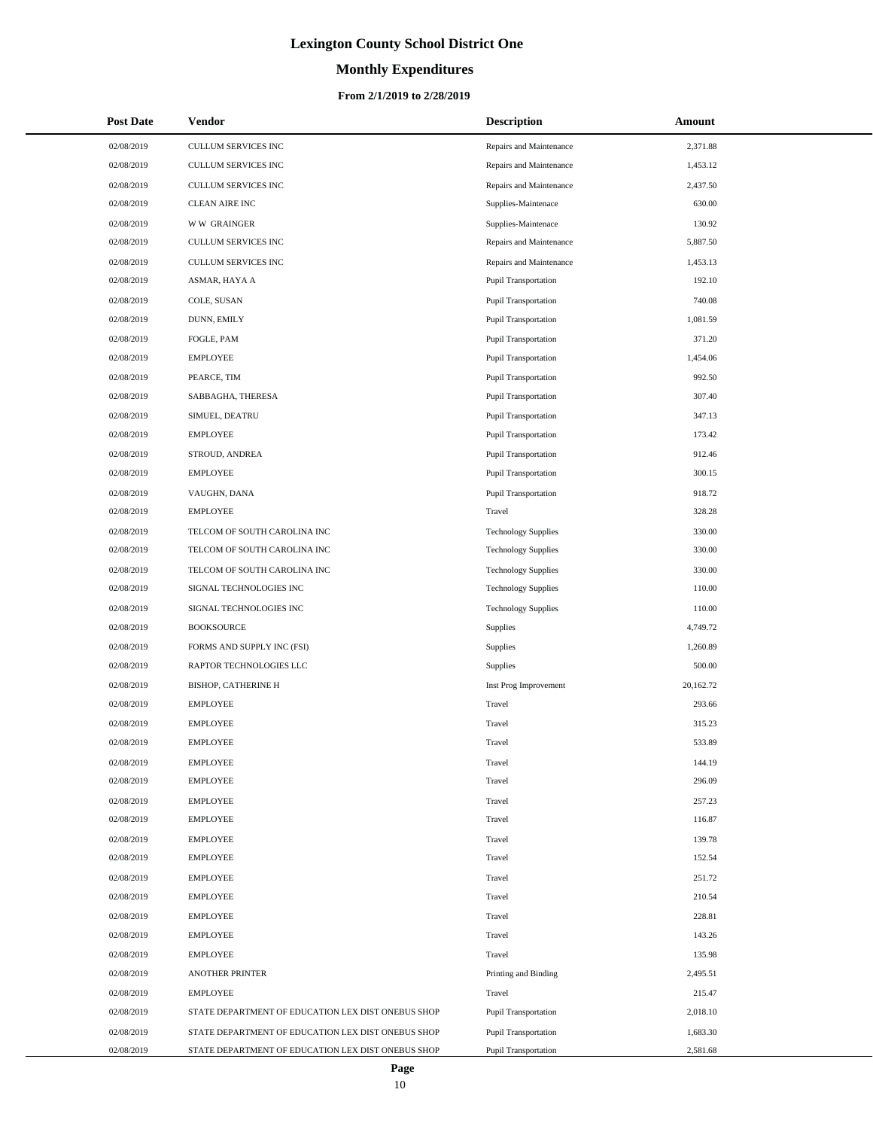# **Monthly Expenditures**

| <b>Post Date</b> | <b>Vendor</b>                                      | <b>Description</b>          | Amount    |  |
|------------------|----------------------------------------------------|-----------------------------|-----------|--|
| 02/08/2019       | CULLUM SERVICES INC                                | Repairs and Maintenance     | 2,371.88  |  |
| 02/08/2019       | CULLUM SERVICES INC                                | Repairs and Maintenance     | 1,453.12  |  |
| 02/08/2019       | <b>CULLUM SERVICES INC</b>                         | Repairs and Maintenance     | 2,437.50  |  |
| 02/08/2019       | <b>CLEAN AIRE INC</b>                              | Supplies-Maintenace         | 630.00    |  |
| 02/08/2019       | <b>WW GRAINGER</b>                                 | Supplies-Maintenace         | 130.92    |  |
| 02/08/2019       | CULLUM SERVICES INC                                | Repairs and Maintenance     | 5,887.50  |  |
| 02/08/2019       | CULLUM SERVICES INC                                | Repairs and Maintenance     | 1,453.13  |  |
| 02/08/2019       | ASMAR, HAYA A                                      | <b>Pupil Transportation</b> | 192.10    |  |
| 02/08/2019       | COLE, SUSAN                                        | <b>Pupil Transportation</b> | 740.08    |  |
| 02/08/2019       | DUNN, EMILY                                        | <b>Pupil Transportation</b> | 1,081.59  |  |
| 02/08/2019       | FOGLE, PAM                                         | <b>Pupil Transportation</b> | 371.20    |  |
| 02/08/2019       | <b>EMPLOYEE</b>                                    | <b>Pupil Transportation</b> | 1,454.06  |  |
| 02/08/2019       | PEARCE, TIM                                        | <b>Pupil Transportation</b> | 992.50    |  |
| 02/08/2019       | SABBAGHA, THERESA                                  | <b>Pupil Transportation</b> | 307.40    |  |
| 02/08/2019       | SIMUEL, DEATRU                                     | <b>Pupil Transportation</b> | 347.13    |  |
| 02/08/2019       | <b>EMPLOYEE</b>                                    | <b>Pupil Transportation</b> | 173.42    |  |
| 02/08/2019       | STROUD, ANDREA                                     | <b>Pupil Transportation</b> | 912.46    |  |
| 02/08/2019       | <b>EMPLOYEE</b>                                    | <b>Pupil Transportation</b> | 300.15    |  |
| 02/08/2019       | VAUGHN, DANA                                       | <b>Pupil Transportation</b> | 918.72    |  |
| 02/08/2019       | <b>EMPLOYEE</b>                                    | Travel                      | 328.28    |  |
| 02/08/2019       | TELCOM OF SOUTH CAROLINA INC                       | <b>Technology Supplies</b>  | 330.00    |  |
| 02/08/2019       | TELCOM OF SOUTH CAROLINA INC                       | <b>Technology Supplies</b>  | 330.00    |  |
| 02/08/2019       | TELCOM OF SOUTH CAROLINA INC                       | <b>Technology Supplies</b>  | 330.00    |  |
| 02/08/2019       | SIGNAL TECHNOLOGIES INC                            | <b>Technology Supplies</b>  | 110.00    |  |
| 02/08/2019       | SIGNAL TECHNOLOGIES INC                            | <b>Technology Supplies</b>  | 110.00    |  |
| 02/08/2019       | <b>BOOKSOURCE</b>                                  | Supplies                    | 4,749.72  |  |
| 02/08/2019       | FORMS AND SUPPLY INC (FSI)                         | Supplies                    | 1,260.89  |  |
| 02/08/2019       | RAPTOR TECHNOLOGIES LLC                            | Supplies                    | 500.00    |  |
| 02/08/2019       | BISHOP, CATHERINE H                                | Inst Prog Improvement       | 20,162.72 |  |
| 02/08/2019       | <b>EMPLOYEE</b>                                    | Travel                      | 293.66    |  |
| 02/08/2019       | <b>EMPLOYEE</b>                                    | Travel                      | 315.23    |  |
| 02/08/2019       | <b>EMPLOYEE</b>                                    | Travel                      | 533.89    |  |
| 02/08/2019       | <b>EMPLOYEE</b>                                    | Travel                      | 144.19    |  |
| 02/08/2019       | <b>EMPLOYEE</b>                                    | Travel                      | 296.09    |  |
| 02/08/2019       | <b>EMPLOYEE</b>                                    | Travel                      | 257.23    |  |
| 02/08/2019       | <b>EMPLOYEE</b>                                    | Travel                      | 116.87    |  |
| 02/08/2019       | <b>EMPLOYEE</b>                                    | Travel                      | 139.78    |  |
| 02/08/2019       | <b>EMPLOYEE</b>                                    | Travel                      | 152.54    |  |
| 02/08/2019       | <b>EMPLOYEE</b>                                    | Travel                      | 251.72    |  |
| 02/08/2019       | <b>EMPLOYEE</b>                                    | Travel                      | 210.54    |  |
| 02/08/2019       | <b>EMPLOYEE</b>                                    | Travel                      | 228.81    |  |
| 02/08/2019       | <b>EMPLOYEE</b>                                    | Travel                      | 143.26    |  |
| 02/08/2019       | <b>EMPLOYEE</b>                                    | Travel                      | 135.98    |  |
| 02/08/2019       | <b>ANOTHER PRINTER</b>                             | Printing and Binding        | 2,495.51  |  |
| 02/08/2019       | <b>EMPLOYEE</b>                                    | Travel                      | 215.47    |  |
| 02/08/2019       | STATE DEPARTMENT OF EDUCATION LEX DIST ONEBUS SHOP | <b>Pupil Transportation</b> | 2,018.10  |  |
| 02/08/2019       | STATE DEPARTMENT OF EDUCATION LEX DIST ONEBUS SHOP | <b>Pupil Transportation</b> | 1,683.30  |  |
| 02/08/2019       | STATE DEPARTMENT OF EDUCATION LEX DIST ONEBUS SHOP | Pupil Transportation        | 2,581.68  |  |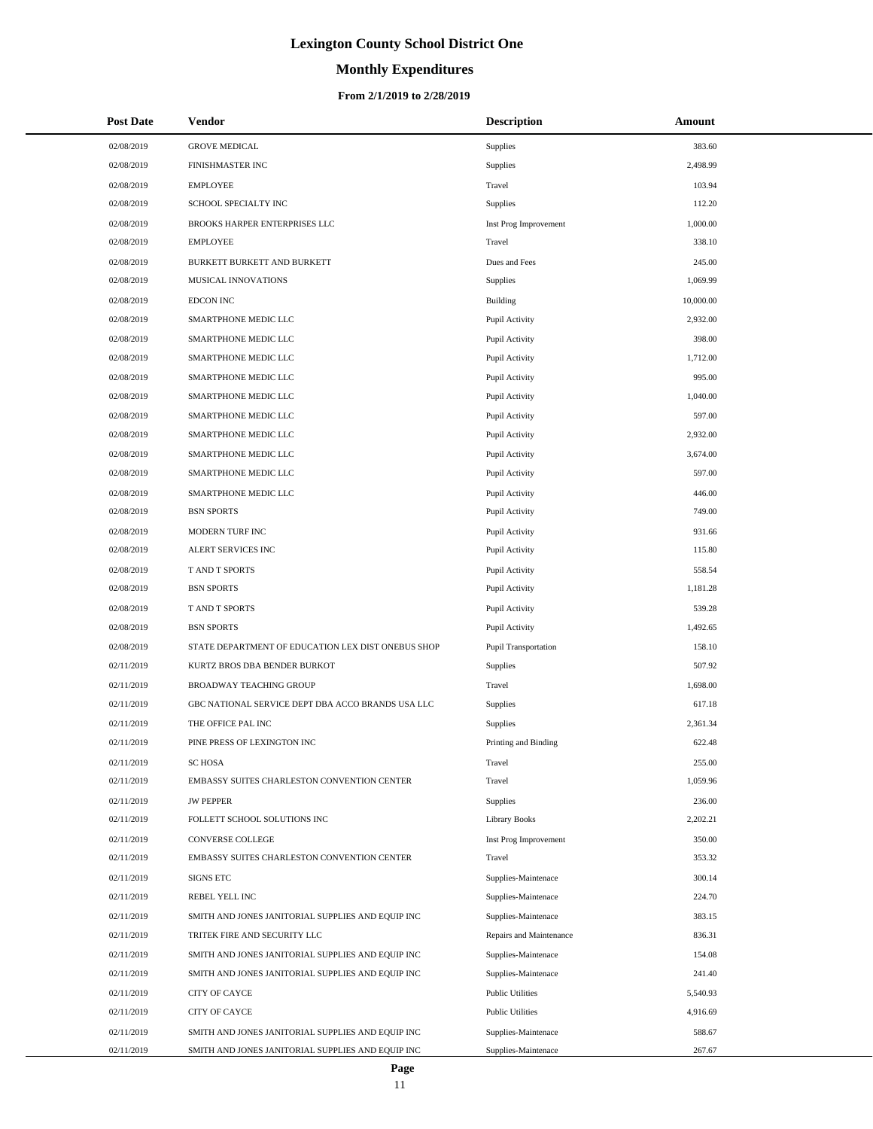# **Monthly Expenditures**

| <b>Post Date</b> | Vendor                                             | <b>Description</b>      | Amount    |
|------------------|----------------------------------------------------|-------------------------|-----------|
| 02/08/2019       | <b>GROVE MEDICAL</b>                               | <b>Supplies</b>         | 383.60    |
| 02/08/2019       | FINISHMASTER INC                                   | <b>Supplies</b>         | 2,498.99  |
| 02/08/2019       | <b>EMPLOYEE</b>                                    | Travel                  | 103.94    |
| 02/08/2019       | SCHOOL SPECIALTY INC                               | <b>Supplies</b>         | 112.20    |
| 02/08/2019       | BROOKS HARPER ENTERPRISES LLC                      | Inst Prog Improvement   | 1,000.00  |
| 02/08/2019       | <b>EMPLOYEE</b>                                    | Travel                  | 338.10    |
| 02/08/2019       | BURKETT BURKETT AND BURKETT                        | Dues and Fees           | 245.00    |
| 02/08/2019       | MUSICAL INNOVATIONS                                | <b>Supplies</b>         | 1,069.99  |
| 02/08/2019       | <b>EDCON INC</b>                                   | Building                | 10,000.00 |
| 02/08/2019       | SMARTPHONE MEDIC LLC                               | Pupil Activity          | 2,932.00  |
| 02/08/2019       | SMARTPHONE MEDIC LLC                               | Pupil Activity          | 398.00    |
| 02/08/2019       | SMARTPHONE MEDIC LLC                               | Pupil Activity          | 1,712.00  |
| 02/08/2019       | SMARTPHONE MEDIC LLC                               | Pupil Activity          | 995.00    |
| 02/08/2019       | SMARTPHONE MEDIC LLC                               | Pupil Activity          | 1,040.00  |
| 02/08/2019       | SMARTPHONE MEDIC LLC                               | Pupil Activity          | 597.00    |
| 02/08/2019       | SMARTPHONE MEDIC LLC                               | Pupil Activity          | 2,932.00  |
| 02/08/2019       | SMARTPHONE MEDIC LLC                               | Pupil Activity          | 3,674.00  |
| 02/08/2019       | SMARTPHONE MEDIC LLC                               | Pupil Activity          | 597.00    |
| 02/08/2019       | SMARTPHONE MEDIC LLC                               | Pupil Activity          | 446.00    |
| 02/08/2019       | <b>BSN SPORTS</b>                                  | Pupil Activity          | 749.00    |
| 02/08/2019       | MODERN TURF INC                                    | Pupil Activity          | 931.66    |
| 02/08/2019       | ALERT SERVICES INC                                 | Pupil Activity          | 115.80    |
| 02/08/2019       | T AND T SPORTS                                     | Pupil Activity          | 558.54    |
| 02/08/2019       | <b>BSN SPORTS</b>                                  | Pupil Activity          | 1,181.28  |
| 02/08/2019       | T AND T SPORTS                                     | Pupil Activity          | 539.28    |
| 02/08/2019       | <b>BSN SPORTS</b>                                  | Pupil Activity          | 1,492.65  |
| 02/08/2019       | STATE DEPARTMENT OF EDUCATION LEX DIST ONEBUS SHOP | Pupil Transportation    | 158.10    |
| 02/11/2019       | KURTZ BROS DBA BENDER BURKOT                       | <b>Supplies</b>         | 507.92    |
| 02/11/2019       | <b>BROADWAY TEACHING GROUP</b>                     | Travel                  | 1,698.00  |
| 02/11/2019       | GBC NATIONAL SERVICE DEPT DBA ACCO BRANDS USA LLC  | <b>Supplies</b>         | 617.18    |
| 02/11/2019       | THE OFFICE PAL INC                                 | <b>Supplies</b>         | 2,361.34  |
| 02/11/2019       | PINE PRESS OF LEXINGTON INC                        | Printing and Binding    | 622.48    |
| 02/11/2019       | <b>SC HOSA</b>                                     | Travel                  | 255.00    |
| 02/11/2019       | EMBASSY SUITES CHARLESTON CONVENTION CENTER        | Travel                  | 1,059.96  |
| 02/11/2019       | <b>JW PEPPER</b>                                   | <b>Supplies</b>         | 236.00    |
| 02/11/2019       | FOLLETT SCHOOL SOLUTIONS INC                       | Library Books           | 2,202.21  |
| 02/11/2019       | <b>CONVERSE COLLEGE</b>                            | Inst Prog Improvement   | 350.00    |
| 02/11/2019       | EMBASSY SUITES CHARLESTON CONVENTION CENTER        | Travel                  | 353.32    |
| 02/11/2019       | <b>SIGNS ETC</b>                                   | Supplies-Maintenace     | 300.14    |
| 02/11/2019       | REBEL YELL INC                                     | Supplies-Maintenace     | 224.70    |
| 02/11/2019       | SMITH AND JONES JANITORIAL SUPPLIES AND EQUIP INC  | Supplies-Maintenace     | 383.15    |
| 02/11/2019       | TRITEK FIRE AND SECURITY LLC                       | Repairs and Maintenance | 836.31    |
| 02/11/2019       | SMITH AND JONES JANITORIAL SUPPLIES AND EQUIP INC  | Supplies-Maintenace     | 154.08    |
| 02/11/2019       | SMITH AND JONES JANITORIAL SUPPLIES AND EQUIP INC  | Supplies-Maintenace     | 241.40    |
| 02/11/2019       | CITY OF CAYCE                                      | <b>Public Utilities</b> | 5,540.93  |
| 02/11/2019       | CITY OF CAYCE                                      | <b>Public Utilities</b> | 4,916.69  |
| 02/11/2019       | SMITH AND JONES JANITORIAL SUPPLIES AND EQUIP INC  | Supplies-Maintenace     | 588.67    |
| 02/11/2019       | SMITH AND JONES JANITORIAL SUPPLIES AND EQUIP INC  | Supplies-Maintenace     | 267.67    |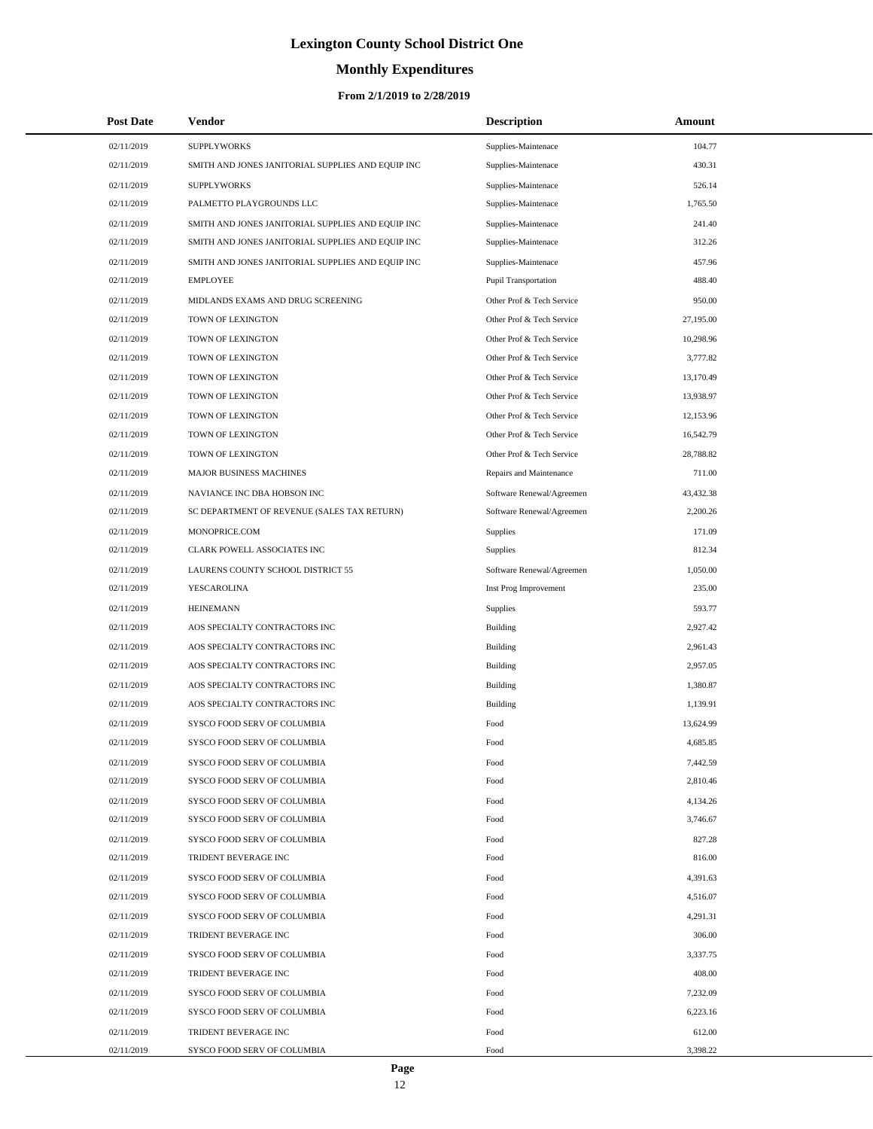# **Monthly Expenditures**

#### **From 2/1/2019 to 2/28/2019**

| <b>Post Date</b> | Vendor                                            | <b>Description</b>        | Amount    |
|------------------|---------------------------------------------------|---------------------------|-----------|
| 02/11/2019       | <b>SUPPLYWORKS</b>                                | Supplies-Maintenace       | 104.77    |
| 02/11/2019       | SMITH AND JONES JANITORIAL SUPPLIES AND EQUIP INC | Supplies-Maintenace       | 430.31    |
| 02/11/2019       | <b>SUPPLYWORKS</b>                                | Supplies-Maintenace       | 526.14    |
| 02/11/2019       | PALMETTO PLAYGROUNDS LLC                          | Supplies-Maintenace       | 1,765.50  |
| 02/11/2019       | SMITH AND JONES JANITORIAL SUPPLIES AND EQUIP INC | Supplies-Maintenace       | 241.40    |
| 02/11/2019       | SMITH AND JONES JANITORIAL SUPPLIES AND EQUIP INC | Supplies-Maintenace       | 312.26    |
| 02/11/2019       | SMITH AND JONES JANITORIAL SUPPLIES AND EQUIP INC | Supplies-Maintenace       | 457.96    |
| 02/11/2019       | <b>EMPLOYEE</b>                                   | Pupil Transportation      | 488.40    |
| 02/11/2019       | MIDLANDS EXAMS AND DRUG SCREENING                 | Other Prof & Tech Service | 950.00    |
| 02/11/2019       | TOWN OF LEXINGTON                                 | Other Prof & Tech Service | 27,195.00 |
| 02/11/2019       | TOWN OF LEXINGTON                                 | Other Prof & Tech Service | 10,298.96 |
| 02/11/2019       | TOWN OF LEXINGTON                                 | Other Prof & Tech Service | 3,777.82  |
| 02/11/2019       | TOWN OF LEXINGTON                                 | Other Prof & Tech Service | 13,170.49 |
| 02/11/2019       | TOWN OF LEXINGTON                                 | Other Prof & Tech Service | 13,938.97 |
| 02/11/2019       | TOWN OF LEXINGTON                                 | Other Prof & Tech Service | 12,153.96 |
| 02/11/2019       | TOWN OF LEXINGTON                                 | Other Prof & Tech Service | 16,542.79 |
| 02/11/2019       | TOWN OF LEXINGTON                                 | Other Prof & Tech Service | 28,788.82 |
| 02/11/2019       | MAJOR BUSINESS MACHINES                           | Repairs and Maintenance   | 711.00    |
| 02/11/2019       | NAVIANCE INC DBA HOBSON INC                       | Software Renewal/Agreemen | 43,432.38 |
| 02/11/2019       | SC DEPARTMENT OF REVENUE (SALES TAX RETURN)       | Software Renewal/Agreemen | 2,200.26  |
| 02/11/2019       | MONOPRICE.COM                                     | <b>Supplies</b>           | 171.09    |
| 02/11/2019       | CLARK POWELL ASSOCIATES INC                       | <b>Supplies</b>           | 812.34    |
| 02/11/2019       | LAURENS COUNTY SCHOOL DISTRICT 55                 | Software Renewal/Agreemen | 1,050.00  |
| 02/11/2019       | YESCAROLINA                                       | Inst Prog Improvement     | 235.00    |
| 02/11/2019       | <b>HEINEMANN</b>                                  | <b>Supplies</b>           | 593.77    |
| 02/11/2019       | AOS SPECIALTY CONTRACTORS INC                     | Building                  | 2,927.42  |
| 02/11/2019       | AOS SPECIALTY CONTRACTORS INC                     | Building                  | 2,961.43  |
| 02/11/2019       | AOS SPECIALTY CONTRACTORS INC                     | Building                  | 2,957.05  |
| 02/11/2019       | AOS SPECIALTY CONTRACTORS INC                     | Building                  | 1,380.87  |
| 02/11/2019       | AOS SPECIALTY CONTRACTORS INC                     | Building                  | 1,139.91  |
| 02/11/2019       | SYSCO FOOD SERV OF COLUMBIA                       | Food                      | 13,624.99 |
| 02/11/2019       | SYSCO FOOD SERV OF COLUMBIA                       | Food                      | 4,685.85  |
| 02/11/2019       | SYSCO FOOD SERV OF COLUMBIA                       | Food                      | 7,442.59  |
| 02/11/2019       | SYSCO FOOD SERV OF COLUMBIA                       | Food                      | 2,810.46  |
| 02/11/2019       | SYSCO FOOD SERV OF COLUMBIA                       | Food                      | 4,134.26  |
| 02/11/2019       | SYSCO FOOD SERV OF COLUMBIA                       | Food                      | 3,746.67  |
| 02/11/2019       | SYSCO FOOD SERV OF COLUMBIA                       | Food                      | 827.28    |
| 02/11/2019       | TRIDENT BEVERAGE INC                              | Food                      | 816.00    |
| 02/11/2019       | SYSCO FOOD SERV OF COLUMBIA                       | Food                      | 4,391.63  |
| 02/11/2019       | SYSCO FOOD SERV OF COLUMBIA                       | Food                      | 4,516.07  |
| 02/11/2019       | SYSCO FOOD SERV OF COLUMBIA                       | Food                      | 4,291.31  |
| 02/11/2019       | TRIDENT BEVERAGE INC                              | Food                      | 306.00    |
| 02/11/2019       | SYSCO FOOD SERV OF COLUMBIA                       | Food                      | 3,337.75  |
| 02/11/2019       | TRIDENT BEVERAGE INC                              | Food                      | 408.00    |
| 02/11/2019       | SYSCO FOOD SERV OF COLUMBIA                       | Food                      | 7,232.09  |
| 02/11/2019       | SYSCO FOOD SERV OF COLUMBIA                       | Food                      | 6,223.16  |
| 02/11/2019       | TRIDENT BEVERAGE INC                              | Food                      | 612.00    |
| 02/11/2019       | SYSCO FOOD SERV OF COLUMBIA                       | Food                      | 3,398.22  |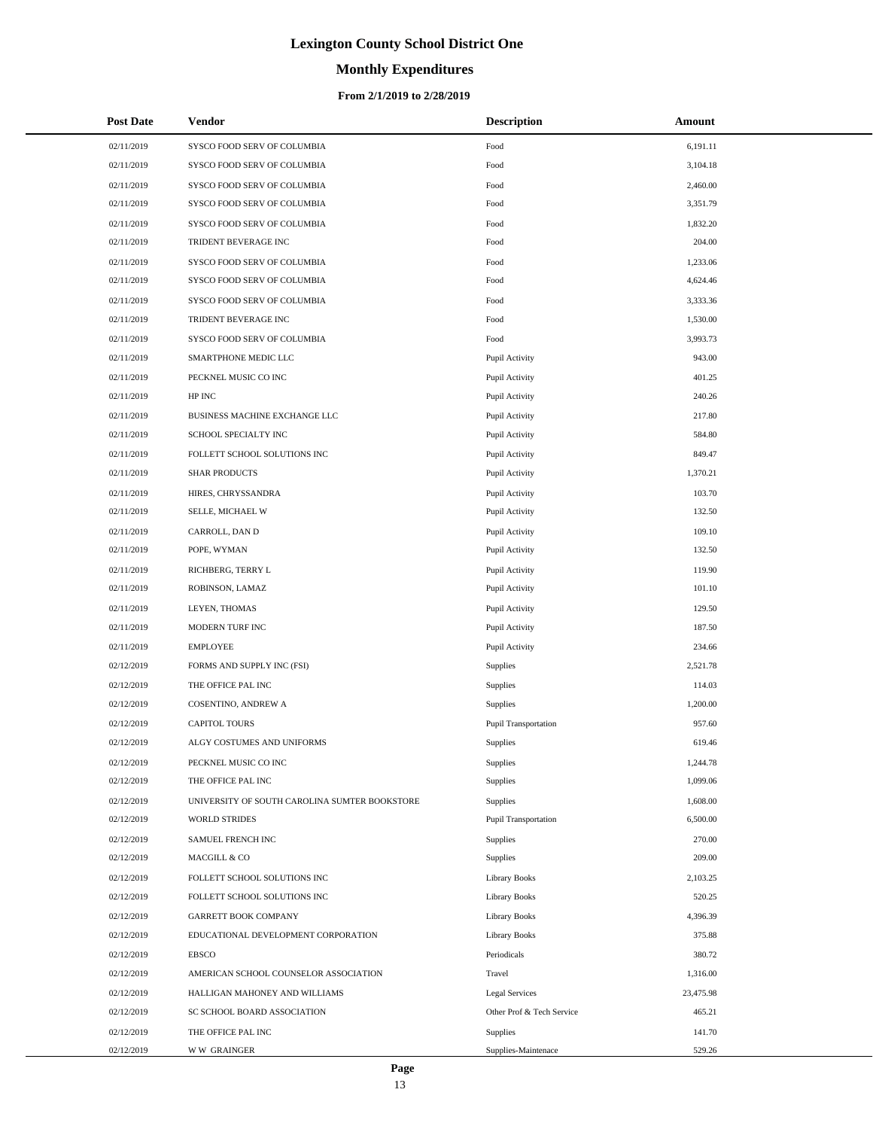# **Monthly Expenditures**

#### **From 2/1/2019 to 2/28/2019**

| <b>Post Date</b> | Vendor                                        | <b>Description</b>        | Amount    |
|------------------|-----------------------------------------------|---------------------------|-----------|
| 02/11/2019       | SYSCO FOOD SERV OF COLUMBIA                   | Food                      | 6,191.11  |
| 02/11/2019       | SYSCO FOOD SERV OF COLUMBIA                   | Food                      | 3,104.18  |
| 02/11/2019       | SYSCO FOOD SERV OF COLUMBIA                   | Food                      | 2,460.00  |
| 02/11/2019       | SYSCO FOOD SERV OF COLUMBIA                   | Food                      | 3,351.79  |
| 02/11/2019       | SYSCO FOOD SERV OF COLUMBIA                   | Food                      | 1,832.20  |
| 02/11/2019       | TRIDENT BEVERAGE INC                          | Food                      | 204.00    |
| 02/11/2019       | SYSCO FOOD SERV OF COLUMBIA                   | Food                      | 1,233.06  |
| 02/11/2019       | SYSCO FOOD SERV OF COLUMBIA                   | Food                      | 4,624.46  |
| 02/11/2019       | SYSCO FOOD SERV OF COLUMBIA                   | Food                      | 3,333.36  |
| 02/11/2019       | TRIDENT BEVERAGE INC                          | Food                      | 1,530.00  |
| 02/11/2019       | SYSCO FOOD SERV OF COLUMBIA                   | Food                      | 3,993.73  |
| 02/11/2019       | SMARTPHONE MEDIC LLC                          | Pupil Activity            | 943.00    |
| 02/11/2019       | PECKNEL MUSIC CO INC                          | Pupil Activity            | 401.25    |
| 02/11/2019       | HP INC                                        | Pupil Activity            | 240.26    |
| 02/11/2019       | BUSINESS MACHINE EXCHANGE LLC                 | Pupil Activity            | 217.80    |
| 02/11/2019       | SCHOOL SPECIALTY INC                          | Pupil Activity            | 584.80    |
| 02/11/2019       | FOLLETT SCHOOL SOLUTIONS INC                  | Pupil Activity            | 849.47    |
| 02/11/2019       | <b>SHAR PRODUCTS</b>                          | Pupil Activity            | 1,370.21  |
| 02/11/2019       | HIRES, CHRYSSANDRA                            | Pupil Activity            | 103.70    |
| 02/11/2019       | SELLE, MICHAEL W                              | Pupil Activity            | 132.50    |
| 02/11/2019       | CARROLL, DAN D                                | Pupil Activity            | 109.10    |
| 02/11/2019       | POPE, WYMAN                                   | Pupil Activity            | 132.50    |
| 02/11/2019       | RICHBERG, TERRY L                             | Pupil Activity            | 119.90    |
| 02/11/2019       | ROBINSON, LAMAZ                               | Pupil Activity            | 101.10    |
| 02/11/2019       | LEYEN, THOMAS                                 | Pupil Activity            | 129.50    |
| 02/11/2019       | MODERN TURF INC                               | Pupil Activity            | 187.50    |
| 02/11/2019       | <b>EMPLOYEE</b>                               | Pupil Activity            | 234.66    |
| 02/12/2019       | FORMS AND SUPPLY INC (FSI)                    | Supplies                  | 2,521.78  |
| 02/12/2019       | THE OFFICE PAL INC                            | Supplies                  | 114.03    |
| 02/12/2019       | COSENTINO, ANDREW A                           | Supplies                  | 1,200.00  |
| 02/12/2019       | <b>CAPITOL TOURS</b>                          | Pupil Transportation      | 957.60    |
| 02/12/2019       | ALGY COSTUMES AND UNIFORMS                    | Supplies                  | 619.46    |
| 02/12/2019       | PECKNEL MUSIC CO INC                          | Supplies                  | 1,244.78  |
| 02/12/2019       | THE OFFICE PAL INC                            | Supplies                  | 1,099.06  |
| 02/12/2019       | UNIVERSITY OF SOUTH CAROLINA SUMTER BOOKSTORE | Supplies                  | 1,608.00  |
| 02/12/2019       | <b>WORLD STRIDES</b>                          | Pupil Transportation      | 6,500.00  |
| 02/12/2019       | SAMUEL FRENCH INC                             | Supplies                  | 270.00    |
| 02/12/2019       | MACGILL & CO                                  | Supplies                  | 209.00    |
| 02/12/2019       | FOLLETT SCHOOL SOLUTIONS INC                  | <b>Library Books</b>      | 2,103.25  |
| 02/12/2019       | FOLLETT SCHOOL SOLUTIONS INC                  | <b>Library Books</b>      | 520.25    |
| 02/12/2019       | <b>GARRETT BOOK COMPANY</b>                   | Library Books             | 4,396.39  |
| 02/12/2019       | EDUCATIONAL DEVELOPMENT CORPORATION           | <b>Library Books</b>      | 375.88    |
| 02/12/2019       | <b>EBSCO</b>                                  | Periodicals               | 380.72    |
| 02/12/2019       | AMERICAN SCHOOL COUNSELOR ASSOCIATION         | Travel                    | 1,316.00  |
| 02/12/2019       | HALLIGAN MAHONEY AND WILLIAMS                 | <b>Legal Services</b>     | 23,475.98 |
| 02/12/2019       | SC SCHOOL BOARD ASSOCIATION                   | Other Prof & Tech Service | 465.21    |
| 02/12/2019       | THE OFFICE PAL INC                            | Supplies                  | 141.70    |
| 02/12/2019       | <b>WW GRAINGER</b>                            | Supplies-Maintenace       | 529.26    |

÷.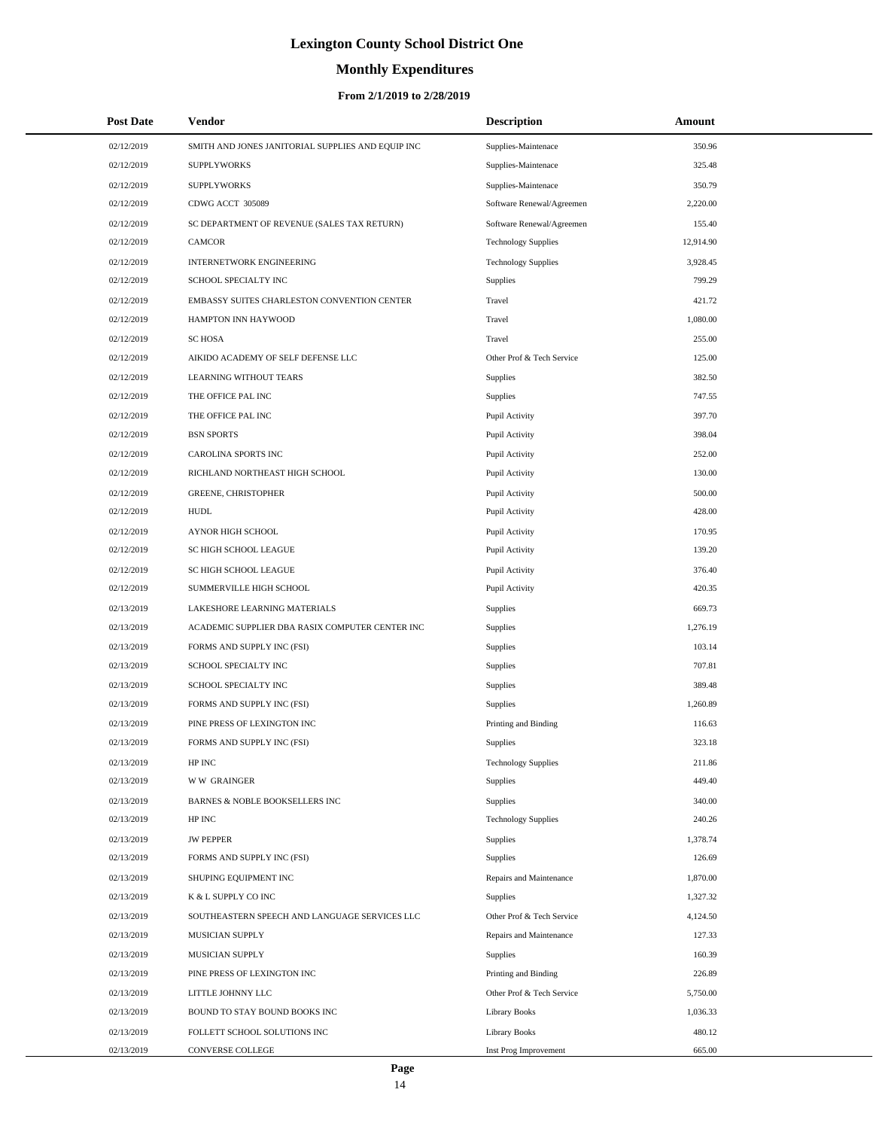# **Monthly Expenditures**

#### **From 2/1/2019 to 2/28/2019**

| <b>Post Date</b> | Vendor                                            | <b>Description</b>         | Amount    |
|------------------|---------------------------------------------------|----------------------------|-----------|
| 02/12/2019       | SMITH AND JONES JANITORIAL SUPPLIES AND EQUIP INC | Supplies-Maintenace        | 350.96    |
| 02/12/2019       | <b>SUPPLYWORKS</b>                                | Supplies-Maintenace        | 325.48    |
| 02/12/2019       | <b>SUPPLYWORKS</b>                                | Supplies-Maintenace        | 350.79    |
| 02/12/2019       | CDWG ACCT 305089                                  | Software Renewal/Agreemen  | 2,220.00  |
| 02/12/2019       | SC DEPARTMENT OF REVENUE (SALES TAX RETURN)       | Software Renewal/Agreemen  | 155.40    |
| 02/12/2019       | <b>CAMCOR</b>                                     | <b>Technology Supplies</b> | 12,914.90 |
| 02/12/2019       | <b>INTERNETWORK ENGINEERING</b>                   | <b>Technology Supplies</b> | 3,928.45  |
| 02/12/2019       | SCHOOL SPECIALTY INC                              | Supplies                   | 799.29    |
| 02/12/2019       | EMBASSY SUITES CHARLESTON CONVENTION CENTER       | Travel                     | 421.72    |
| 02/12/2019       | HAMPTON INN HAYWOOD                               | Travel                     | 1,080.00  |
| 02/12/2019       | <b>SC HOSA</b>                                    | Travel                     | 255.00    |
| 02/12/2019       | AIKIDO ACADEMY OF SELF DEFENSE LLC                | Other Prof & Tech Service  | 125.00    |
| 02/12/2019       | LEARNING WITHOUT TEARS                            | Supplies                   | 382.50    |
| 02/12/2019       | THE OFFICE PAL INC                                | Supplies                   | 747.55    |
| 02/12/2019       | THE OFFICE PAL INC                                | Pupil Activity             | 397.70    |
| 02/12/2019       | <b>BSN SPORTS</b>                                 | Pupil Activity             | 398.04    |
| 02/12/2019       | CAROLINA SPORTS INC                               | Pupil Activity             | 252.00    |
| 02/12/2019       | RICHLAND NORTHEAST HIGH SCHOOL                    | Pupil Activity             | 130.00    |
| 02/12/2019       | <b>GREENE, CHRISTOPHER</b>                        | Pupil Activity             | 500.00    |
| 02/12/2019       | <b>HUDL</b>                                       | Pupil Activity             | 428.00    |
| 02/12/2019       | AYNOR HIGH SCHOOL                                 | Pupil Activity             | 170.95    |
| 02/12/2019       | SC HIGH SCHOOL LEAGUE                             | Pupil Activity             | 139.20    |
| 02/12/2019       | SC HIGH SCHOOL LEAGUE                             | Pupil Activity             | 376.40    |
| 02/12/2019       | SUMMERVILLE HIGH SCHOOL                           | Pupil Activity             | 420.35    |
| 02/13/2019       | LAKESHORE LEARNING MATERIALS                      | <b>Supplies</b>            | 669.73    |
| 02/13/2019       | ACADEMIC SUPPLIER DBA RASIX COMPUTER CENTER INC   | <b>Supplies</b>            | 1,276.19  |
| 02/13/2019       | FORMS AND SUPPLY INC (FSI)                        | Supplies                   | 103.14    |
| 02/13/2019       | SCHOOL SPECIALTY INC                              | Supplies                   | 707.81    |
| 02/13/2019       | SCHOOL SPECIALTY INC                              | Supplies                   | 389.48    |
| 02/13/2019       | FORMS AND SUPPLY INC (FSI)                        | Supplies                   | 1,260.89  |
| 02/13/2019       | PINE PRESS OF LEXINGTON INC                       | Printing and Binding       | 116.63    |
| 02/13/2019       | FORMS AND SUPPLY INC (FSI)                        | Supplies                   | 323.18    |
| 02/13/2019       | HP INC                                            | <b>Technology Supplies</b> | 211.86    |
| 02/13/2019       | <b>WW GRAINGER</b>                                | Supplies                   | 449.40    |
| 02/13/2019       | BARNES & NOBLE BOOKSELLERS INC                    | Supplies                   | 340.00    |
| 02/13/2019       | HP INC                                            | <b>Technology Supplies</b> | 240.26    |
| 02/13/2019       | <b>JW PEPPER</b>                                  | Supplies                   | 1,378.74  |
| 02/13/2019       | FORMS AND SUPPLY INC (FSI)                        | Supplies                   | 126.69    |
| 02/13/2019       | SHUPING EQUIPMENT INC                             | Repairs and Maintenance    | 1,870.00  |
| 02/13/2019       | K & L SUPPLY CO INC                               | Supplies                   | 1,327.32  |
| 02/13/2019       | SOUTHEASTERN SPEECH AND LANGUAGE SERVICES LLC     | Other Prof & Tech Service  | 4,124.50  |
| 02/13/2019       | MUSICIAN SUPPLY                                   | Repairs and Maintenance    | 127.33    |
| 02/13/2019       | MUSICIAN SUPPLY                                   | Supplies                   | 160.39    |
| 02/13/2019       | PINE PRESS OF LEXINGTON INC                       | Printing and Binding       | 226.89    |
| 02/13/2019       | LITTLE JOHNNY LLC                                 | Other Prof & Tech Service  | 5,750.00  |
| 02/13/2019       | BOUND TO STAY BOUND BOOKS INC                     | <b>Library Books</b>       | 1,036.33  |
| 02/13/2019       | FOLLETT SCHOOL SOLUTIONS INC                      | <b>Library Books</b>       | 480.12    |
| 02/13/2019       | CONVERSE COLLEGE                                  | Inst Prog Improvement      | 665.00    |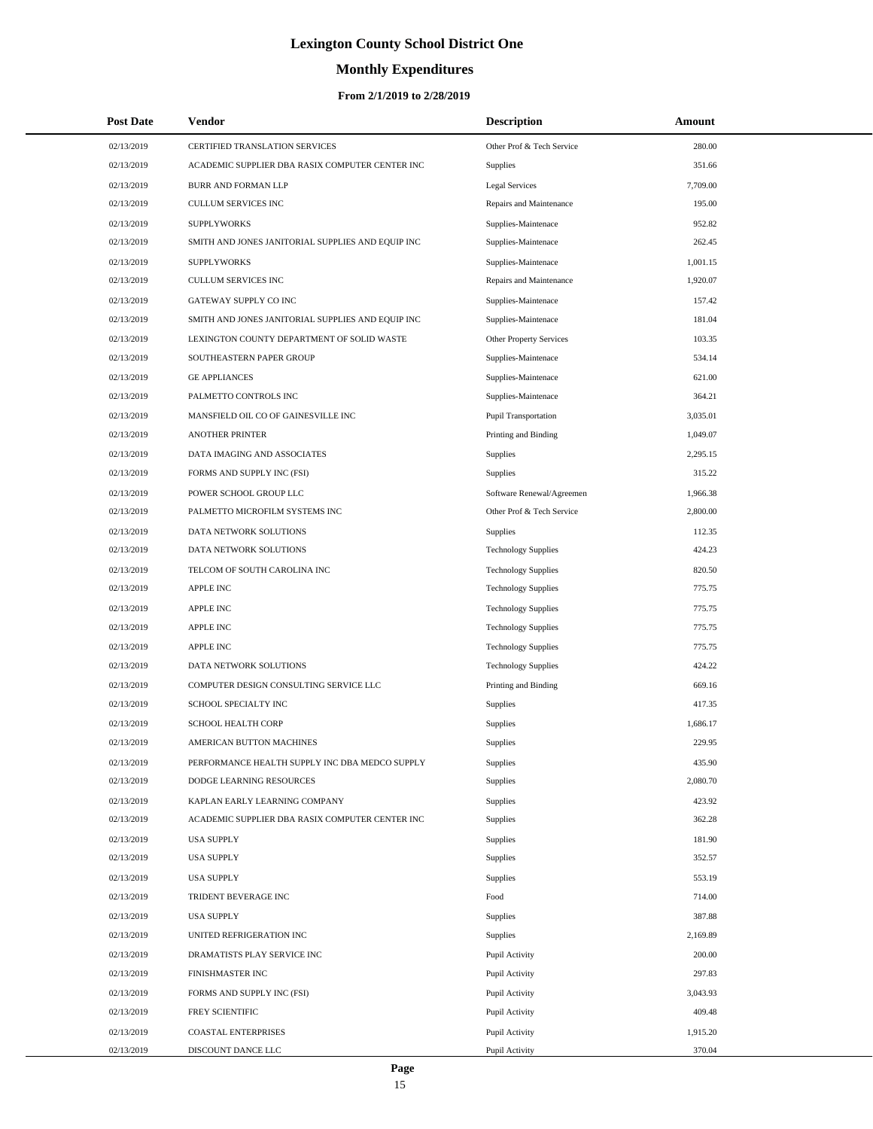# **Monthly Expenditures**

#### **From 2/1/2019 to 2/28/2019**

| <b>Post Date</b> | Vendor                                            | <b>Description</b>         | Amount   |  |
|------------------|---------------------------------------------------|----------------------------|----------|--|
| 02/13/2019       | CERTIFIED TRANSLATION SERVICES                    | Other Prof & Tech Service  | 280.00   |  |
| 02/13/2019       | ACADEMIC SUPPLIER DBA RASIX COMPUTER CENTER INC   | Supplies                   | 351.66   |  |
| 02/13/2019       | <b>BURR AND FORMAN LLP</b>                        | <b>Legal Services</b>      | 7,709.00 |  |
| 02/13/2019       | <b>CULLUM SERVICES INC</b>                        | Repairs and Maintenance    | 195.00   |  |
| 02/13/2019       | <b>SUPPLYWORKS</b>                                | Supplies-Maintenace        | 952.82   |  |
| 02/13/2019       | SMITH AND JONES JANITORIAL SUPPLIES AND EQUIP INC | Supplies-Maintenace        | 262.45   |  |
| 02/13/2019       | <b>SUPPLYWORKS</b>                                | Supplies-Maintenace        | 1,001.15 |  |
| 02/13/2019       | <b>CULLUM SERVICES INC</b>                        | Repairs and Maintenance    | 1,920.07 |  |
| 02/13/2019       | GATEWAY SUPPLY CO INC                             | Supplies-Maintenace        | 157.42   |  |
| 02/13/2019       | SMITH AND JONES JANITORIAL SUPPLIES AND EQUIP INC | Supplies-Maintenace        | 181.04   |  |
| 02/13/2019       | LEXINGTON COUNTY DEPARTMENT OF SOLID WASTE        | Other Property Services    | 103.35   |  |
| 02/13/2019       | SOUTHEASTERN PAPER GROUP                          | Supplies-Maintenace        | 534.14   |  |
| 02/13/2019       | <b>GE APPLIANCES</b>                              | Supplies-Maintenace        | 621.00   |  |
| 02/13/2019       | PALMETTO CONTROLS INC                             | Supplies-Maintenace        | 364.21   |  |
| 02/13/2019       | MANSFIELD OIL CO OF GAINESVILLE INC               | Pupil Transportation       | 3,035.01 |  |
| 02/13/2019       | <b>ANOTHER PRINTER</b>                            | Printing and Binding       | 1,049.07 |  |
| 02/13/2019       | DATA IMAGING AND ASSOCIATES                       | Supplies                   | 2,295.15 |  |
| 02/13/2019       | FORMS AND SUPPLY INC (FSI)                        | <b>Supplies</b>            | 315.22   |  |
| 02/13/2019       | POWER SCHOOL GROUP LLC                            | Software Renewal/Agreemen  | 1,966.38 |  |
| 02/13/2019       | PALMETTO MICROFILM SYSTEMS INC                    | Other Prof & Tech Service  | 2,800.00 |  |
| 02/13/2019       | DATA NETWORK SOLUTIONS                            | Supplies                   | 112.35   |  |
| 02/13/2019       | DATA NETWORK SOLUTIONS                            | <b>Technology Supplies</b> | 424.23   |  |
| 02/13/2019       | TELCOM OF SOUTH CAROLINA INC                      | <b>Technology Supplies</b> | 820.50   |  |
| 02/13/2019       | <b>APPLE INC</b>                                  | <b>Technology Supplies</b> | 775.75   |  |
| 02/13/2019       | <b>APPLE INC</b>                                  | <b>Technology Supplies</b> | 775.75   |  |
| 02/13/2019       | <b>APPLE INC</b>                                  | <b>Technology Supplies</b> | 775.75   |  |
| 02/13/2019       | <b>APPLE INC</b>                                  | <b>Technology Supplies</b> | 775.75   |  |
| 02/13/2019       | DATA NETWORK SOLUTIONS                            | <b>Technology Supplies</b> | 424.22   |  |
| 02/13/2019       | COMPUTER DESIGN CONSULTING SERVICE LLC            | Printing and Binding       | 669.16   |  |
| 02/13/2019       | SCHOOL SPECIALTY INC                              | Supplies                   | 417.35   |  |
| 02/13/2019       | SCHOOL HEALTH CORP                                | Supplies                   | 1,686.17 |  |
| 02/13/2019       | AMERICAN BUTTON MACHINES                          | Supplies                   | 229.95   |  |
| 02/13/2019       | PERFORMANCE HEALTH SUPPLY INC DBA MEDCO SUPPLY    | <b>Supplies</b>            | 435.90   |  |
| 02/13/2019       | DODGE LEARNING RESOURCES                          | <b>Supplies</b>            | 2,080.70 |  |
| 02/13/2019       | KAPLAN EARLY LEARNING COMPANY                     | Supplies                   | 423.92   |  |
| 02/13/2019       | ACADEMIC SUPPLIER DBA RASIX COMPUTER CENTER INC   | <b>Supplies</b>            | 362.28   |  |
| 02/13/2019       | <b>USA SUPPLY</b>                                 | Supplies                   | 181.90   |  |
| 02/13/2019       | <b>USA SUPPLY</b>                                 | <b>Supplies</b>            | 352.57   |  |
| 02/13/2019       | <b>USA SUPPLY</b>                                 | <b>Supplies</b>            | 553.19   |  |
| 02/13/2019       | TRIDENT BEVERAGE INC                              | Food                       | 714.00   |  |
| 02/13/2019       | <b>USA SUPPLY</b>                                 | Supplies                   | 387.88   |  |
| 02/13/2019       | UNITED REFRIGERATION INC                          | <b>Supplies</b>            | 2,169.89 |  |
| 02/13/2019       | DRAMATISTS PLAY SERVICE INC                       | Pupil Activity             | 200.00   |  |
| 02/13/2019       | FINISHMASTER INC                                  | Pupil Activity             | 297.83   |  |
| 02/13/2019       | FORMS AND SUPPLY INC (FSI)                        | Pupil Activity             | 3,043.93 |  |
| 02/13/2019       | FREY SCIENTIFIC                                   | Pupil Activity             | 409.48   |  |
| 02/13/2019       | <b>COASTAL ENTERPRISES</b>                        | Pupil Activity             | 1,915.20 |  |
| 02/13/2019       | DISCOUNT DANCE LLC                                | Pupil Activity             | 370.04   |  |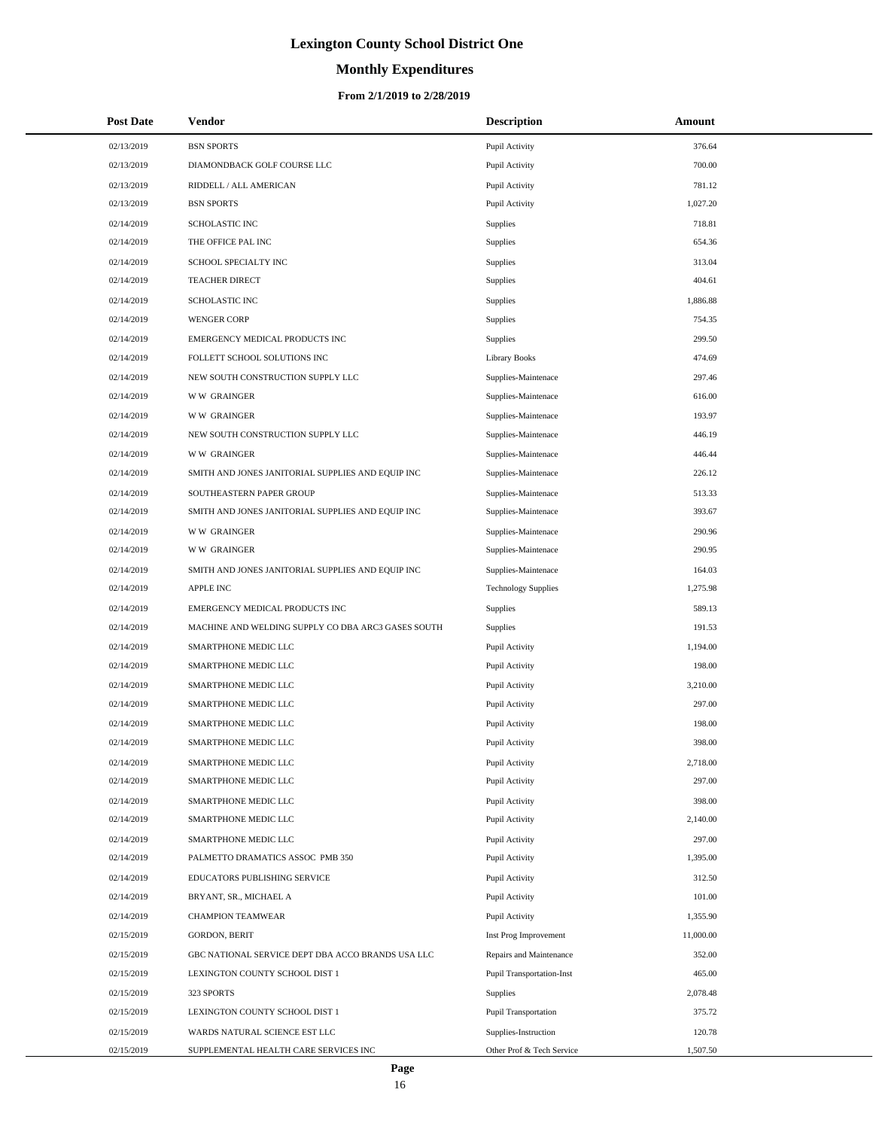# **Monthly Expenditures**

#### **From 2/1/2019 to 2/28/2019**

| <b>Post Date</b> | Vendor                                             | <b>Description</b>               | Amount    |
|------------------|----------------------------------------------------|----------------------------------|-----------|
| 02/13/2019       | <b>BSN SPORTS</b>                                  | Pupil Activity                   | 376.64    |
| 02/13/2019       | DIAMONDBACK GOLF COURSE LLC                        | Pupil Activity                   | 700.00    |
| 02/13/2019       | RIDDELL / ALL AMERICAN                             | Pupil Activity                   | 781.12    |
| 02/13/2019       | <b>BSN SPORTS</b>                                  | Pupil Activity                   | 1,027.20  |
| 02/14/2019       | SCHOLASTIC INC                                     | Supplies                         | 718.81    |
| 02/14/2019       | THE OFFICE PAL INC                                 | <b>Supplies</b>                  | 654.36    |
| 02/14/2019       | SCHOOL SPECIALTY INC                               | Supplies                         | 313.04    |
| 02/14/2019       | <b>TEACHER DIRECT</b>                              | Supplies                         | 404.61    |
| 02/14/2019       | <b>SCHOLASTIC INC</b>                              | Supplies                         | 1,886.88  |
| 02/14/2019       | <b>WENGER CORP</b>                                 | <b>Supplies</b>                  | 754.35    |
| 02/14/2019       | EMERGENCY MEDICAL PRODUCTS INC                     | Supplies                         | 299.50    |
| 02/14/2019       | FOLLETT SCHOOL SOLUTIONS INC                       | <b>Library Books</b>             | 474.69    |
| 02/14/2019       | NEW SOUTH CONSTRUCTION SUPPLY LLC                  | Supplies-Maintenace              | 297.46    |
| 02/14/2019       | <b>WW GRAINGER</b>                                 | Supplies-Maintenace              | 616.00    |
| 02/14/2019       | <b>WW GRAINGER</b>                                 | Supplies-Maintenace              | 193.97    |
| 02/14/2019       | NEW SOUTH CONSTRUCTION SUPPLY LLC                  | Supplies-Maintenace              | 446.19    |
| 02/14/2019       | <b>WW GRAINGER</b>                                 | Supplies-Maintenace              | 446.44    |
| 02/14/2019       | SMITH AND JONES JANITORIAL SUPPLIES AND EQUIP INC  | Supplies-Maintenace              | 226.12    |
| 02/14/2019       | SOUTHEASTERN PAPER GROUP                           | Supplies-Maintenace              | 513.33    |
| 02/14/2019       | SMITH AND JONES JANITORIAL SUPPLIES AND EQUIP INC  | Supplies-Maintenace              | 393.67    |
| 02/14/2019       | <b>WW GRAINGER</b>                                 | Supplies-Maintenace              | 290.96    |
| 02/14/2019       | <b>WW GRAINGER</b>                                 | Supplies-Maintenace              | 290.95    |
| 02/14/2019       | SMITH AND JONES JANITORIAL SUPPLIES AND EQUIP INC  | Supplies-Maintenace              | 164.03    |
| 02/14/2019       | APPLE INC                                          | <b>Technology Supplies</b>       | 1,275.98  |
| 02/14/2019       | EMERGENCY MEDICAL PRODUCTS INC                     | Supplies                         | 589.13    |
| 02/14/2019       | MACHINE AND WELDING SUPPLY CO DBA ARC3 GASES SOUTH | <b>Supplies</b>                  | 191.53    |
| 02/14/2019       | SMARTPHONE MEDIC LLC                               | Pupil Activity                   | 1,194.00  |
| 02/14/2019       | SMARTPHONE MEDIC LLC                               | Pupil Activity                   | 198.00    |
| 02/14/2019       | SMARTPHONE MEDIC LLC                               | Pupil Activity                   | 3,210.00  |
| 02/14/2019       | SMARTPHONE MEDIC LLC                               | Pupil Activity                   | 297.00    |
| 02/14/2019       | SMARTPHONE MEDIC LLC                               | Pupil Activity                   | 198.00    |
| 02/14/2019       | SMARTPHONE MEDIC LLC                               | Pupil Activity                   | 398.00    |
| 02/14/2019       | SMARTPHONE MEDIC LLC                               | Pupil Activity                   | 2,718.00  |
| 02/14/2019       | SMARTPHONE MEDIC LLC                               | Pupil Activity                   | 297.00    |
| 02/14/2019       | SMARTPHONE MEDIC LLC                               | Pupil Activity                   | 398.00    |
| 02/14/2019       | SMARTPHONE MEDIC LLC                               | Pupil Activity                   | 2,140.00  |
| 02/14/2019       | SMARTPHONE MEDIC LLC                               | Pupil Activity                   | 297.00    |
| 02/14/2019       | PALMETTO DRAMATICS ASSOC PMB 350                   | Pupil Activity                   | 1,395.00  |
| 02/14/2019       | EDUCATORS PUBLISHING SERVICE                       | Pupil Activity                   | 312.50    |
| 02/14/2019       | BRYANT, SR., MICHAEL A                             | Pupil Activity                   | 101.00    |
| 02/14/2019       | <b>CHAMPION TEAMWEAR</b>                           | Pupil Activity                   | 1,355.90  |
| 02/15/2019       | <b>GORDON, BERIT</b>                               | Inst Prog Improvement            | 11,000.00 |
| 02/15/2019       | GBC NATIONAL SERVICE DEPT DBA ACCO BRANDS USA LLC  | Repairs and Maintenance          | 352.00    |
| 02/15/2019       | LEXINGTON COUNTY SCHOOL DIST 1                     | <b>Pupil Transportation-Inst</b> | 465.00    |
| 02/15/2019       | 323 SPORTS                                         | <b>Supplies</b>                  | 2,078.48  |
| 02/15/2019       | LEXINGTON COUNTY SCHOOL DIST 1                     | Pupil Transportation             | 375.72    |
| 02/15/2019       | WARDS NATURAL SCIENCE EST LLC                      | Supplies-Instruction             | 120.78    |
| 02/15/2019       | SUPPLEMENTAL HEALTH CARE SERVICES INC              | Other Prof & Tech Service        | 1,507.50  |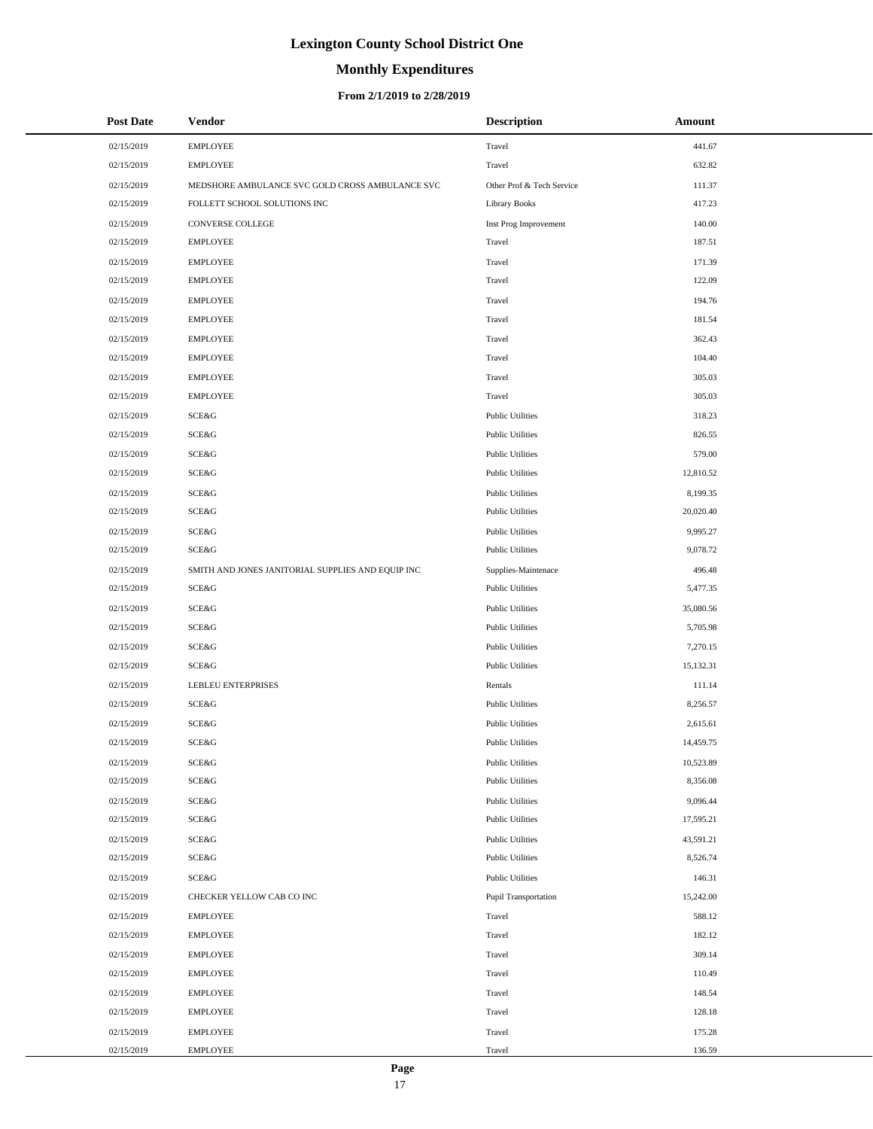# **Monthly Expenditures**

#### **From 2/1/2019 to 2/28/2019**

| <b>Post Date</b> | <b>Vendor</b>                                     | <b>Description</b>        | Amount    |
|------------------|---------------------------------------------------|---------------------------|-----------|
| 02/15/2019       | <b>EMPLOYEE</b>                                   | Travel                    | 441.67    |
| 02/15/2019       | <b>EMPLOYEE</b>                                   | Travel                    | 632.82    |
| 02/15/2019       | MEDSHORE AMBULANCE SVC GOLD CROSS AMBULANCE SVC   | Other Prof & Tech Service | 111.37    |
| 02/15/2019       | FOLLETT SCHOOL SOLUTIONS INC                      | <b>Library Books</b>      | 417.23    |
| 02/15/2019       | CONVERSE COLLEGE                                  | Inst Prog Improvement     | 140.00    |
| 02/15/2019       | <b>EMPLOYEE</b>                                   | Travel                    | 187.51    |
| 02/15/2019       | <b>EMPLOYEE</b>                                   | Travel                    | 171.39    |
| 02/15/2019       | <b>EMPLOYEE</b>                                   | Travel                    | 122.09    |
| 02/15/2019       | <b>EMPLOYEE</b>                                   | Travel                    | 194.76    |
| 02/15/2019       | <b>EMPLOYEE</b>                                   | Travel                    | 181.54    |
| 02/15/2019       | <b>EMPLOYEE</b>                                   | Travel                    | 362.43    |
| 02/15/2019       | <b>EMPLOYEE</b>                                   | Travel                    | 104.40    |
| 02/15/2019       | <b>EMPLOYEE</b>                                   | Travel                    | 305.03    |
| 02/15/2019       | <b>EMPLOYEE</b>                                   | Travel                    | 305.03    |
| 02/15/2019       | SCE&G                                             | <b>Public Utilities</b>   | 318.23    |
| 02/15/2019       | SCE&G                                             | <b>Public Utilities</b>   | 826.55    |
| 02/15/2019       | SCE&G                                             | <b>Public Utilities</b>   | 579.00    |
| 02/15/2019       | SCE&G                                             | <b>Public Utilities</b>   | 12,810.52 |
| 02/15/2019       | SCE&G                                             | <b>Public Utilities</b>   | 8,199.35  |
| 02/15/2019       | SCE&G                                             | <b>Public Utilities</b>   | 20,020.40 |
| 02/15/2019       | SCE&G                                             | <b>Public Utilities</b>   | 9,995.27  |
| 02/15/2019       | SCE&G                                             | <b>Public Utilities</b>   | 9,078.72  |
| 02/15/2019       | SMITH AND JONES JANITORIAL SUPPLIES AND EQUIP INC | Supplies-Maintenace       | 496.48    |
| 02/15/2019       | SCE&G                                             | <b>Public Utilities</b>   | 5,477.35  |
| 02/15/2019       | SCE&G                                             | <b>Public Utilities</b>   | 35,080.56 |
| 02/15/2019       | SCE&G                                             | <b>Public Utilities</b>   | 5,705.98  |
| 02/15/2019       | SCE&G                                             | <b>Public Utilities</b>   | 7,270.15  |
| 02/15/2019       | SCE&G                                             | <b>Public Utilities</b>   | 15,132.31 |
| 02/15/2019       | LEBLEU ENTERPRISES                                | Rentals                   | 111.14    |
| 02/15/2019       | SCE&G                                             | <b>Public Utilities</b>   | 8,256.57  |
| 02/15/2019       | SCE&G                                             | <b>Public Utilities</b>   | 2,615.61  |
| 02/15/2019       | SCE&G                                             | <b>Public Utilities</b>   | 14,459.75 |
| 02/15/2019       | SCE&G                                             | <b>Public Utilities</b>   | 10,523.89 |
| 02/15/2019       | SCE&G                                             | <b>Public Utilities</b>   | 8,356.08  |
| 02/15/2019       | SCE&G                                             | <b>Public Utilities</b>   | 9,096.44  |
| 02/15/2019       | SCE&G                                             | <b>Public Utilities</b>   | 17,595.21 |
| 02/15/2019       | SCE&G                                             | <b>Public Utilities</b>   | 43,591.21 |
| 02/15/2019       | SCE&G                                             | <b>Public Utilities</b>   | 8,526.74  |
| 02/15/2019       | SCE&G                                             | <b>Public Utilities</b>   | 146.31    |
| 02/15/2019       | CHECKER YELLOW CAB CO INC                         | Pupil Transportation      | 15,242.00 |
| 02/15/2019       | <b>EMPLOYEE</b>                                   | Travel                    | 588.12    |
| 02/15/2019       | <b>EMPLOYEE</b>                                   | Travel                    | 182.12    |
| 02/15/2019       | <b>EMPLOYEE</b>                                   | Travel                    | 309.14    |
| 02/15/2019       | <b>EMPLOYEE</b>                                   | Travel                    | 110.49    |
| 02/15/2019       | <b>EMPLOYEE</b>                                   | Travel                    | 148.54    |
| 02/15/2019       | <b>EMPLOYEE</b>                                   | Travel                    | 128.18    |
| 02/15/2019       | <b>EMPLOYEE</b>                                   | Travel                    | 175.28    |
| 02/15/2019       | <b>EMPLOYEE</b>                                   | Travel                    | 136.59    |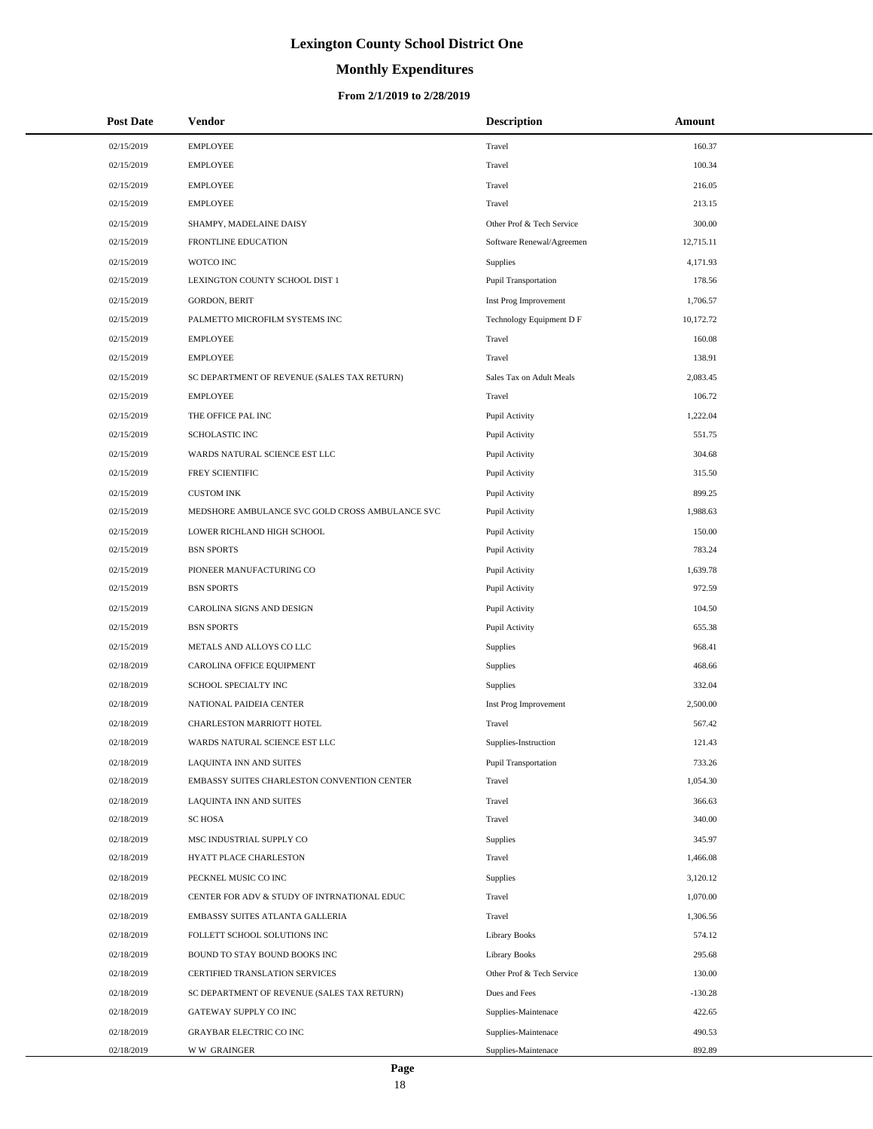# **Monthly Expenditures**

#### **From 2/1/2019 to 2/28/2019**

| <b>Post Date</b> | <b>Vendor</b>                                   | <b>Description</b>        | Amount    |
|------------------|-------------------------------------------------|---------------------------|-----------|
| 02/15/2019       | <b>EMPLOYEE</b>                                 | Travel                    | 160.37    |
| 02/15/2019       | <b>EMPLOYEE</b>                                 | Travel                    | 100.34    |
| 02/15/2019       | <b>EMPLOYEE</b>                                 | Travel                    | 216.05    |
| 02/15/2019       | <b>EMPLOYEE</b>                                 | Travel                    | 213.15    |
| 02/15/2019       | SHAMPY, MADELAINE DAISY                         | Other Prof & Tech Service | 300.00    |
| 02/15/2019       | FRONTLINE EDUCATION                             | Software Renewal/Agreemen | 12,715.11 |
| 02/15/2019       | WOTCO INC                                       | <b>Supplies</b>           | 4,171.93  |
| 02/15/2019       | LEXINGTON COUNTY SCHOOL DIST 1                  | Pupil Transportation      | 178.56    |
| 02/15/2019       | <b>GORDON, BERIT</b>                            | Inst Prog Improvement     | 1,706.57  |
| 02/15/2019       | PALMETTO MICROFILM SYSTEMS INC                  | Technology Equipment D F  | 10,172.72 |
| 02/15/2019       | <b>EMPLOYEE</b>                                 | Travel                    | 160.08    |
| 02/15/2019       | <b>EMPLOYEE</b>                                 | Travel                    | 138.91    |
| 02/15/2019       | SC DEPARTMENT OF REVENUE (SALES TAX RETURN)     | Sales Tax on Adult Meals  | 2,083.45  |
| 02/15/2019       | <b>EMPLOYEE</b>                                 | Travel                    | 106.72    |
| 02/15/2019       | THE OFFICE PAL INC                              | Pupil Activity            | 1,222.04  |
| 02/15/2019       | <b>SCHOLASTIC INC</b>                           | Pupil Activity            | 551.75    |
| 02/15/2019       | WARDS NATURAL SCIENCE EST LLC                   | Pupil Activity            | 304.68    |
| 02/15/2019       | FREY SCIENTIFIC                                 | Pupil Activity            | 315.50    |
| 02/15/2019       | <b>CUSTOM INK</b>                               | Pupil Activity            | 899.25    |
| 02/15/2019       | MEDSHORE AMBULANCE SVC GOLD CROSS AMBULANCE SVC | Pupil Activity            | 1,988.63  |
| 02/15/2019       | LOWER RICHLAND HIGH SCHOOL                      | Pupil Activity            | 150.00    |
| 02/15/2019       | <b>BSN SPORTS</b>                               | Pupil Activity            | 783.24    |
| 02/15/2019       | PIONEER MANUFACTURING CO                        | Pupil Activity            | 1,639.78  |
| 02/15/2019       | <b>BSN SPORTS</b>                               | Pupil Activity            | 972.59    |
| 02/15/2019       | CAROLINA SIGNS AND DESIGN                       | Pupil Activity            | 104.50    |
| 02/15/2019       | <b>BSN SPORTS</b>                               | Pupil Activity            | 655.38    |
| 02/15/2019       | METALS AND ALLOYS CO LLC                        | <b>Supplies</b>           | 968.41    |
| 02/18/2019       | CAROLINA OFFICE EQUIPMENT                       | Supplies                  | 468.66    |
| 02/18/2019       | SCHOOL SPECIALTY INC                            | Supplies                  | 332.04    |
| 02/18/2019       | NATIONAL PAIDEIA CENTER                         | Inst Prog Improvement     | 2,500.00  |
| 02/18/2019       | CHARLESTON MARRIOTT HOTEL                       | Travel                    | 567.42    |
| 02/18/2019       | WARDS NATURAL SCIENCE EST LLC                   | Supplies-Instruction      | 121.43    |
| 02/18/2019       | LAQUINTA INN AND SUITES                         | Pupil Transportation      | 733.26    |
| 02/18/2019       | EMBASSY SUITES CHARLESTON CONVENTION CENTER     | Travel                    | 1,054.30  |
| 02/18/2019       | LAQUINTA INN AND SUITES                         | Travel                    | 366.63    |
| 02/18/2019       | <b>SC HOSA</b>                                  | Travel                    | 340.00    |
| 02/18/2019       | MSC INDUSTRIAL SUPPLY CO                        | Supplies                  | 345.97    |
| 02/18/2019       | HYATT PLACE CHARLESTON                          | Travel                    | 1,466.08  |
| 02/18/2019       | PECKNEL MUSIC CO INC                            | <b>Supplies</b>           | 3,120.12  |
| 02/18/2019       | CENTER FOR ADV & STUDY OF INTRNATIONAL EDUC     | Travel                    | 1,070.00  |
| 02/18/2019       | EMBASSY SUITES ATLANTA GALLERIA                 | Travel                    | 1,306.56  |
| 02/18/2019       | FOLLETT SCHOOL SOLUTIONS INC                    | <b>Library Books</b>      | 574.12    |
| 02/18/2019       | BOUND TO STAY BOUND BOOKS INC                   | <b>Library Books</b>      | 295.68    |
| 02/18/2019       | CERTIFIED TRANSLATION SERVICES                  | Other Prof & Tech Service | 130.00    |
| 02/18/2019       | SC DEPARTMENT OF REVENUE (SALES TAX RETURN)     | Dues and Fees             | $-130.28$ |
| 02/18/2019       | GATEWAY SUPPLY CO INC                           | Supplies-Maintenace       | 422.65    |
| 02/18/2019       | GRAYBAR ELECTRIC CO INC                         | Supplies-Maintenace       | 490.53    |
| 02/18/2019       | <b>WW GRAINGER</b>                              | Supplies-Maintenace       | 892.89    |

L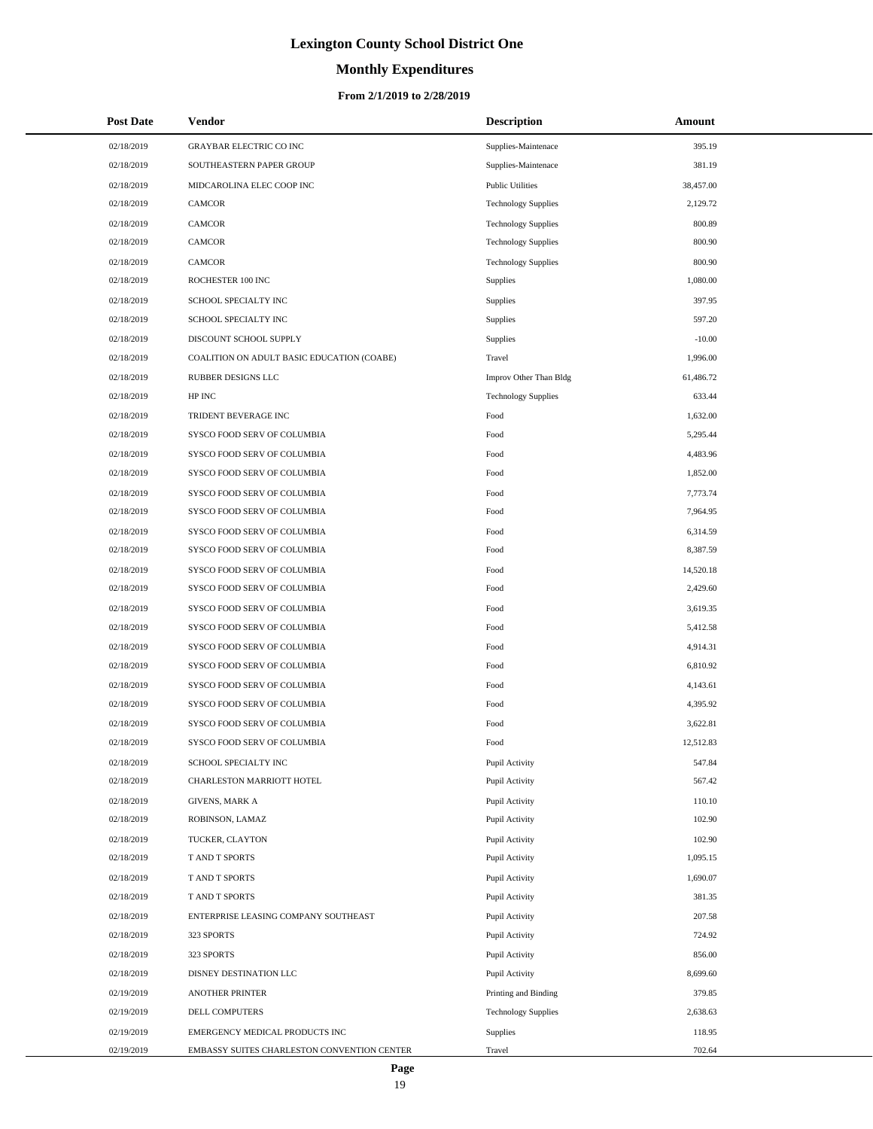# **Monthly Expenditures**

#### **From 2/1/2019 to 2/28/2019**

| 02/18/2019<br><b>GRAYBAR ELECTRIC CO INC</b><br>395.19<br>Supplies-Maintenace<br>02/18/2019<br>381.19<br>SOUTHEASTERN PAPER GROUP<br>Supplies-Maintenace<br>MIDCAROLINA ELEC COOP INC<br>02/18/2019<br><b>Public Utilities</b><br>38,457.00<br>2,129.72<br>02/18/2019<br><b>CAMCOR</b><br><b>Technology Supplies</b><br>CAMCOR<br>800.89<br>02/18/2019<br><b>Technology Supplies</b><br>02/18/2019<br>800.90<br><b>CAMCOR</b><br><b>Technology Supplies</b><br>800.90<br>02/18/2019<br><b>CAMCOR</b><br><b>Technology Supplies</b><br>1,080.00<br>02/18/2019<br>ROCHESTER 100 INC<br>Supplies<br>397.95<br>02/18/2019<br>SCHOOL SPECIALTY INC<br>Supplies<br>597.20<br>02/18/2019<br>SCHOOL SPECIALTY INC<br>Supplies<br>DISCOUNT SCHOOL SUPPLY<br>$-10.00$<br>02/18/2019<br>Supplies<br>02/18/2019<br>COALITION ON ADULT BASIC EDUCATION (COABE)<br>Travel<br>1,996.00<br>RUBBER DESIGNS LLC<br>61,486.72<br>02/18/2019<br>Improv Other Than Bldg<br>633.44<br>02/18/2019<br>HP INC<br><b>Technology Supplies</b><br>TRIDENT BEVERAGE INC<br>1,632.00<br>02/18/2019<br>Food<br>Food<br>02/18/2019<br>SYSCO FOOD SERV OF COLUMBIA<br>5,295.44<br>02/18/2019<br>SYSCO FOOD SERV OF COLUMBIA<br>Food<br>4,483.96<br>02/18/2019<br>SYSCO FOOD SERV OF COLUMBIA<br>Food<br>1,852.00<br>Food<br>7,773.74<br>02/18/2019<br>SYSCO FOOD SERV OF COLUMBIA<br>02/18/2019<br>SYSCO FOOD SERV OF COLUMBIA<br>Food<br>7,964.95<br>02/18/2019<br>SYSCO FOOD SERV OF COLUMBIA<br>Food<br>6,314.59<br>02/18/2019<br>Food<br>8,387.59<br>SYSCO FOOD SERV OF COLUMBIA<br>Food<br>14,520.18<br>02/18/2019<br>SYSCO FOOD SERV OF COLUMBIA<br>2,429.60<br>02/18/2019<br>SYSCO FOOD SERV OF COLUMBIA<br>Food<br>02/18/2019<br>SYSCO FOOD SERV OF COLUMBIA<br>Food<br>3,619.35<br>Food<br>02/18/2019<br>SYSCO FOOD SERV OF COLUMBIA<br>5,412.58<br>02/18/2019<br>SYSCO FOOD SERV OF COLUMBIA<br>Food<br>4,914.31<br>6,810.92<br>02/18/2019<br>SYSCO FOOD SERV OF COLUMBIA<br>Food<br>02/18/2019<br>SYSCO FOOD SERV OF COLUMBIA<br>Food<br>4,143.61<br>4,395.92<br>02/18/2019<br>SYSCO FOOD SERV OF COLUMBIA<br>Food<br>02/18/2019<br>SYSCO FOOD SERV OF COLUMBIA<br>Food<br>3,622.81<br>SYSCO FOOD SERV OF COLUMBIA<br>12,512.83<br>02/18/2019<br>Food<br>02/18/2019<br>Pupil Activity<br>547.84<br>SCHOOL SPECIALTY INC<br>02/18/2019<br>567.42<br>CHARLESTON MARRIOTT HOTEL<br>Pupil Activity<br>02/18/2019<br>110.10<br>GIVENS, MARK A<br>Pupil Activity<br>02/18/2019<br>Pupil Activity<br>102.90<br>ROBINSON, LAMAZ<br>102.90<br>02/18/2019<br>TUCKER, CLAYTON<br>Pupil Activity<br>02/18/2019<br>T AND T SPORTS<br>1,095.15<br>Pupil Activity |
|------------------------------------------------------------------------------------------------------------------------------------------------------------------------------------------------------------------------------------------------------------------------------------------------------------------------------------------------------------------------------------------------------------------------------------------------------------------------------------------------------------------------------------------------------------------------------------------------------------------------------------------------------------------------------------------------------------------------------------------------------------------------------------------------------------------------------------------------------------------------------------------------------------------------------------------------------------------------------------------------------------------------------------------------------------------------------------------------------------------------------------------------------------------------------------------------------------------------------------------------------------------------------------------------------------------------------------------------------------------------------------------------------------------------------------------------------------------------------------------------------------------------------------------------------------------------------------------------------------------------------------------------------------------------------------------------------------------------------------------------------------------------------------------------------------------------------------------------------------------------------------------------------------------------------------------------------------------------------------------------------------------------------------------------------------------------------------------------------------------------------------------------------------------------------------------------------------------------------------------------------------------------------------------------------------------------------------------------------------------------------------------------------------------------------------------------------------------------------------------------------------------------------------------------------------------------------------------------------------------------------|
|                                                                                                                                                                                                                                                                                                                                                                                                                                                                                                                                                                                                                                                                                                                                                                                                                                                                                                                                                                                                                                                                                                                                                                                                                                                                                                                                                                                                                                                                                                                                                                                                                                                                                                                                                                                                                                                                                                                                                                                                                                                                                                                                                                                                                                                                                                                                                                                                                                                                                                                                                                                                                              |
|                                                                                                                                                                                                                                                                                                                                                                                                                                                                                                                                                                                                                                                                                                                                                                                                                                                                                                                                                                                                                                                                                                                                                                                                                                                                                                                                                                                                                                                                                                                                                                                                                                                                                                                                                                                                                                                                                                                                                                                                                                                                                                                                                                                                                                                                                                                                                                                                                                                                                                                                                                                                                              |
|                                                                                                                                                                                                                                                                                                                                                                                                                                                                                                                                                                                                                                                                                                                                                                                                                                                                                                                                                                                                                                                                                                                                                                                                                                                                                                                                                                                                                                                                                                                                                                                                                                                                                                                                                                                                                                                                                                                                                                                                                                                                                                                                                                                                                                                                                                                                                                                                                                                                                                                                                                                                                              |
|                                                                                                                                                                                                                                                                                                                                                                                                                                                                                                                                                                                                                                                                                                                                                                                                                                                                                                                                                                                                                                                                                                                                                                                                                                                                                                                                                                                                                                                                                                                                                                                                                                                                                                                                                                                                                                                                                                                                                                                                                                                                                                                                                                                                                                                                                                                                                                                                                                                                                                                                                                                                                              |
|                                                                                                                                                                                                                                                                                                                                                                                                                                                                                                                                                                                                                                                                                                                                                                                                                                                                                                                                                                                                                                                                                                                                                                                                                                                                                                                                                                                                                                                                                                                                                                                                                                                                                                                                                                                                                                                                                                                                                                                                                                                                                                                                                                                                                                                                                                                                                                                                                                                                                                                                                                                                                              |
|                                                                                                                                                                                                                                                                                                                                                                                                                                                                                                                                                                                                                                                                                                                                                                                                                                                                                                                                                                                                                                                                                                                                                                                                                                                                                                                                                                                                                                                                                                                                                                                                                                                                                                                                                                                                                                                                                                                                                                                                                                                                                                                                                                                                                                                                                                                                                                                                                                                                                                                                                                                                                              |
|                                                                                                                                                                                                                                                                                                                                                                                                                                                                                                                                                                                                                                                                                                                                                                                                                                                                                                                                                                                                                                                                                                                                                                                                                                                                                                                                                                                                                                                                                                                                                                                                                                                                                                                                                                                                                                                                                                                                                                                                                                                                                                                                                                                                                                                                                                                                                                                                                                                                                                                                                                                                                              |
|                                                                                                                                                                                                                                                                                                                                                                                                                                                                                                                                                                                                                                                                                                                                                                                                                                                                                                                                                                                                                                                                                                                                                                                                                                                                                                                                                                                                                                                                                                                                                                                                                                                                                                                                                                                                                                                                                                                                                                                                                                                                                                                                                                                                                                                                                                                                                                                                                                                                                                                                                                                                                              |
|                                                                                                                                                                                                                                                                                                                                                                                                                                                                                                                                                                                                                                                                                                                                                                                                                                                                                                                                                                                                                                                                                                                                                                                                                                                                                                                                                                                                                                                                                                                                                                                                                                                                                                                                                                                                                                                                                                                                                                                                                                                                                                                                                                                                                                                                                                                                                                                                                                                                                                                                                                                                                              |
|                                                                                                                                                                                                                                                                                                                                                                                                                                                                                                                                                                                                                                                                                                                                                                                                                                                                                                                                                                                                                                                                                                                                                                                                                                                                                                                                                                                                                                                                                                                                                                                                                                                                                                                                                                                                                                                                                                                                                                                                                                                                                                                                                                                                                                                                                                                                                                                                                                                                                                                                                                                                                              |
|                                                                                                                                                                                                                                                                                                                                                                                                                                                                                                                                                                                                                                                                                                                                                                                                                                                                                                                                                                                                                                                                                                                                                                                                                                                                                                                                                                                                                                                                                                                                                                                                                                                                                                                                                                                                                                                                                                                                                                                                                                                                                                                                                                                                                                                                                                                                                                                                                                                                                                                                                                                                                              |
|                                                                                                                                                                                                                                                                                                                                                                                                                                                                                                                                                                                                                                                                                                                                                                                                                                                                                                                                                                                                                                                                                                                                                                                                                                                                                                                                                                                                                                                                                                                                                                                                                                                                                                                                                                                                                                                                                                                                                                                                                                                                                                                                                                                                                                                                                                                                                                                                                                                                                                                                                                                                                              |
|                                                                                                                                                                                                                                                                                                                                                                                                                                                                                                                                                                                                                                                                                                                                                                                                                                                                                                                                                                                                                                                                                                                                                                                                                                                                                                                                                                                                                                                                                                                                                                                                                                                                                                                                                                                                                                                                                                                                                                                                                                                                                                                                                                                                                                                                                                                                                                                                                                                                                                                                                                                                                              |
|                                                                                                                                                                                                                                                                                                                                                                                                                                                                                                                                                                                                                                                                                                                                                                                                                                                                                                                                                                                                                                                                                                                                                                                                                                                                                                                                                                                                                                                                                                                                                                                                                                                                                                                                                                                                                                                                                                                                                                                                                                                                                                                                                                                                                                                                                                                                                                                                                                                                                                                                                                                                                              |
|                                                                                                                                                                                                                                                                                                                                                                                                                                                                                                                                                                                                                                                                                                                                                                                                                                                                                                                                                                                                                                                                                                                                                                                                                                                                                                                                                                                                                                                                                                                                                                                                                                                                                                                                                                                                                                                                                                                                                                                                                                                                                                                                                                                                                                                                                                                                                                                                                                                                                                                                                                                                                              |
|                                                                                                                                                                                                                                                                                                                                                                                                                                                                                                                                                                                                                                                                                                                                                                                                                                                                                                                                                                                                                                                                                                                                                                                                                                                                                                                                                                                                                                                                                                                                                                                                                                                                                                                                                                                                                                                                                                                                                                                                                                                                                                                                                                                                                                                                                                                                                                                                                                                                                                                                                                                                                              |
|                                                                                                                                                                                                                                                                                                                                                                                                                                                                                                                                                                                                                                                                                                                                                                                                                                                                                                                                                                                                                                                                                                                                                                                                                                                                                                                                                                                                                                                                                                                                                                                                                                                                                                                                                                                                                                                                                                                                                                                                                                                                                                                                                                                                                                                                                                                                                                                                                                                                                                                                                                                                                              |
|                                                                                                                                                                                                                                                                                                                                                                                                                                                                                                                                                                                                                                                                                                                                                                                                                                                                                                                                                                                                                                                                                                                                                                                                                                                                                                                                                                                                                                                                                                                                                                                                                                                                                                                                                                                                                                                                                                                                                                                                                                                                                                                                                                                                                                                                                                                                                                                                                                                                                                                                                                                                                              |
|                                                                                                                                                                                                                                                                                                                                                                                                                                                                                                                                                                                                                                                                                                                                                                                                                                                                                                                                                                                                                                                                                                                                                                                                                                                                                                                                                                                                                                                                                                                                                                                                                                                                                                                                                                                                                                                                                                                                                                                                                                                                                                                                                                                                                                                                                                                                                                                                                                                                                                                                                                                                                              |
|                                                                                                                                                                                                                                                                                                                                                                                                                                                                                                                                                                                                                                                                                                                                                                                                                                                                                                                                                                                                                                                                                                                                                                                                                                                                                                                                                                                                                                                                                                                                                                                                                                                                                                                                                                                                                                                                                                                                                                                                                                                                                                                                                                                                                                                                                                                                                                                                                                                                                                                                                                                                                              |
|                                                                                                                                                                                                                                                                                                                                                                                                                                                                                                                                                                                                                                                                                                                                                                                                                                                                                                                                                                                                                                                                                                                                                                                                                                                                                                                                                                                                                                                                                                                                                                                                                                                                                                                                                                                                                                                                                                                                                                                                                                                                                                                                                                                                                                                                                                                                                                                                                                                                                                                                                                                                                              |
|                                                                                                                                                                                                                                                                                                                                                                                                                                                                                                                                                                                                                                                                                                                                                                                                                                                                                                                                                                                                                                                                                                                                                                                                                                                                                                                                                                                                                                                                                                                                                                                                                                                                                                                                                                                                                                                                                                                                                                                                                                                                                                                                                                                                                                                                                                                                                                                                                                                                                                                                                                                                                              |
|                                                                                                                                                                                                                                                                                                                                                                                                                                                                                                                                                                                                                                                                                                                                                                                                                                                                                                                                                                                                                                                                                                                                                                                                                                                                                                                                                                                                                                                                                                                                                                                                                                                                                                                                                                                                                                                                                                                                                                                                                                                                                                                                                                                                                                                                                                                                                                                                                                                                                                                                                                                                                              |
|                                                                                                                                                                                                                                                                                                                                                                                                                                                                                                                                                                                                                                                                                                                                                                                                                                                                                                                                                                                                                                                                                                                                                                                                                                                                                                                                                                                                                                                                                                                                                                                                                                                                                                                                                                                                                                                                                                                                                                                                                                                                                                                                                                                                                                                                                                                                                                                                                                                                                                                                                                                                                              |
|                                                                                                                                                                                                                                                                                                                                                                                                                                                                                                                                                                                                                                                                                                                                                                                                                                                                                                                                                                                                                                                                                                                                                                                                                                                                                                                                                                                                                                                                                                                                                                                                                                                                                                                                                                                                                                                                                                                                                                                                                                                                                                                                                                                                                                                                                                                                                                                                                                                                                                                                                                                                                              |
|                                                                                                                                                                                                                                                                                                                                                                                                                                                                                                                                                                                                                                                                                                                                                                                                                                                                                                                                                                                                                                                                                                                                                                                                                                                                                                                                                                                                                                                                                                                                                                                                                                                                                                                                                                                                                                                                                                                                                                                                                                                                                                                                                                                                                                                                                                                                                                                                                                                                                                                                                                                                                              |
|                                                                                                                                                                                                                                                                                                                                                                                                                                                                                                                                                                                                                                                                                                                                                                                                                                                                                                                                                                                                                                                                                                                                                                                                                                                                                                                                                                                                                                                                                                                                                                                                                                                                                                                                                                                                                                                                                                                                                                                                                                                                                                                                                                                                                                                                                                                                                                                                                                                                                                                                                                                                                              |
|                                                                                                                                                                                                                                                                                                                                                                                                                                                                                                                                                                                                                                                                                                                                                                                                                                                                                                                                                                                                                                                                                                                                                                                                                                                                                                                                                                                                                                                                                                                                                                                                                                                                                                                                                                                                                                                                                                                                                                                                                                                                                                                                                                                                                                                                                                                                                                                                                                                                                                                                                                                                                              |
|                                                                                                                                                                                                                                                                                                                                                                                                                                                                                                                                                                                                                                                                                                                                                                                                                                                                                                                                                                                                                                                                                                                                                                                                                                                                                                                                                                                                                                                                                                                                                                                                                                                                                                                                                                                                                                                                                                                                                                                                                                                                                                                                                                                                                                                                                                                                                                                                                                                                                                                                                                                                                              |
|                                                                                                                                                                                                                                                                                                                                                                                                                                                                                                                                                                                                                                                                                                                                                                                                                                                                                                                                                                                                                                                                                                                                                                                                                                                                                                                                                                                                                                                                                                                                                                                                                                                                                                                                                                                                                                                                                                                                                                                                                                                                                                                                                                                                                                                                                                                                                                                                                                                                                                                                                                                                                              |
|                                                                                                                                                                                                                                                                                                                                                                                                                                                                                                                                                                                                                                                                                                                                                                                                                                                                                                                                                                                                                                                                                                                                                                                                                                                                                                                                                                                                                                                                                                                                                                                                                                                                                                                                                                                                                                                                                                                                                                                                                                                                                                                                                                                                                                                                                                                                                                                                                                                                                                                                                                                                                              |
|                                                                                                                                                                                                                                                                                                                                                                                                                                                                                                                                                                                                                                                                                                                                                                                                                                                                                                                                                                                                                                                                                                                                                                                                                                                                                                                                                                                                                                                                                                                                                                                                                                                                                                                                                                                                                                                                                                                                                                                                                                                                                                                                                                                                                                                                                                                                                                                                                                                                                                                                                                                                                              |
|                                                                                                                                                                                                                                                                                                                                                                                                                                                                                                                                                                                                                                                                                                                                                                                                                                                                                                                                                                                                                                                                                                                                                                                                                                                                                                                                                                                                                                                                                                                                                                                                                                                                                                                                                                                                                                                                                                                                                                                                                                                                                                                                                                                                                                                                                                                                                                                                                                                                                                                                                                                                                              |
|                                                                                                                                                                                                                                                                                                                                                                                                                                                                                                                                                                                                                                                                                                                                                                                                                                                                                                                                                                                                                                                                                                                                                                                                                                                                                                                                                                                                                                                                                                                                                                                                                                                                                                                                                                                                                                                                                                                                                                                                                                                                                                                                                                                                                                                                                                                                                                                                                                                                                                                                                                                                                              |
|                                                                                                                                                                                                                                                                                                                                                                                                                                                                                                                                                                                                                                                                                                                                                                                                                                                                                                                                                                                                                                                                                                                                                                                                                                                                                                                                                                                                                                                                                                                                                                                                                                                                                                                                                                                                                                                                                                                                                                                                                                                                                                                                                                                                                                                                                                                                                                                                                                                                                                                                                                                                                              |
|                                                                                                                                                                                                                                                                                                                                                                                                                                                                                                                                                                                                                                                                                                                                                                                                                                                                                                                                                                                                                                                                                                                                                                                                                                                                                                                                                                                                                                                                                                                                                                                                                                                                                                                                                                                                                                                                                                                                                                                                                                                                                                                                                                                                                                                                                                                                                                                                                                                                                                                                                                                                                              |
|                                                                                                                                                                                                                                                                                                                                                                                                                                                                                                                                                                                                                                                                                                                                                                                                                                                                                                                                                                                                                                                                                                                                                                                                                                                                                                                                                                                                                                                                                                                                                                                                                                                                                                                                                                                                                                                                                                                                                                                                                                                                                                                                                                                                                                                                                                                                                                                                                                                                                                                                                                                                                              |
|                                                                                                                                                                                                                                                                                                                                                                                                                                                                                                                                                                                                                                                                                                                                                                                                                                                                                                                                                                                                                                                                                                                                                                                                                                                                                                                                                                                                                                                                                                                                                                                                                                                                                                                                                                                                                                                                                                                                                                                                                                                                                                                                                                                                                                                                                                                                                                                                                                                                                                                                                                                                                              |
| T AND T SPORTS<br>1,690.07<br>02/18/2019<br>Pupil Activity                                                                                                                                                                                                                                                                                                                                                                                                                                                                                                                                                                                                                                                                                                                                                                                                                                                                                                                                                                                                                                                                                                                                                                                                                                                                                                                                                                                                                                                                                                                                                                                                                                                                                                                                                                                                                                                                                                                                                                                                                                                                                                                                                                                                                                                                                                                                                                                                                                                                                                                                                                   |
| T AND T SPORTS<br>381.35<br>02/18/2019<br>Pupil Activity                                                                                                                                                                                                                                                                                                                                                                                                                                                                                                                                                                                                                                                                                                                                                                                                                                                                                                                                                                                                                                                                                                                                                                                                                                                                                                                                                                                                                                                                                                                                                                                                                                                                                                                                                                                                                                                                                                                                                                                                                                                                                                                                                                                                                                                                                                                                                                                                                                                                                                                                                                     |
| ENTERPRISE LEASING COMPANY SOUTHEAST<br>207.58<br>02/18/2019<br>Pupil Activity                                                                                                                                                                                                                                                                                                                                                                                                                                                                                                                                                                                                                                                                                                                                                                                                                                                                                                                                                                                                                                                                                                                                                                                                                                                                                                                                                                                                                                                                                                                                                                                                                                                                                                                                                                                                                                                                                                                                                                                                                                                                                                                                                                                                                                                                                                                                                                                                                                                                                                                                               |
| 02/18/2019<br>724.92<br>323 SPORTS<br>Pupil Activity                                                                                                                                                                                                                                                                                                                                                                                                                                                                                                                                                                                                                                                                                                                                                                                                                                                                                                                                                                                                                                                                                                                                                                                                                                                                                                                                                                                                                                                                                                                                                                                                                                                                                                                                                                                                                                                                                                                                                                                                                                                                                                                                                                                                                                                                                                                                                                                                                                                                                                                                                                         |
| 856.00<br>02/18/2019<br>323 SPORTS<br>Pupil Activity                                                                                                                                                                                                                                                                                                                                                                                                                                                                                                                                                                                                                                                                                                                                                                                                                                                                                                                                                                                                                                                                                                                                                                                                                                                                                                                                                                                                                                                                                                                                                                                                                                                                                                                                                                                                                                                                                                                                                                                                                                                                                                                                                                                                                                                                                                                                                                                                                                                                                                                                                                         |
| Pupil Activity<br>8,699.60<br>02/18/2019<br>DISNEY DESTINATION LLC                                                                                                                                                                                                                                                                                                                                                                                                                                                                                                                                                                                                                                                                                                                                                                                                                                                                                                                                                                                                                                                                                                                                                                                                                                                                                                                                                                                                                                                                                                                                                                                                                                                                                                                                                                                                                                                                                                                                                                                                                                                                                                                                                                                                                                                                                                                                                                                                                                                                                                                                                           |
| 379.85<br>02/19/2019<br><b>ANOTHER PRINTER</b><br>Printing and Binding                                                                                                                                                                                                                                                                                                                                                                                                                                                                                                                                                                                                                                                                                                                                                                                                                                                                                                                                                                                                                                                                                                                                                                                                                                                                                                                                                                                                                                                                                                                                                                                                                                                                                                                                                                                                                                                                                                                                                                                                                                                                                                                                                                                                                                                                                                                                                                                                                                                                                                                                                       |
| 02/19/2019<br>DELL COMPUTERS<br><b>Technology Supplies</b><br>2,638.63<br>02/19/2019<br>EMERGENCY MEDICAL PRODUCTS INC<br>118.95                                                                                                                                                                                                                                                                                                                                                                                                                                                                                                                                                                                                                                                                                                                                                                                                                                                                                                                                                                                                                                                                                                                                                                                                                                                                                                                                                                                                                                                                                                                                                                                                                                                                                                                                                                                                                                                                                                                                                                                                                                                                                                                                                                                                                                                                                                                                                                                                                                                                                             |
| Supplies<br>02/19/2019<br>EMBASSY SUITES CHARLESTON CONVENTION CENTER<br>702.64<br>Travel                                                                                                                                                                                                                                                                                                                                                                                                                                                                                                                                                                                                                                                                                                                                                                                                                                                                                                                                                                                                                                                                                                                                                                                                                                                                                                                                                                                                                                                                                                                                                                                                                                                                                                                                                                                                                                                                                                                                                                                                                                                                                                                                                                                                                                                                                                                                                                                                                                                                                                                                    |

L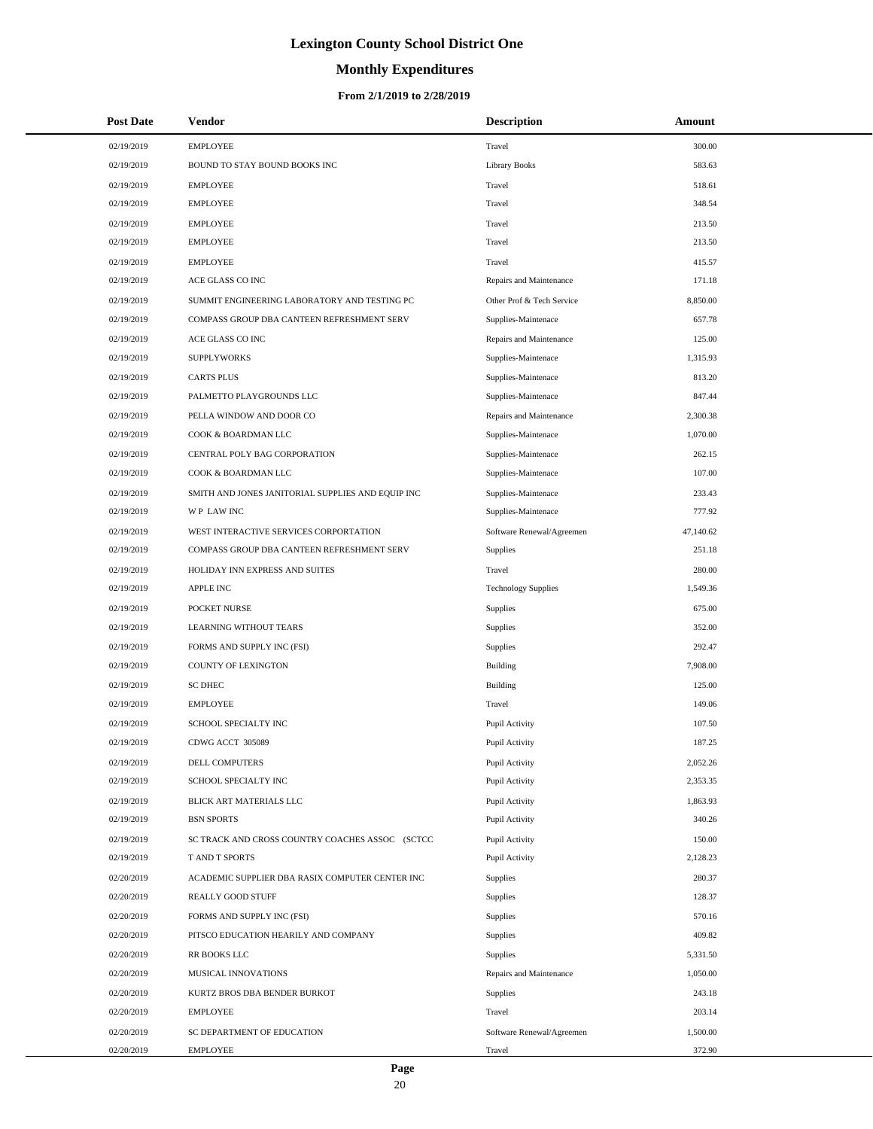# **Monthly Expenditures**

#### **From 2/1/2019 to 2/28/2019**

| <b>Post Date</b> | Vendor                                            | <b>Description</b>         | Amount    |
|------------------|---------------------------------------------------|----------------------------|-----------|
| 02/19/2019       | <b>EMPLOYEE</b>                                   | Travel                     | 300.00    |
| 02/19/2019       | BOUND TO STAY BOUND BOOKS INC                     | Library Books              | 583.63    |
| 02/19/2019       | <b>EMPLOYEE</b>                                   | Travel                     | 518.61    |
| 02/19/2019       | <b>EMPLOYEE</b>                                   | Travel                     | 348.54    |
| 02/19/2019       | <b>EMPLOYEE</b>                                   | Travel                     | 213.50    |
| 02/19/2019       | <b>EMPLOYEE</b>                                   | Travel                     | 213.50    |
| 02/19/2019       | <b>EMPLOYEE</b>                                   | Travel                     | 415.57    |
| 02/19/2019       | ACE GLASS CO INC                                  | Repairs and Maintenance    | 171.18    |
| 02/19/2019       | SUMMIT ENGINEERING LABORATORY AND TESTING PC      | Other Prof & Tech Service  | 8,850.00  |
| 02/19/2019       | COMPASS GROUP DBA CANTEEN REFRESHMENT SERV        | Supplies-Maintenace        | 657.78    |
| 02/19/2019       | ACE GLASS CO INC                                  | Repairs and Maintenance    | 125.00    |
| 02/19/2019       | <b>SUPPLYWORKS</b>                                | Supplies-Maintenace        | 1,315.93  |
| 02/19/2019       | <b>CARTS PLUS</b>                                 | Supplies-Maintenace        | 813.20    |
| 02/19/2019       | PALMETTO PLAYGROUNDS LLC                          | Supplies-Maintenace        | 847.44    |
| 02/19/2019       | PELLA WINDOW AND DOOR CO                          | Repairs and Maintenance    | 2,300.38  |
| 02/19/2019       | COOK & BOARDMAN LLC                               | Supplies-Maintenace        | 1,070.00  |
| 02/19/2019       | CENTRAL POLY BAG CORPORATION                      | Supplies-Maintenace        | 262.15    |
| 02/19/2019       | COOK & BOARDMAN LLC                               | Supplies-Maintenace        | 107.00    |
| 02/19/2019       | SMITH AND JONES JANITORIAL SUPPLIES AND EQUIP INC | Supplies-Maintenace        | 233.43    |
| 02/19/2019       | WP LAW INC                                        | Supplies-Maintenace        | 777.92    |
| 02/19/2019       | WEST INTERACTIVE SERVICES CORPORTATION            | Software Renewal/Agreemen  | 47,140.62 |
| 02/19/2019       | COMPASS GROUP DBA CANTEEN REFRESHMENT SERV        | Supplies                   | 251.18    |
| 02/19/2019       | HOLIDAY INN EXPRESS AND SUITES                    | Travel                     | 280.00    |
| 02/19/2019       | <b>APPLE INC</b>                                  | <b>Technology Supplies</b> | 1,549.36  |
| 02/19/2019       | POCKET NURSE                                      | Supplies                   | 675.00    |
| 02/19/2019       | LEARNING WITHOUT TEARS                            | Supplies                   | 352.00    |
| 02/19/2019       | FORMS AND SUPPLY INC (FSI)                        | Supplies                   | 292.47    |
| 02/19/2019       | <b>COUNTY OF LEXINGTON</b>                        | Building                   | 7,908.00  |
| 02/19/2019       | <b>SC DHEC</b>                                    | Building                   | 125.00    |
| 02/19/2019       | <b>EMPLOYEE</b>                                   | Travel                     | 149.06    |
| 02/19/2019       | SCHOOL SPECIALTY INC                              | Pupil Activity             | 107.50    |
| 02/19/2019       | CDWG ACCT 305089                                  | Pupil Activity             | 187.25    |
| 02/19/2019       | DELL COMPUTERS                                    | Pupil Activity             | 2,052.26  |
| 02/19/2019       | SCHOOL SPECIALTY INC                              | Pupil Activity             | 2,353.35  |
| 02/19/2019       | BLICK ART MATERIALS LLC                           | Pupil Activity             | 1,863.93  |
| 02/19/2019       | <b>BSN SPORTS</b>                                 | Pupil Activity             | 340.26    |
| 02/19/2019       | SC TRACK AND CROSS COUNTRY COACHES ASSOC (SCTCC   | Pupil Activity             | 150.00    |
| 02/19/2019       | T AND T SPORTS                                    | Pupil Activity             | 2,128.23  |
| 02/20/2019       | ACADEMIC SUPPLIER DBA RASIX COMPUTER CENTER INC   | Supplies                   | 280.37    |
| 02/20/2019       | <b>REALLY GOOD STUFF</b>                          | Supplies                   | 128.37    |
| 02/20/2019       | FORMS AND SUPPLY INC (FSI)                        | Supplies                   | 570.16    |
| 02/20/2019       | PITSCO EDUCATION HEARILY AND COMPANY              | Supplies                   | 409.82    |
| 02/20/2019       | RR BOOKS LLC                                      | Supplies                   | 5,331.50  |
| 02/20/2019       | MUSICAL INNOVATIONS                               | Repairs and Maintenance    | 1,050.00  |
| 02/20/2019       | KURTZ BROS DBA BENDER BURKOT                      | Supplies                   | 243.18    |
| 02/20/2019       | <b>EMPLOYEE</b>                                   | Travel                     | 203.14    |
| 02/20/2019       | SC DEPARTMENT OF EDUCATION                        | Software Renewal/Agreemen  | 1,500.00  |
| 02/20/2019       | <b>EMPLOYEE</b>                                   | Travel                     | 372.90    |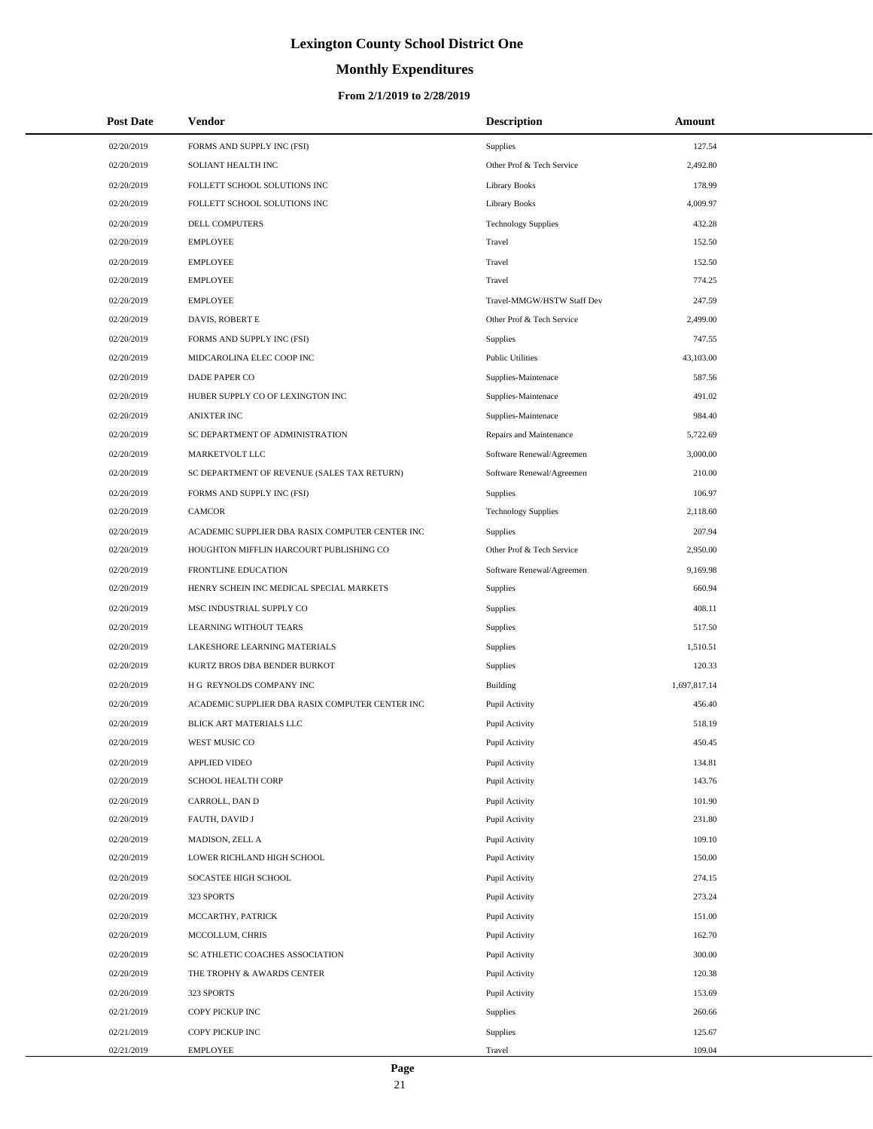# **Monthly Expenditures**

| <b>Post Date</b> | Vendor                                          | <b>Description</b>         | Amount       |
|------------------|-------------------------------------------------|----------------------------|--------------|
| 02/20/2019       | FORMS AND SUPPLY INC (FSI)                      | Supplies                   | 127.54       |
| 02/20/2019       | SOLIANT HEALTH INC                              | Other Prof & Tech Service  | 2,492.80     |
| 02/20/2019       | FOLLETT SCHOOL SOLUTIONS INC                    | <b>Library Books</b>       | 178.99       |
| 02/20/2019       | FOLLETT SCHOOL SOLUTIONS INC                    | <b>Library Books</b>       | 4,009.97     |
| 02/20/2019       | DELL COMPUTERS                                  | <b>Technology Supplies</b> | 432.28       |
| 02/20/2019       | <b>EMPLOYEE</b>                                 | Travel                     | 152.50       |
| 02/20/2019       | <b>EMPLOYEE</b>                                 | Travel                     | 152.50       |
| 02/20/2019       | <b>EMPLOYEE</b>                                 | Travel                     | 774.25       |
| 02/20/2019       | <b>EMPLOYEE</b>                                 | Travel-MMGW/HSTW Staff Dev | 247.59       |
| 02/20/2019       | DAVIS, ROBERT E                                 | Other Prof & Tech Service  | 2,499.00     |
| 02/20/2019       | FORMS AND SUPPLY INC (FSI)                      | Supplies                   | 747.55       |
| 02/20/2019       | MIDCAROLINA ELEC COOP INC                       | <b>Public Utilities</b>    | 43,103.00    |
| 02/20/2019       | DADE PAPER CO                                   | Supplies-Maintenace        | 587.56       |
| 02/20/2019       | HUBER SUPPLY CO OF LEXINGTON INC                | Supplies-Maintenace        | 491.02       |
| 02/20/2019       | <b>ANIXTER INC</b>                              | Supplies-Maintenace        | 984.40       |
| 02/20/2019       | SC DEPARTMENT OF ADMINISTRATION                 | Repairs and Maintenance    | 5,722.69     |
| 02/20/2019       | MARKETVOLT LLC                                  | Software Renewal/Agreemen  | 3,000.00     |
| 02/20/2019       | SC DEPARTMENT OF REVENUE (SALES TAX RETURN)     | Software Renewal/Agreemen  | 210.00       |
| 02/20/2019       | FORMS AND SUPPLY INC (FSI)                      | Supplies                   | 106.97       |
| 02/20/2019       | <b>CAMCOR</b>                                   | <b>Technology Supplies</b> | 2,118.60     |
| 02/20/2019       | ACADEMIC SUPPLIER DBA RASIX COMPUTER CENTER INC | Supplies                   | 207.94       |
| 02/20/2019       | HOUGHTON MIFFLIN HARCOURT PUBLISHING CO         | Other Prof & Tech Service  | 2,950.00     |
| 02/20/2019       | FRONTLINE EDUCATION                             | Software Renewal/Agreemen  | 9,169.98     |
| 02/20/2019       | HENRY SCHEIN INC MEDICAL SPECIAL MARKETS        | Supplies                   | 660.94       |
| 02/20/2019       | MSC INDUSTRIAL SUPPLY CO                        | Supplies                   | 408.11       |
| 02/20/2019       | LEARNING WITHOUT TEARS                          | Supplies                   | 517.50       |
| 02/20/2019       | LAKESHORE LEARNING MATERIALS                    | Supplies                   | 1,510.51     |
| 02/20/2019       | KURTZ BROS DBA BENDER BURKOT                    | Supplies                   | 120.33       |
| 02/20/2019       | H G REYNOLDS COMPANY INC                        | Building                   | 1,697,817.14 |
| 02/20/2019       | ACADEMIC SUPPLIER DBA RASIX COMPUTER CENTER INC | Pupil Activity             | 456.40       |
| 02/20/2019       | BLICK ART MATERIALS LLC                         | Pupil Activity             | 518.19       |
| 02/20/2019       | WEST MUSIC CO                                   | Pupil Activity             | 450.45       |
| 02/20/2019       | APPLIED VIDEO                                   | Pupil Activity             | 134.81       |
| 02/20/2019       | SCHOOL HEALTH CORP                              | Pupil Activity             | 143.76       |
| 02/20/2019       | CARROLL, DAN D                                  | Pupil Activity             | 101.90       |
| 02/20/2019       | FAUTH, DAVID J                                  | Pupil Activity             | 231.80       |
| 02/20/2019       | MADISON, ZELL A                                 | Pupil Activity             | 109.10       |
| 02/20/2019       | LOWER RICHLAND HIGH SCHOOL                      | Pupil Activity             | 150.00       |
| 02/20/2019       | SOCASTEE HIGH SCHOOL                            | Pupil Activity             | 274.15       |
| 02/20/2019       | 323 SPORTS                                      | Pupil Activity             | 273.24       |
| 02/20/2019       | MCCARTHY, PATRICK                               | Pupil Activity             | 151.00       |
| 02/20/2019       | MCCOLLUM, CHRIS                                 | Pupil Activity             | 162.70       |
| 02/20/2019       | SC ATHLETIC COACHES ASSOCIATION                 | Pupil Activity             | 300.00       |
| 02/20/2019       | THE TROPHY & AWARDS CENTER                      | Pupil Activity             | 120.38       |
| 02/20/2019       | 323 SPORTS                                      | Pupil Activity             | 153.69       |
| 02/21/2019       | COPY PICKUP INC                                 | Supplies                   | 260.66       |
| 02/21/2019       | COPY PICKUP INC                                 | Supplies                   | 125.67       |
| 02/21/2019       | <b>EMPLOYEE</b>                                 | Travel                     | 109.04       |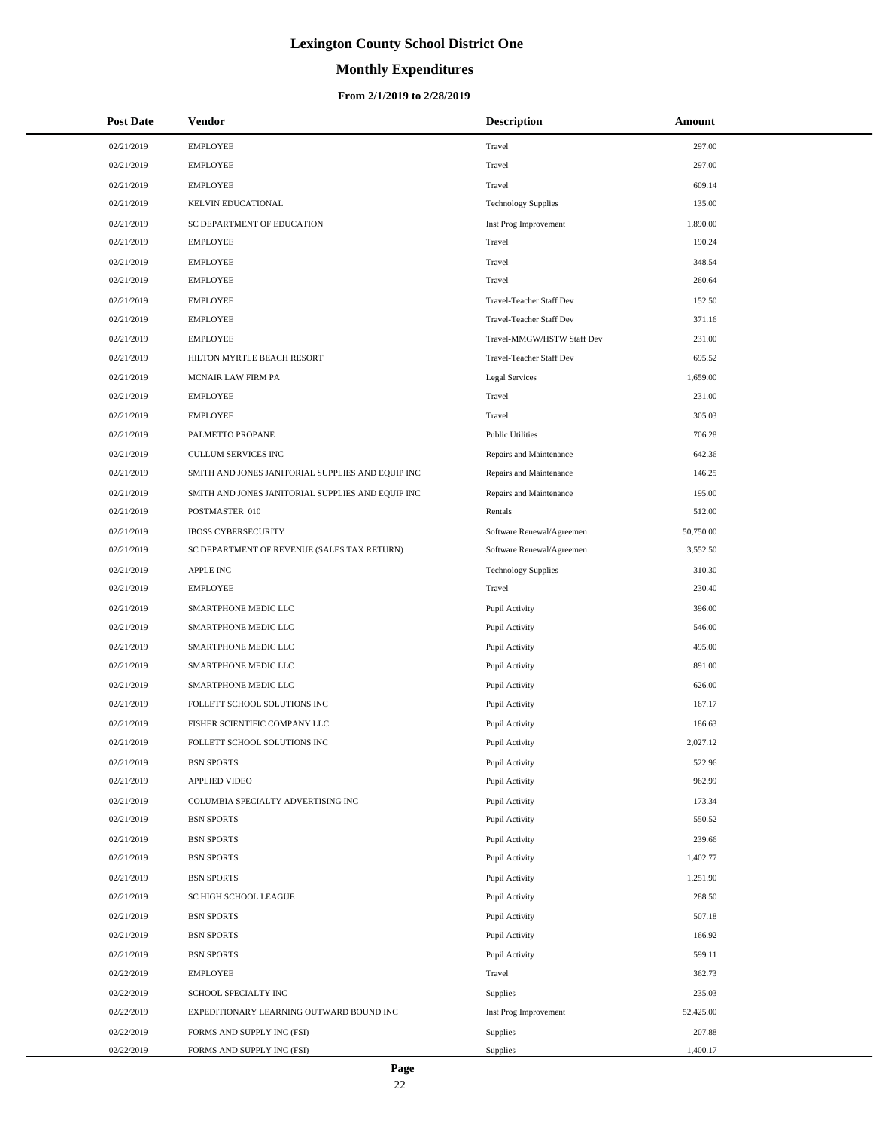# **Monthly Expenditures**

| <b>Post Date</b> | Vendor                                            | <b>Description</b>         | Amount    |
|------------------|---------------------------------------------------|----------------------------|-----------|
| 02/21/2019       | <b>EMPLOYEE</b>                                   | Travel                     | 297.00    |
| 02/21/2019       | <b>EMPLOYEE</b>                                   | Travel                     | 297.00    |
| 02/21/2019       | <b>EMPLOYEE</b>                                   | Travel                     | 609.14    |
| 02/21/2019       | KELVIN EDUCATIONAL                                | <b>Technology Supplies</b> | 135.00    |
| 02/21/2019       | SC DEPARTMENT OF EDUCATION                        | Inst Prog Improvement      | 1,890.00  |
| 02/21/2019       | <b>EMPLOYEE</b>                                   | Travel                     | 190.24    |
| 02/21/2019       | <b>EMPLOYEE</b>                                   | Travel                     | 348.54    |
| 02/21/2019       | <b>EMPLOYEE</b>                                   | Travel                     | 260.64    |
| 02/21/2019       | <b>EMPLOYEE</b>                                   | Travel-Teacher Staff Dev   | 152.50    |
| 02/21/2019       | <b>EMPLOYEE</b>                                   | Travel-Teacher Staff Dev   | 371.16    |
| 02/21/2019       | <b>EMPLOYEE</b>                                   | Travel-MMGW/HSTW Staff Dev | 231.00    |
| 02/21/2019       | HILTON MYRTLE BEACH RESORT                        | Travel-Teacher Staff Dev   | 695.52    |
| 02/21/2019       | MCNAIR LAW FIRM PA                                | Legal Services             | 1,659.00  |
| 02/21/2019       | <b>EMPLOYEE</b>                                   | Travel                     | 231.00    |
| 02/21/2019       | <b>EMPLOYEE</b>                                   | Travel                     | 305.03    |
| 02/21/2019       | PALMETTO PROPANE                                  | <b>Public Utilities</b>    | 706.28    |
| 02/21/2019       | CULLUM SERVICES INC                               | Repairs and Maintenance    | 642.36    |
| 02/21/2019       | SMITH AND JONES JANITORIAL SUPPLIES AND EQUIP INC | Repairs and Maintenance    | 146.25    |
| 02/21/2019       | SMITH AND JONES JANITORIAL SUPPLIES AND EQUIP INC | Repairs and Maintenance    | 195.00    |
| 02/21/2019       | POSTMASTER 010                                    | Rentals                    | 512.00    |
| 02/21/2019       | <b>IBOSS CYBERSECURITY</b>                        | Software Renewal/Agreemen  | 50,750.00 |
| 02/21/2019       | SC DEPARTMENT OF REVENUE (SALES TAX RETURN)       | Software Renewal/Agreemen  | 3,552.50  |
| 02/21/2019       | APPLE INC                                         | <b>Technology Supplies</b> | 310.30    |
| 02/21/2019       | <b>EMPLOYEE</b>                                   | Travel                     | 230.40    |
| 02/21/2019       | SMARTPHONE MEDIC LLC                              | Pupil Activity             | 396.00    |
| 02/21/2019       | SMARTPHONE MEDIC LLC                              | Pupil Activity             | 546.00    |
| 02/21/2019       | SMARTPHONE MEDIC LLC                              | Pupil Activity             | 495.00    |
| 02/21/2019       | SMARTPHONE MEDIC LLC                              | Pupil Activity             | 891.00    |
| 02/21/2019       | SMARTPHONE MEDIC LLC                              | Pupil Activity             | 626.00    |
| 02/21/2019       | FOLLETT SCHOOL SOLUTIONS INC                      | Pupil Activity             | 167.17    |
| 02/21/2019       | FISHER SCIENTIFIC COMPANY LLC                     | Pupil Activity             | 186.63    |
| 02/21/2019       | FOLLETT SCHOOL SOLUTIONS INC                      | Pupil Activity             | 2,027.12  |
| 02/21/2019       | <b>BSN SPORTS</b>                                 | Pupil Activity             | 522.96    |
| 02/21/2019       | APPLIED VIDEO                                     | Pupil Activity             | 962.99    |
| 02/21/2019       | COLUMBIA SPECIALTY ADVERTISING INC                | Pupil Activity             | 173.34    |
| 02/21/2019       | <b>BSN SPORTS</b>                                 | Pupil Activity             | 550.52    |
| 02/21/2019       | <b>BSN SPORTS</b>                                 | Pupil Activity             | 239.66    |
| 02/21/2019       | <b>BSN SPORTS</b>                                 | Pupil Activity             | 1,402.77  |
| 02/21/2019       | <b>BSN SPORTS</b>                                 | Pupil Activity             | 1,251.90  |
| 02/21/2019       | SC HIGH SCHOOL LEAGUE                             | Pupil Activity             | 288.50    |
| 02/21/2019       | <b>BSN SPORTS</b>                                 | Pupil Activity             | 507.18    |
| 02/21/2019       | <b>BSN SPORTS</b>                                 | Pupil Activity             | 166.92    |
| 02/21/2019       | <b>BSN SPORTS</b>                                 | Pupil Activity             | 599.11    |
| 02/22/2019       | <b>EMPLOYEE</b>                                   | Travel                     | 362.73    |
| 02/22/2019       | SCHOOL SPECIALTY INC                              | Supplies                   | 235.03    |
| 02/22/2019       | EXPEDITIONARY LEARNING OUTWARD BOUND INC          | Inst Prog Improvement      | 52,425.00 |
| 02/22/2019       | FORMS AND SUPPLY INC (FSI)                        | Supplies                   | 207.88    |
| 02/22/2019       | FORMS AND SUPPLY INC (FSI)                        | Supplies                   | 1,400.17  |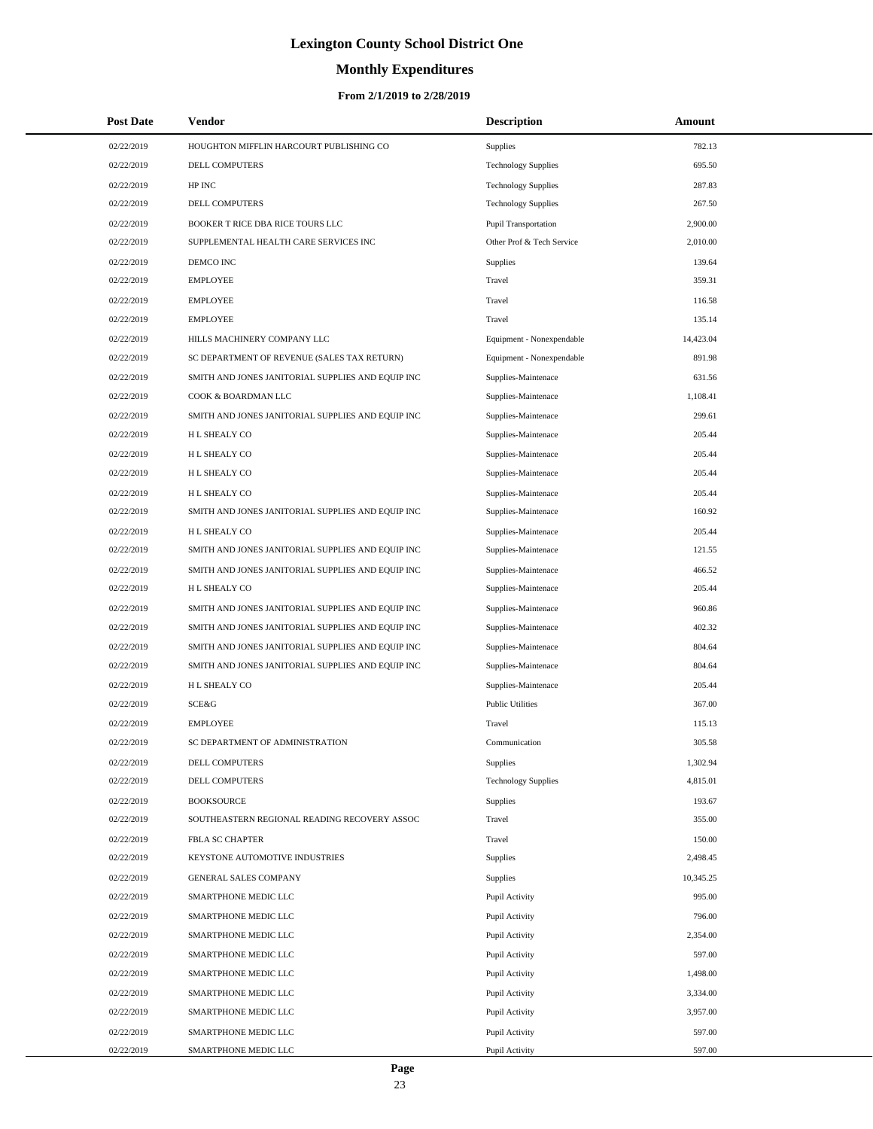# **Monthly Expenditures**

#### **From 2/1/2019 to 2/28/2019**

| <b>Post Date</b> | Vendor                                            | <b>Description</b>         | Amount    |
|------------------|---------------------------------------------------|----------------------------|-----------|
| 02/22/2019       | HOUGHTON MIFFLIN HARCOURT PUBLISHING CO           | Supplies                   | 782.13    |
| 02/22/2019       | DELL COMPUTERS                                    | <b>Technology Supplies</b> | 695.50    |
| 02/22/2019       | HP INC                                            | <b>Technology Supplies</b> | 287.83    |
| 02/22/2019       | DELL COMPUTERS                                    | <b>Technology Supplies</b> | 267.50    |
| 02/22/2019       | BOOKER T RICE DBA RICE TOURS LLC                  | Pupil Transportation       | 2,900.00  |
| 02/22/2019       | SUPPLEMENTAL HEALTH CARE SERVICES INC             | Other Prof & Tech Service  | 2,010.00  |
| 02/22/2019       | DEMCO INC                                         | Supplies                   | 139.64    |
| 02/22/2019       | <b>EMPLOYEE</b>                                   | Travel                     | 359.31    |
| 02/22/2019       | <b>EMPLOYEE</b>                                   | Travel                     | 116.58    |
| 02/22/2019       | <b>EMPLOYEE</b>                                   | Travel                     | 135.14    |
| 02/22/2019       | HILLS MACHINERY COMPANY LLC                       | Equipment - Nonexpendable  | 14,423.04 |
| 02/22/2019       | SC DEPARTMENT OF REVENUE (SALES TAX RETURN)       | Equipment - Nonexpendable  | 891.98    |
| 02/22/2019       | SMITH AND JONES JANITORIAL SUPPLIES AND EQUIP INC | Supplies-Maintenace        | 631.56    |
| 02/22/2019       | COOK & BOARDMAN LLC                               | Supplies-Maintenace        | 1,108.41  |
| 02/22/2019       | SMITH AND JONES JANITORIAL SUPPLIES AND EQUIP INC | Supplies-Maintenace        | 299.61    |
| 02/22/2019       | H L SHEALY CO                                     | Supplies-Maintenace        | 205.44    |
| 02/22/2019       | H L SHEALY CO                                     | Supplies-Maintenace        | 205.44    |
| 02/22/2019       | H L SHEALY CO                                     | Supplies-Maintenace        | 205.44    |
| 02/22/2019       | H L SHEALY CO                                     | Supplies-Maintenace        | 205.44    |
| 02/22/2019       | SMITH AND JONES JANITORIAL SUPPLIES AND EQUIP INC | Supplies-Maintenace        | 160.92    |
| 02/22/2019       | <b>HL SHEALY CO</b>                               | Supplies-Maintenace        | 205.44    |
| 02/22/2019       | SMITH AND JONES JANITORIAL SUPPLIES AND EQUIP INC | Supplies-Maintenace        | 121.55    |
| 02/22/2019       | SMITH AND JONES JANITORIAL SUPPLIES AND EQUIP INC | Supplies-Maintenace        | 466.52    |
| 02/22/2019       | H L SHEALY CO                                     | Supplies-Maintenace        | 205.44    |
| 02/22/2019       | SMITH AND JONES JANITORIAL SUPPLIES AND EQUIP INC | Supplies-Maintenace        | 960.86    |
| 02/22/2019       | SMITH AND JONES JANITORIAL SUPPLIES AND EQUIP INC | Supplies-Maintenace        | 402.32    |
| 02/22/2019       | SMITH AND JONES JANITORIAL SUPPLIES AND EQUIP INC | Supplies-Maintenace        | 804.64    |
| 02/22/2019       | SMITH AND JONES JANITORIAL SUPPLIES AND EQUIP INC | Supplies-Maintenace        | 804.64    |
| 02/22/2019       | <b>HL SHEALY CO</b>                               | Supplies-Maintenace        | 205.44    |
| 02/22/2019       | SCE&G                                             | <b>Public Utilities</b>    | 367.00    |
| 02/22/2019       | <b>EMPLOYEE</b>                                   | Travel                     | 115.13    |
| 02/22/2019       | SC DEPARTMENT OF ADMINISTRATION                   | Communication              | 305.58    |
| 02/22/2019       | DELL COMPUTERS                                    | Supplies                   | 1,302.94  |
| 02/22/2019       | DELL COMPUTERS                                    | <b>Technology Supplies</b> | 4,815.01  |
| 02/22/2019       | <b>BOOKSOURCE</b>                                 | Supplies                   | 193.67    |
| 02/22/2019       | SOUTHEASTERN REGIONAL READING RECOVERY ASSOC      | Travel                     | 355.00    |
| 02/22/2019       | FBLA SC CHAPTER                                   | Travel                     | 150.00    |
| 02/22/2019       | KEYSTONE AUTOMOTIVE INDUSTRIES                    | Supplies                   | 2,498.45  |
| 02/22/2019       | <b>GENERAL SALES COMPANY</b>                      | Supplies                   | 10,345.25 |
| 02/22/2019       | SMARTPHONE MEDIC LLC                              | Pupil Activity             | 995.00    |
| 02/22/2019       | SMARTPHONE MEDIC LLC                              | Pupil Activity             | 796.00    |
| 02/22/2019       | SMARTPHONE MEDIC LLC                              | Pupil Activity             | 2,354.00  |
| 02/22/2019       | SMARTPHONE MEDIC LLC                              | Pupil Activity             | 597.00    |
| 02/22/2019       | SMARTPHONE MEDIC LLC                              | Pupil Activity             | 1,498.00  |
| 02/22/2019       | SMARTPHONE MEDIC LLC                              | Pupil Activity             | 3,334.00  |
| 02/22/2019       | SMARTPHONE MEDIC LLC                              | Pupil Activity             | 3,957.00  |
| 02/22/2019       | SMARTPHONE MEDIC LLC                              | Pupil Activity             | 597.00    |
| 02/22/2019       | SMARTPHONE MEDIC LLC                              | Pupil Activity             | 597.00    |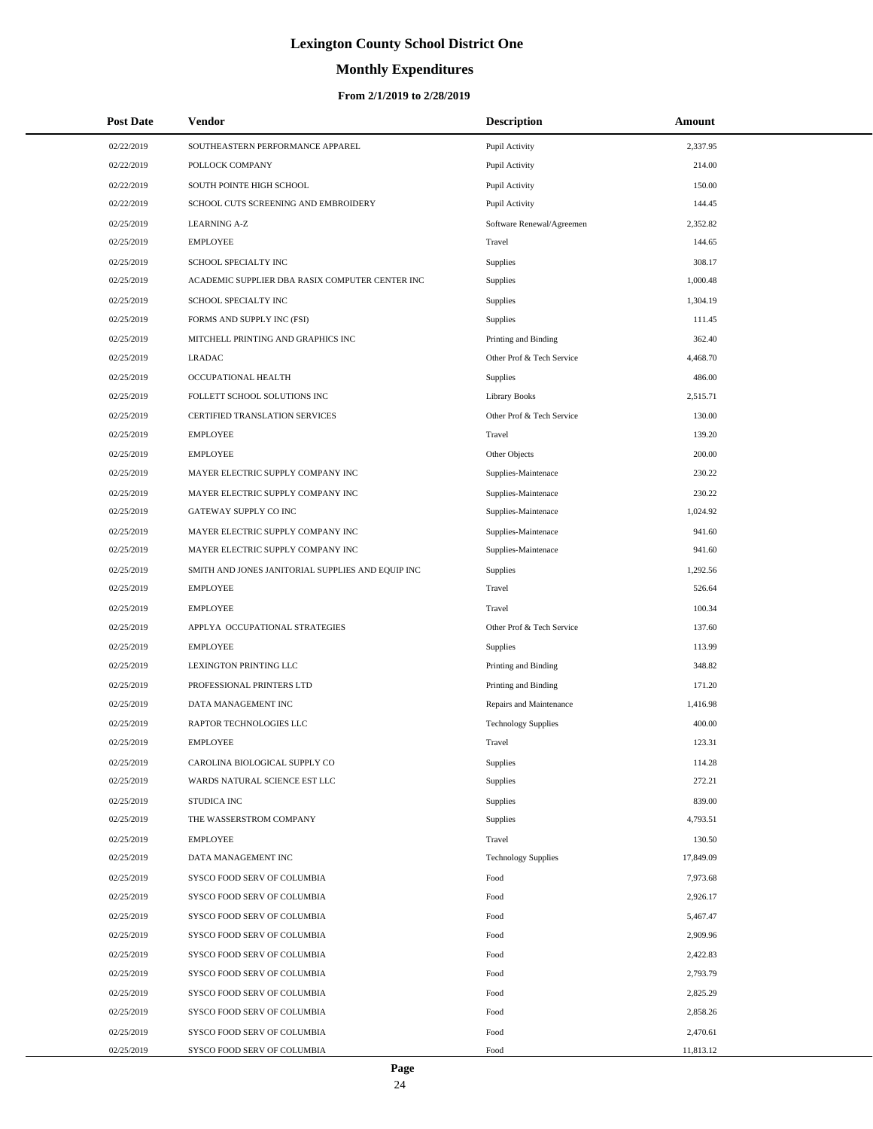# **Monthly Expenditures**

#### **From 2/1/2019 to 2/28/2019**

| <b>Post Date</b> | Vendor                                            | <b>Description</b>         | Amount    |  |
|------------------|---------------------------------------------------|----------------------------|-----------|--|
| 02/22/2019       | SOUTHEASTERN PERFORMANCE APPAREL                  | Pupil Activity             | 2,337.95  |  |
| 02/22/2019       | POLLOCK COMPANY                                   | Pupil Activity             | 214.00    |  |
| 02/22/2019       | SOUTH POINTE HIGH SCHOOL                          | Pupil Activity             | 150.00    |  |
| 02/22/2019       | SCHOOL CUTS SCREENING AND EMBROIDERY              | Pupil Activity             | 144.45    |  |
| 02/25/2019       | <b>LEARNING A-Z</b>                               | Software Renewal/Agreemen  | 2,352.82  |  |
| 02/25/2019       | <b>EMPLOYEE</b>                                   | Travel                     | 144.65    |  |
| 02/25/2019       | SCHOOL SPECIALTY INC                              | Supplies                   | 308.17    |  |
| 02/25/2019       | ACADEMIC SUPPLIER DBA RASIX COMPUTER CENTER INC   | <b>Supplies</b>            | 1,000.48  |  |
| 02/25/2019       | SCHOOL SPECIALTY INC                              | Supplies                   | 1,304.19  |  |
| 02/25/2019       | FORMS AND SUPPLY INC (FSI)                        | Supplies                   | 111.45    |  |
| 02/25/2019       | MITCHELL PRINTING AND GRAPHICS INC                | Printing and Binding       | 362.40    |  |
| 02/25/2019       | <b>LRADAC</b>                                     | Other Prof & Tech Service  | 4,468.70  |  |
| 02/25/2019       | OCCUPATIONAL HEALTH                               | Supplies                   | 486.00    |  |
| 02/25/2019       | FOLLETT SCHOOL SOLUTIONS INC                      | <b>Library Books</b>       | 2,515.71  |  |
| 02/25/2019       | <b>CERTIFIED TRANSLATION SERVICES</b>             | Other Prof & Tech Service  | 130.00    |  |
| 02/25/2019       | <b>EMPLOYEE</b>                                   | Travel                     | 139.20    |  |
| 02/25/2019       | <b>EMPLOYEE</b>                                   | Other Objects              | 200.00    |  |
| 02/25/2019       | MAYER ELECTRIC SUPPLY COMPANY INC                 | Supplies-Maintenace        | 230.22    |  |
| 02/25/2019       | MAYER ELECTRIC SUPPLY COMPANY INC                 | Supplies-Maintenace        | 230.22    |  |
| 02/25/2019       | GATEWAY SUPPLY CO INC                             | Supplies-Maintenace        | 1,024.92  |  |
| 02/25/2019       | MAYER ELECTRIC SUPPLY COMPANY INC                 | Supplies-Maintenace        | 941.60    |  |
| 02/25/2019       | MAYER ELECTRIC SUPPLY COMPANY INC                 | Supplies-Maintenace        | 941.60    |  |
| 02/25/2019       | SMITH AND JONES JANITORIAL SUPPLIES AND EQUIP INC | <b>Supplies</b>            | 1,292.56  |  |
| 02/25/2019       | <b>EMPLOYEE</b>                                   | Travel                     | 526.64    |  |
| 02/25/2019       | <b>EMPLOYEE</b>                                   | Travel                     | 100.34    |  |
| 02/25/2019       | APPLYA OCCUPATIONAL STRATEGIES                    | Other Prof & Tech Service  | 137.60    |  |
| 02/25/2019       | <b>EMPLOYEE</b>                                   | Supplies                   | 113.99    |  |
| 02/25/2019       | LEXINGTON PRINTING LLC                            | Printing and Binding       | 348.82    |  |
| 02/25/2019       | PROFESSIONAL PRINTERS LTD                         | Printing and Binding       | 171.20    |  |
| 02/25/2019       | DATA MANAGEMENT INC                               | Repairs and Maintenance    | 1,416.98  |  |
| 02/25/2019       | RAPTOR TECHNOLOGIES LLC                           | <b>Technology Supplies</b> | 400.00    |  |
| 02/25/2019       | <b>EMPLOYEE</b>                                   | Travel                     | 123.31    |  |
| 02/25/2019       | CAROLINA BIOLOGICAL SUPPLY CO                     | Supplies                   | 114.28    |  |
| 02/25/2019       | WARDS NATURAL SCIENCE EST LLC                     | Supplies                   | 272.21    |  |
| 02/25/2019       | <b>STUDICA INC</b>                                | Supplies                   | 839.00    |  |
| 02/25/2019       | THE WASSERSTROM COMPANY                           | Supplies                   | 4,793.51  |  |
| 02/25/2019       | <b>EMPLOYEE</b>                                   | Travel                     | 130.50    |  |
| 02/25/2019       | DATA MANAGEMENT INC                               | <b>Technology Supplies</b> | 17,849.09 |  |
| 02/25/2019       | SYSCO FOOD SERV OF COLUMBIA                       | Food                       | 7,973.68  |  |
| 02/25/2019       | SYSCO FOOD SERV OF COLUMBIA                       | Food                       | 2,926.17  |  |
| 02/25/2019       | SYSCO FOOD SERV OF COLUMBIA                       | Food                       | 5,467.47  |  |
| 02/25/2019       | SYSCO FOOD SERV OF COLUMBIA                       | Food                       | 2,909.96  |  |
| 02/25/2019       | SYSCO FOOD SERV OF COLUMBIA                       | Food                       | 2,422.83  |  |
| 02/25/2019       | SYSCO FOOD SERV OF COLUMBIA                       | Food                       | 2,793.79  |  |
| 02/25/2019       | SYSCO FOOD SERV OF COLUMBIA                       | Food                       | 2,825.29  |  |
| 02/25/2019       | SYSCO FOOD SERV OF COLUMBIA                       | Food                       | 2,858.26  |  |
| 02/25/2019       | SYSCO FOOD SERV OF COLUMBIA                       | Food                       | 2,470.61  |  |
| 02/25/2019       | SYSCO FOOD SERV OF COLUMBIA                       | Food                       | 11,813.12 |  |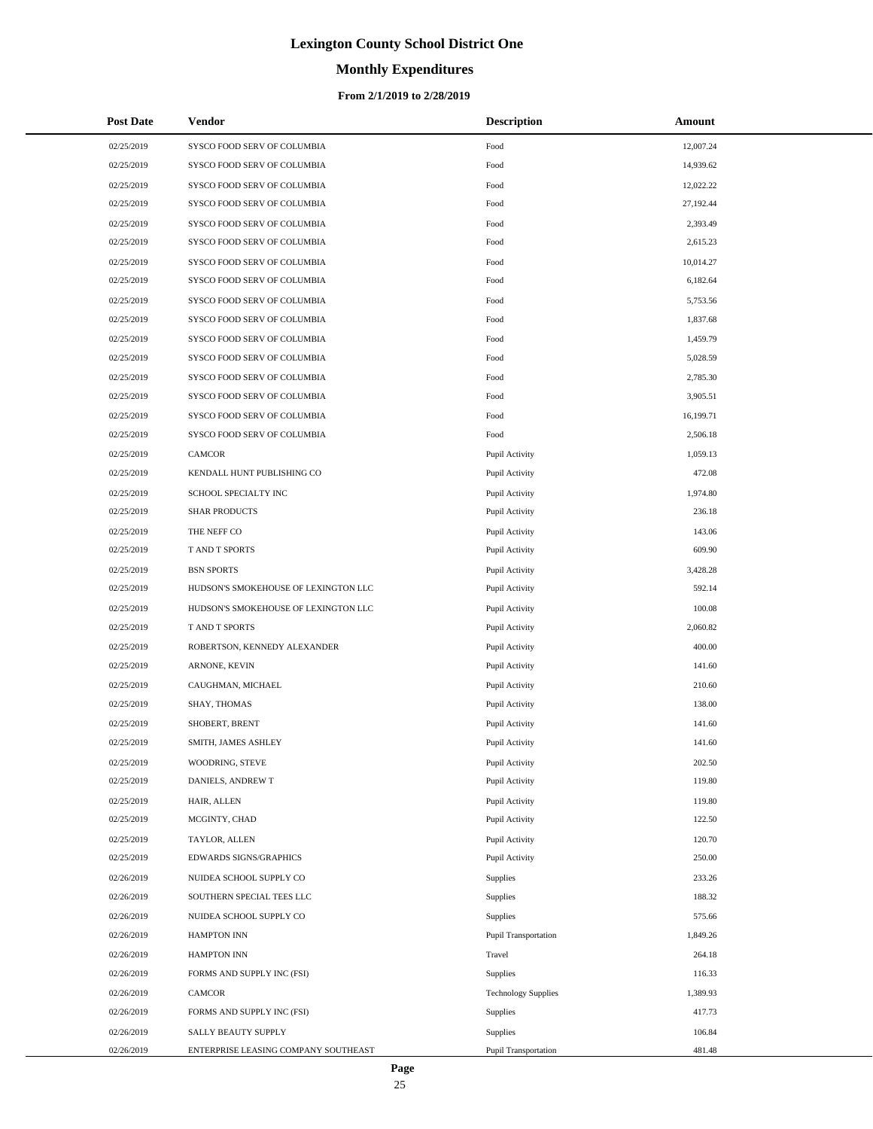# **Monthly Expenditures**

#### **From 2/1/2019 to 2/28/2019**

| <b>Post Date</b> | Vendor                               | <b>Description</b>         | Amount    |
|------------------|--------------------------------------|----------------------------|-----------|
| 02/25/2019       | SYSCO FOOD SERV OF COLUMBIA          | Food                       | 12,007.24 |
| 02/25/2019       | SYSCO FOOD SERV OF COLUMBIA          | Food                       | 14,939.62 |
| 02/25/2019       | SYSCO FOOD SERV OF COLUMBIA          | Food                       | 12,022.22 |
| 02/25/2019       | SYSCO FOOD SERV OF COLUMBIA          | Food                       | 27,192.44 |
| 02/25/2019       | SYSCO FOOD SERV OF COLUMBIA          | Food                       | 2,393.49  |
| 02/25/2019       | SYSCO FOOD SERV OF COLUMBIA          | Food                       | 2,615.23  |
| 02/25/2019       | SYSCO FOOD SERV OF COLUMBIA          | Food                       | 10,014.27 |
| 02/25/2019       | SYSCO FOOD SERV OF COLUMBIA          | Food                       | 6,182.64  |
| 02/25/2019       | SYSCO FOOD SERV OF COLUMBIA          | Food                       | 5,753.56  |
| 02/25/2019       | SYSCO FOOD SERV OF COLUMBIA          | Food                       | 1,837.68  |
| 02/25/2019       | SYSCO FOOD SERV OF COLUMBIA          | Food                       | 1,459.79  |
| 02/25/2019       | SYSCO FOOD SERV OF COLUMBIA          | Food                       | 5,028.59  |
| 02/25/2019       | SYSCO FOOD SERV OF COLUMBIA          | Food                       | 2,785.30  |
| 02/25/2019       | SYSCO FOOD SERV OF COLUMBIA          | Food                       | 3,905.51  |
| 02/25/2019       | SYSCO FOOD SERV OF COLUMBIA          | Food                       | 16,199.71 |
| 02/25/2019       | SYSCO FOOD SERV OF COLUMBIA          | Food                       | 2,506.18  |
| 02/25/2019       | <b>CAMCOR</b>                        | Pupil Activity             | 1,059.13  |
| 02/25/2019       | KENDALL HUNT PUBLISHING CO           | Pupil Activity             | 472.08    |
| 02/25/2019       | SCHOOL SPECIALTY INC                 | Pupil Activity             | 1,974.80  |
| 02/25/2019       | <b>SHAR PRODUCTS</b>                 | Pupil Activity             | 236.18    |
| 02/25/2019       | THE NEFF CO                          | Pupil Activity             | 143.06    |
| 02/25/2019       | T AND T SPORTS                       | Pupil Activity             | 609.90    |
| 02/25/2019       | <b>BSN SPORTS</b>                    | Pupil Activity             | 3,428.28  |
| 02/25/2019       | HUDSON'S SMOKEHOUSE OF LEXINGTON LLC | Pupil Activity             | 592.14    |
| 02/25/2019       | HUDSON'S SMOKEHOUSE OF LEXINGTON LLC | Pupil Activity             | 100.08    |
| 02/25/2019       | T AND T SPORTS                       | Pupil Activity             | 2,060.82  |
| 02/25/2019       | ROBERTSON, KENNEDY ALEXANDER         | Pupil Activity             | 400.00    |
| 02/25/2019       | ARNONE, KEVIN                        | Pupil Activity             | 141.60    |
| 02/25/2019       | CAUGHMAN, MICHAEL                    | Pupil Activity             | 210.60    |
| 02/25/2019       | SHAY, THOMAS                         | Pupil Activity             | 138.00    |
| 02/25/2019       | SHOBERT, BRENT                       | Pupil Activity             | 141.60    |
| 02/25/2019       | SMITH, JAMES ASHLEY                  | Pupil Activity             | 141.60    |
| 02/25/2019       | WOODRING, STEVE                      | Pupil Activity             | 202.50    |
| 02/25/2019       | DANIELS, ANDREW T                    | Pupil Activity             | 119.80    |
| 02/25/2019       | HAIR, ALLEN                          | Pupil Activity             | 119.80    |
| 02/25/2019       | MCGINTY, CHAD                        | Pupil Activity             | 122.50    |
| 02/25/2019       | TAYLOR, ALLEN                        | Pupil Activity             | 120.70    |
| 02/25/2019       | EDWARDS SIGNS/GRAPHICS               | Pupil Activity             | 250.00    |
| 02/26/2019       | NUIDEA SCHOOL SUPPLY CO              | Supplies                   | 233.26    |
| 02/26/2019       | SOUTHERN SPECIAL TEES LLC            | Supplies                   | 188.32    |
| 02/26/2019       | NUIDEA SCHOOL SUPPLY CO              | Supplies                   | 575.66    |
| 02/26/2019       | <b>HAMPTON INN</b>                   | Pupil Transportation       | 1,849.26  |
| 02/26/2019       | HAMPTON INN                          | Travel                     | 264.18    |
| 02/26/2019       | FORMS AND SUPPLY INC (FSI)           | Supplies                   | 116.33    |
| 02/26/2019       | CAMCOR                               | <b>Technology Supplies</b> | 1,389.93  |
| 02/26/2019       | FORMS AND SUPPLY INC (FSI)           | Supplies                   | 417.73    |
| 02/26/2019       | SALLY BEAUTY SUPPLY                  | Supplies                   | 106.84    |
| 02/26/2019       | ENTERPRISE LEASING COMPANY SOUTHEAST | Pupil Transportation       | 481.48    |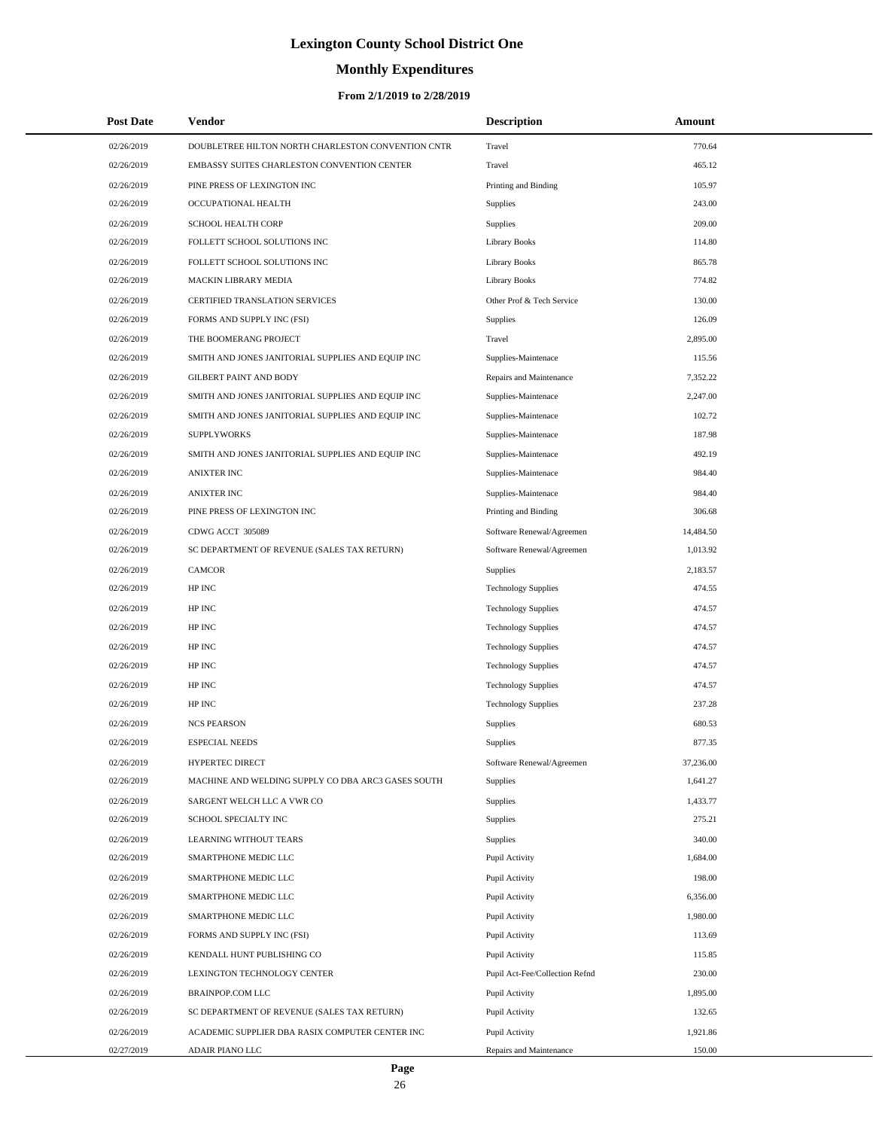# **Monthly Expenditures**

| <b>Post Date</b> | Vendor                                             | <b>Description</b>             | Amount    |  |
|------------------|----------------------------------------------------|--------------------------------|-----------|--|
| 02/26/2019       | DOUBLETREE HILTON NORTH CHARLESTON CONVENTION CNTR | Travel                         | 770.64    |  |
| 02/26/2019       | EMBASSY SUITES CHARLESTON CONVENTION CENTER        | Travel                         | 465.12    |  |
| 02/26/2019       | PINE PRESS OF LEXINGTON INC                        | Printing and Binding           | 105.97    |  |
| 02/26/2019       | OCCUPATIONAL HEALTH                                | Supplies                       | 243.00    |  |
| 02/26/2019       | SCHOOL HEALTH CORP                                 | Supplies                       | 209.00    |  |
| 02/26/2019       | FOLLETT SCHOOL SOLUTIONS INC                       | Library Books                  | 114.80    |  |
| 02/26/2019       | FOLLETT SCHOOL SOLUTIONS INC                       | Library Books                  | 865.78    |  |
| 02/26/2019       | MACKIN LIBRARY MEDIA                               | Library Books                  | 774.82    |  |
| 02/26/2019       | CERTIFIED TRANSLATION SERVICES                     | Other Prof & Tech Service      | 130.00    |  |
| 02/26/2019       | FORMS AND SUPPLY INC (FSI)                         | Supplies                       | 126.09    |  |
| 02/26/2019       | THE BOOMERANG PROJECT                              | Travel                         | 2,895.00  |  |
| 02/26/2019       | SMITH AND JONES JANITORIAL SUPPLIES AND EQUIP INC  | Supplies-Maintenace            | 115.56    |  |
| 02/26/2019       | <b>GILBERT PAINT AND BODY</b>                      | Repairs and Maintenance        | 7,352.22  |  |
| 02/26/2019       | SMITH AND JONES JANITORIAL SUPPLIES AND EQUIP INC  | Supplies-Maintenace            | 2,247.00  |  |
| 02/26/2019       | SMITH AND JONES JANITORIAL SUPPLIES AND EQUIP INC  | Supplies-Maintenace            | 102.72    |  |
| 02/26/2019       | <b>SUPPLYWORKS</b>                                 | Supplies-Maintenace            | 187.98    |  |
| 02/26/2019       | SMITH AND JONES JANITORIAL SUPPLIES AND EQUIP INC  | Supplies-Maintenace            | 492.19    |  |
| 02/26/2019       | <b>ANIXTER INC</b>                                 | Supplies-Maintenace            | 984.40    |  |
| 02/26/2019       | <b>ANIXTER INC</b>                                 | Supplies-Maintenace            | 984.40    |  |
| 02/26/2019       | PINE PRESS OF LEXINGTON INC                        | Printing and Binding           | 306.68    |  |
| 02/26/2019       | CDWG ACCT 305089                                   | Software Renewal/Agreemen      | 14,484.50 |  |
| 02/26/2019       | SC DEPARTMENT OF REVENUE (SALES TAX RETURN)        | Software Renewal/Agreemen      | 1,013.92  |  |
| 02/26/2019       | <b>CAMCOR</b>                                      | <b>Supplies</b>                | 2,183.57  |  |
| 02/26/2019       | HP INC                                             | <b>Technology Supplies</b>     | 474.55    |  |
| 02/26/2019       | HP INC                                             | <b>Technology Supplies</b>     | 474.57    |  |
| 02/26/2019       | HP INC                                             | <b>Technology Supplies</b>     | 474.57    |  |
| 02/26/2019       | HP INC                                             | <b>Technology Supplies</b>     | 474.57    |  |
| 02/26/2019       | HP INC                                             | <b>Technology Supplies</b>     | 474.57    |  |
| 02/26/2019       | HP INC                                             | <b>Technology Supplies</b>     | 474.57    |  |
| 02/26/2019       | HP INC                                             | <b>Technology Supplies</b>     | 237.28    |  |
| 02/26/2019       | <b>NCS PEARSON</b>                                 | Supplies                       | 680.53    |  |
| 02/26/2019       | <b>ESPECIAL NEEDS</b>                              | Supplies                       | 877.35    |  |
| 02/26/2019       | <b>HYPERTEC DIRECT</b>                             | Software Renewal/Agreemen      | 37,236.00 |  |
| 02/26/2019       | MACHINE AND WELDING SUPPLY CO DBA ARC3 GASES SOUTH | Supplies                       | 1,641.27  |  |
| 02/26/2019       | SARGENT WELCH LLC A VWR CO                         | Supplies                       | 1,433.77  |  |
| 02/26/2019       | SCHOOL SPECIALTY INC                               | Supplies                       | 275.21    |  |
| 02/26/2019       | LEARNING WITHOUT TEARS                             | <b>Supplies</b>                | 340.00    |  |
| 02/26/2019       | SMARTPHONE MEDIC LLC                               | Pupil Activity                 | 1,684.00  |  |
| 02/26/2019       | SMARTPHONE MEDIC LLC                               | Pupil Activity                 | 198.00    |  |
| 02/26/2019       | SMARTPHONE MEDIC LLC                               | Pupil Activity                 | 6,356.00  |  |
| 02/26/2019       | SMARTPHONE MEDIC LLC                               | Pupil Activity                 | 1,980.00  |  |
| 02/26/2019       | FORMS AND SUPPLY INC (FSI)                         | Pupil Activity                 | 113.69    |  |
| 02/26/2019       | KENDALL HUNT PUBLISHING CO                         | Pupil Activity                 | 115.85    |  |
| 02/26/2019       | LEXINGTON TECHNOLOGY CENTER                        | Pupil Act-Fee/Collection Refnd | 230.00    |  |
| 02/26/2019       | BRAINPOP.COM LLC                                   | Pupil Activity                 | 1,895.00  |  |
| 02/26/2019       | SC DEPARTMENT OF REVENUE (SALES TAX RETURN)        | Pupil Activity                 | 132.65    |  |
| 02/26/2019       | ACADEMIC SUPPLIER DBA RASIX COMPUTER CENTER INC    | Pupil Activity                 | 1,921.86  |  |
| 02/27/2019       | ADAIR PIANO LLC                                    | Repairs and Maintenance        | 150.00    |  |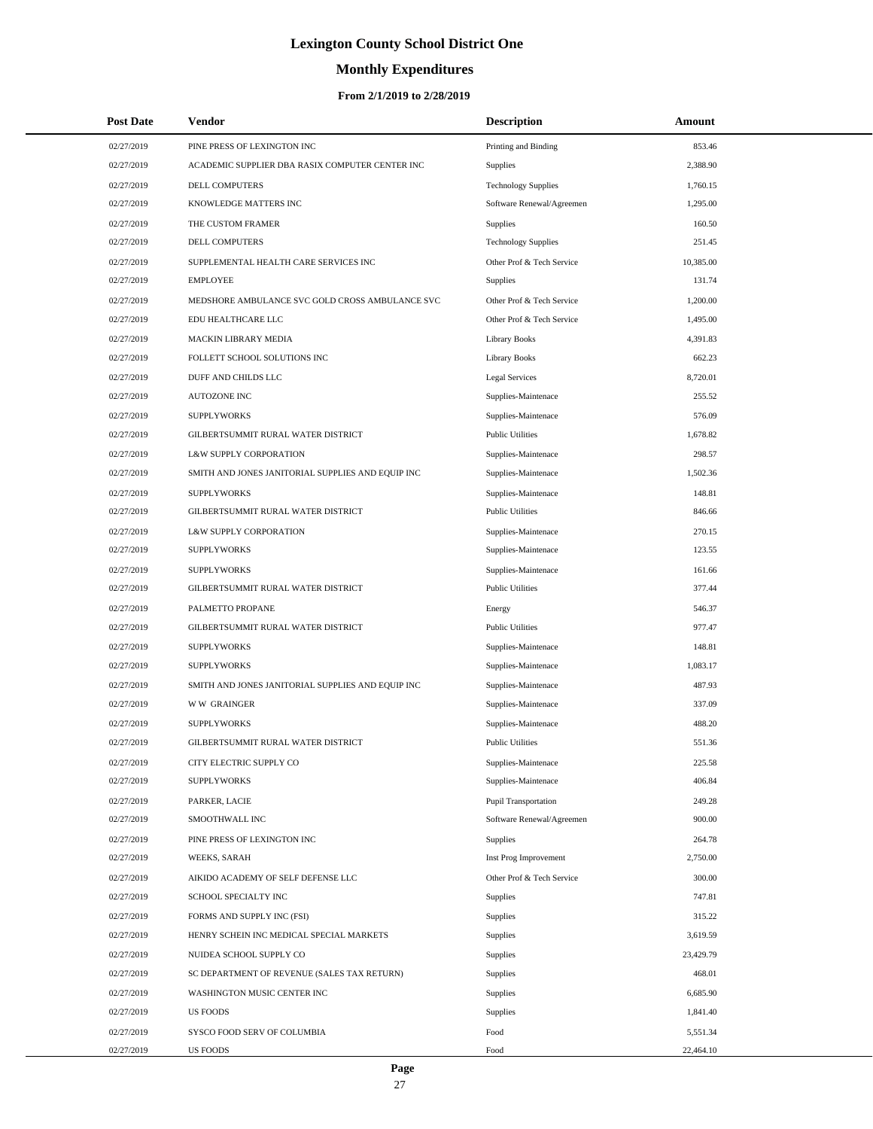# **Monthly Expenditures**

| <b>Post Date</b> | Vendor                                            | <b>Description</b>         | Amount    |  |
|------------------|---------------------------------------------------|----------------------------|-----------|--|
| 02/27/2019       | PINE PRESS OF LEXINGTON INC                       | Printing and Binding       | 853.46    |  |
| 02/27/2019       | ACADEMIC SUPPLIER DBA RASIX COMPUTER CENTER INC   | <b>Supplies</b>            | 2,388.90  |  |
| 02/27/2019       | <b>DELL COMPUTERS</b>                             | <b>Technology Supplies</b> | 1,760.15  |  |
| 02/27/2019       | KNOWLEDGE MATTERS INC                             | Software Renewal/Agreemen  | 1,295.00  |  |
| 02/27/2019       | THE CUSTOM FRAMER                                 | Supplies                   | 160.50    |  |
| 02/27/2019       | <b>DELL COMPUTERS</b>                             | <b>Technology Supplies</b> | 251.45    |  |
| 02/27/2019       | SUPPLEMENTAL HEALTH CARE SERVICES INC             | Other Prof & Tech Service  | 10,385.00 |  |
| 02/27/2019       | <b>EMPLOYEE</b>                                   | <b>Supplies</b>            | 131.74    |  |
| 02/27/2019       | MEDSHORE AMBULANCE SVC GOLD CROSS AMBULANCE SVC   | Other Prof & Tech Service  | 1,200.00  |  |
| 02/27/2019       | EDU HEALTHCARE LLC                                | Other Prof & Tech Service  | 1,495.00  |  |
| 02/27/2019       | MACKIN LIBRARY MEDIA                              | Library Books              | 4,391.83  |  |
| 02/27/2019       | FOLLETT SCHOOL SOLUTIONS INC                      | <b>Library Books</b>       | 662.23    |  |
| 02/27/2019       | DUFF AND CHILDS LLC                               | Legal Services             | 8,720.01  |  |
| 02/27/2019       | <b>AUTOZONE INC</b>                               | Supplies-Maintenace        | 255.52    |  |
| 02/27/2019       | <b>SUPPLYWORKS</b>                                | Supplies-Maintenace        | 576.09    |  |
| 02/27/2019       | GILBERTSUMMIT RURAL WATER DISTRICT                | <b>Public Utilities</b>    | 1.678.82  |  |
| 02/27/2019       | L&W SUPPLY CORPORATION                            | Supplies-Maintenace        | 298.57    |  |
| 02/27/2019       | SMITH AND JONES JANITORIAL SUPPLIES AND EQUIP INC | Supplies-Maintenace        | 1,502.36  |  |
| 02/27/2019       | <b>SUPPLYWORKS</b>                                | Supplies-Maintenace        | 148.81    |  |
| 02/27/2019       | GILBERTSUMMIT RURAL WATER DISTRICT                | <b>Public Utilities</b>    | 846.66    |  |
| 02/27/2019       | L&W SUPPLY CORPORATION                            | Supplies-Maintenace        | 270.15    |  |
| 02/27/2019       | <b>SUPPLYWORKS</b>                                | Supplies-Maintenace        | 123.55    |  |
| 02/27/2019       | <b>SUPPLYWORKS</b>                                | Supplies-Maintenace        | 161.66    |  |
| 02/27/2019       | GILBERTSUMMIT RURAL WATER DISTRICT                | <b>Public Utilities</b>    | 377.44    |  |
| 02/27/2019       | PALMETTO PROPANE                                  | Energy                     | 546.37    |  |
| 02/27/2019       | GILBERTSUMMIT RURAL WATER DISTRICT                | <b>Public Utilities</b>    | 977.47    |  |
| 02/27/2019       | <b>SUPPLYWORKS</b>                                | Supplies-Maintenace        | 148.81    |  |
| 02/27/2019       | <b>SUPPLYWORKS</b>                                | Supplies-Maintenace        | 1,083.17  |  |
| 02/27/2019       | SMITH AND JONES JANITORIAL SUPPLIES AND EQUIP INC | Supplies-Maintenace        | 487.93    |  |
| 02/27/2019       | W W GRAINGER                                      | Supplies-Maintenace        | 337.09    |  |
| 02/27/2019       | <b>SUPPLYWORKS</b>                                | Supplies-Maintenace        | 488.20    |  |
| 02/27/2019       | GILBERTSUMMIT RURAL WATER DISTRICT                | <b>Public Utilities</b>    | 551.36    |  |
| 02/27/2019       | CITY ELECTRIC SUPPLY CO                           | Supplies-Maintenace        | 225.58    |  |
| 02/27/2019       | <b>SUPPLYWORKS</b>                                | Supplies-Maintenace        | 406.84    |  |
| 02/27/2019       | PARKER, LACIE                                     | Pupil Transportation       | 249.28    |  |
| 02/27/2019       | SMOOTHWALL INC                                    | Software Renewal/Agreemen  | 900.00    |  |
| 02/27/2019       | PINE PRESS OF LEXINGTON INC                       | Supplies                   | 264.78    |  |
| 02/27/2019       | WEEKS, SARAH                                      | Inst Prog Improvement      | 2,750.00  |  |
| 02/27/2019       | AIKIDO ACADEMY OF SELF DEFENSE LLC                | Other Prof & Tech Service  | 300.00    |  |
| 02/27/2019       | SCHOOL SPECIALTY INC                              | <b>Supplies</b>            | 747.81    |  |
| 02/27/2019       | FORMS AND SUPPLY INC (FSI)                        | Supplies                   | 315.22    |  |
| 02/27/2019       | HENRY SCHEIN INC MEDICAL SPECIAL MARKETS          | Supplies                   | 3,619.59  |  |
| 02/27/2019       | NUIDEA SCHOOL SUPPLY CO                           | Supplies                   | 23,429.79 |  |
| 02/27/2019       | SC DEPARTMENT OF REVENUE (SALES TAX RETURN)       | Supplies                   | 468.01    |  |
| 02/27/2019       | WASHINGTON MUSIC CENTER INC                       | Supplies                   | 6,685.90  |  |
| 02/27/2019       | <b>US FOODS</b>                                   | Supplies                   | 1,841.40  |  |
| 02/27/2019       | SYSCO FOOD SERV OF COLUMBIA                       | Food                       | 5,551.34  |  |
| 02/27/2019       | <b>US FOODS</b>                                   | Food                       | 22,464.10 |  |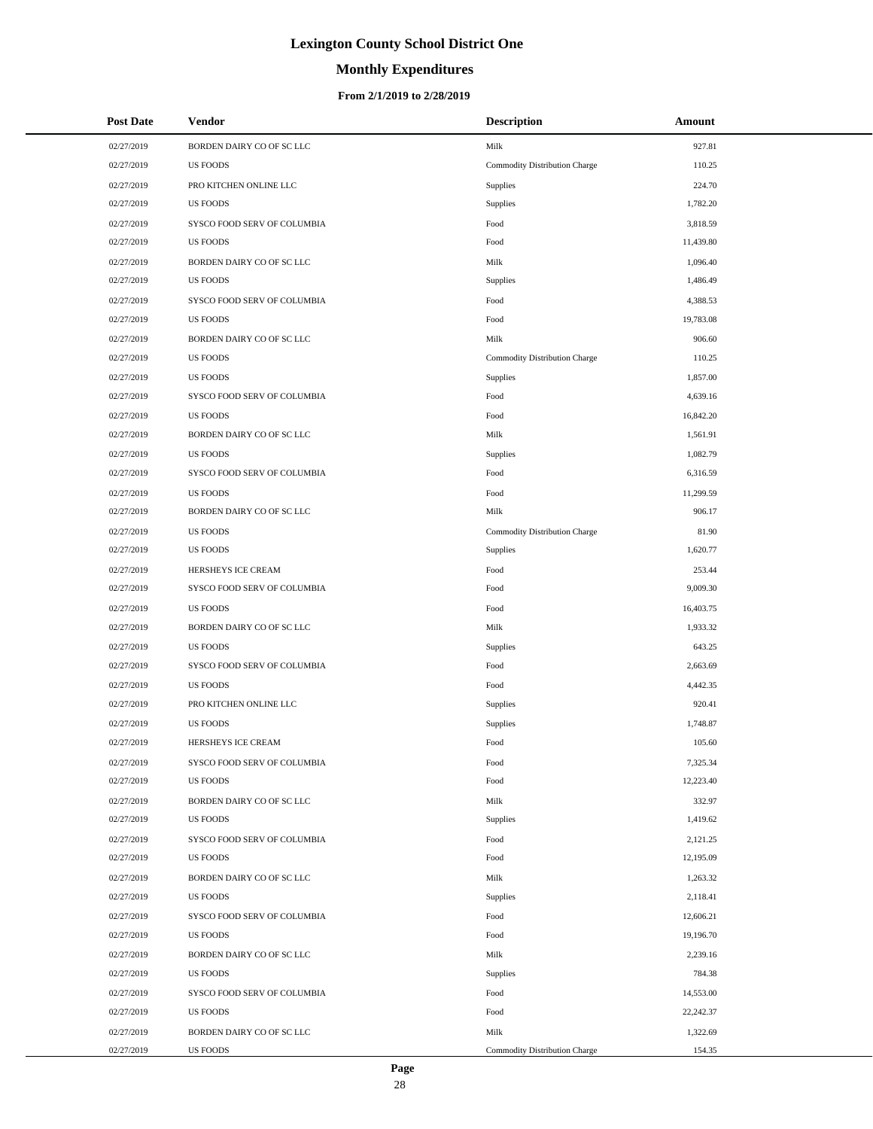# **Monthly Expenditures**

#### **From 2/1/2019 to 2/28/2019**

| <b>Post Date</b> | Vendor                      | <b>Description</b>            | Amount    |
|------------------|-----------------------------|-------------------------------|-----------|
| 02/27/2019       | BORDEN DAIRY CO OF SC LLC   | Milk                          | 927.81    |
| 02/27/2019       | <b>US FOODS</b>             | Commodity Distribution Charge | 110.25    |
| 02/27/2019       | PRO KITCHEN ONLINE LLC      | <b>Supplies</b>               | 224.70    |
| 02/27/2019       | <b>US FOODS</b>             | Supplies                      | 1,782.20  |
| 02/27/2019       | SYSCO FOOD SERV OF COLUMBIA | Food                          | 3,818.59  |
| 02/27/2019       | <b>US FOODS</b>             | Food                          | 11,439.80 |
| 02/27/2019       | BORDEN DAIRY CO OF SC LLC   | Milk                          | 1,096.40  |
| 02/27/2019       | <b>US FOODS</b>             | Supplies                      | 1,486.49  |
| 02/27/2019       | SYSCO FOOD SERV OF COLUMBIA | Food                          | 4,388.53  |
| 02/27/2019       | <b>US FOODS</b>             | Food                          | 19,783.08 |
| 02/27/2019       | BORDEN DAIRY CO OF SC LLC   | Milk                          | 906.60    |
| 02/27/2019       | <b>US FOODS</b>             | Commodity Distribution Charge | 110.25    |
| 02/27/2019       | <b>US FOODS</b>             | Supplies                      | 1,857.00  |
| 02/27/2019       | SYSCO FOOD SERV OF COLUMBIA | Food                          | 4,639.16  |
| 02/27/2019       | <b>US FOODS</b>             | Food                          | 16,842.20 |
| 02/27/2019       | BORDEN DAIRY CO OF SC LLC   | Milk                          | 1,561.91  |
| 02/27/2019       | <b>US FOODS</b>             | Supplies                      | 1,082.79  |
| 02/27/2019       | SYSCO FOOD SERV OF COLUMBIA | Food                          | 6,316.59  |
| 02/27/2019       | <b>US FOODS</b>             | Food                          | 11,299.59 |
| 02/27/2019       | BORDEN DAIRY CO OF SC LLC   | Milk                          | 906.17    |
| 02/27/2019       | <b>US FOODS</b>             | Commodity Distribution Charge | 81.90     |
| 02/27/2019       | <b>US FOODS</b>             | Supplies                      | 1,620.77  |
| 02/27/2019       | HERSHEYS ICE CREAM          | Food                          | 253.44    |
| 02/27/2019       | SYSCO FOOD SERV OF COLUMBIA | Food                          | 9,009.30  |
| 02/27/2019       | <b>US FOODS</b>             | Food                          | 16,403.75 |
| 02/27/2019       | BORDEN DAIRY CO OF SC LLC   | Milk                          | 1,933.32  |
| 02/27/2019       | <b>US FOODS</b>             | Supplies                      | 643.25    |
| 02/27/2019       | SYSCO FOOD SERV OF COLUMBIA | Food                          | 2,663.69  |
| 02/27/2019       | <b>US FOODS</b>             | Food                          | 4,442.35  |
| 02/27/2019       | PRO KITCHEN ONLINE LLC      | Supplies                      | 920.41    |
| 02/27/2019       | <b>US FOODS</b>             | Supplies                      | 1,748.87  |
| 02/27/2019       | HERSHEYS ICE CREAM          | Food                          | 105.60    |
| 02/27/2019       | SYSCO FOOD SERV OF COLUMBIA | Food                          | 7,325.34  |
| 02/27/2019       | <b>US FOODS</b>             | Food                          | 12,223.40 |
| 02/27/2019       | BORDEN DAIRY CO OF SC LLC   | Milk                          | 332.97    |
| 02/27/2019       | <b>US FOODS</b>             | Supplies                      | 1,419.62  |
| 02/27/2019       | SYSCO FOOD SERV OF COLUMBIA | Food                          | 2,121.25  |
| 02/27/2019       | <b>US FOODS</b>             | Food                          | 12,195.09 |
| 02/27/2019       | BORDEN DAIRY CO OF SC LLC   | Milk                          | 1,263.32  |
| 02/27/2019       | <b>US FOODS</b>             | Supplies                      | 2,118.41  |
| 02/27/2019       | SYSCO FOOD SERV OF COLUMBIA | Food                          | 12,606.21 |
| 02/27/2019       | <b>US FOODS</b>             | Food                          | 19,196.70 |
| 02/27/2019       | BORDEN DAIRY CO OF SC LLC   | Milk                          | 2,239.16  |
| 02/27/2019       | <b>US FOODS</b>             | Supplies                      | 784.38    |
| 02/27/2019       | SYSCO FOOD SERV OF COLUMBIA | Food                          | 14,553.00 |
| 02/27/2019       | <b>US FOODS</b>             | Food                          | 22,242.37 |
| 02/27/2019       | BORDEN DAIRY CO OF SC LLC   | Milk                          | 1,322.69  |
| 02/27/2019       | <b>US FOODS</b>             | Commodity Distribution Charge | 154.35    |

L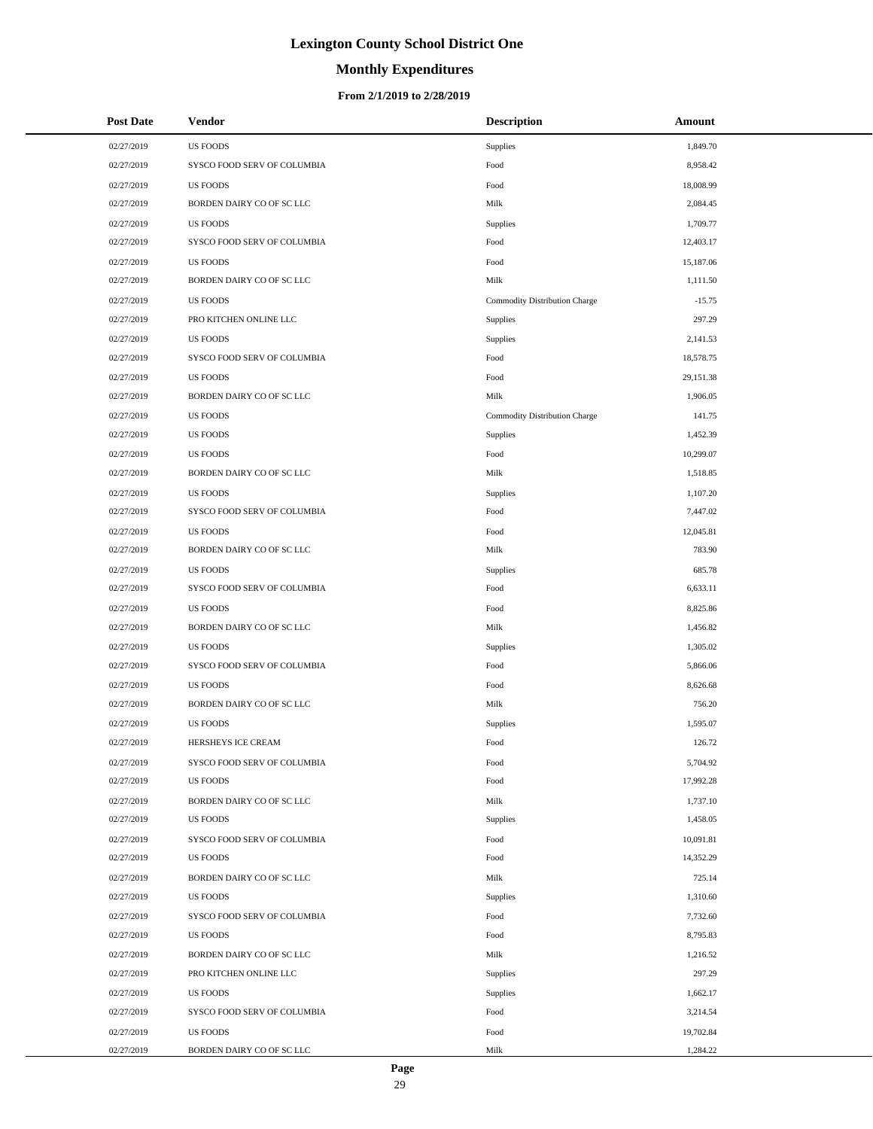# **Monthly Expenditures**

| <b>Post Date</b> | Vendor                      | <b>Description</b>            | Amount    |
|------------------|-----------------------------|-------------------------------|-----------|
| 02/27/2019       | <b>US FOODS</b>             | Supplies                      | 1,849.70  |
| 02/27/2019       | SYSCO FOOD SERV OF COLUMBIA | Food                          | 8,958.42  |
| 02/27/2019       | <b>US FOODS</b>             | Food                          | 18,008.99 |
| 02/27/2019       | BORDEN DAIRY CO OF SC LLC   | Milk                          | 2,084.45  |
| 02/27/2019       | <b>US FOODS</b>             | Supplies                      | 1,709.77  |
| 02/27/2019       | SYSCO FOOD SERV OF COLUMBIA | Food                          | 12,403.17 |
| 02/27/2019       | <b>US FOODS</b>             | Food                          | 15,187.06 |
| 02/27/2019       | BORDEN DAIRY CO OF SC LLC   | Milk                          | 1,111.50  |
| 02/27/2019       | <b>US FOODS</b>             | Commodity Distribution Charge | $-15.75$  |
| 02/27/2019       | PRO KITCHEN ONLINE LLC      | Supplies                      | 297.29    |
| 02/27/2019       | <b>US FOODS</b>             | Supplies                      | 2,141.53  |
| 02/27/2019       | SYSCO FOOD SERV OF COLUMBIA | Food                          | 18,578.75 |
| 02/27/2019       | <b>US FOODS</b>             | Food                          | 29,151.38 |
| 02/27/2019       | BORDEN DAIRY CO OF SC LLC   | Milk                          | 1,906.05  |
| 02/27/2019       | <b>US FOODS</b>             | Commodity Distribution Charge | 141.75    |
| 02/27/2019       | <b>US FOODS</b>             | Supplies                      | 1,452.39  |
| 02/27/2019       | <b>US FOODS</b>             | Food                          | 10,299.07 |
| 02/27/2019       | BORDEN DAIRY CO OF SC LLC   | Milk                          | 1,518.85  |
| 02/27/2019       | <b>US FOODS</b>             | Supplies                      | 1,107.20  |
| 02/27/2019       | SYSCO FOOD SERV OF COLUMBIA | Food                          | 7,447.02  |
| 02/27/2019       | <b>US FOODS</b>             | Food                          | 12,045.81 |
| 02/27/2019       | BORDEN DAIRY CO OF SC LLC   | Milk                          | 783.90    |
| 02/27/2019       | <b>US FOODS</b>             | Supplies                      | 685.78    |
| 02/27/2019       | SYSCO FOOD SERV OF COLUMBIA | Food                          | 6,633.11  |
| 02/27/2019       | <b>US FOODS</b>             | Food                          | 8,825.86  |
| 02/27/2019       | BORDEN DAIRY CO OF SC LLC   | Milk                          | 1,456.82  |
| 02/27/2019       | <b>US FOODS</b>             | Supplies                      | 1,305.02  |
| 02/27/2019       | SYSCO FOOD SERV OF COLUMBIA | Food                          | 5,866.06  |
| 02/27/2019       | <b>US FOODS</b>             | Food                          | 8,626.68  |
| 02/27/2019       | BORDEN DAIRY CO OF SC LLC   | Milk                          | 756.20    |
| 02/27/2019       | <b>US FOODS</b>             | Supplies                      | 1,595.07  |
| 02/27/2019       | HERSHEYS ICE CREAM          | Food                          | 126.72    |
| 02/27/2019       | SYSCO FOOD SERV OF COLUMBIA | Food                          | 5,704.92  |
| 02/27/2019       | <b>US FOODS</b>             | Food                          | 17,992.28 |
| 02/27/2019       | BORDEN DAIRY CO OF SC LLC   | Milk                          | 1,737.10  |
| 02/27/2019       | <b>US FOODS</b>             | Supplies                      | 1,458.05  |
| 02/27/2019       | SYSCO FOOD SERV OF COLUMBIA | Food                          | 10,091.81 |
| 02/27/2019       | <b>US FOODS</b>             | Food                          | 14,352.29 |
| 02/27/2019       | BORDEN DAIRY CO OF SC LLC   | Milk                          | 725.14    |
| 02/27/2019       | <b>US FOODS</b>             | Supplies                      | 1,310.60  |
| 02/27/2019       | SYSCO FOOD SERV OF COLUMBIA | Food                          | 7,732.60  |
| 02/27/2019       | <b>US FOODS</b>             | Food                          | 8,795.83  |
| 02/27/2019       | BORDEN DAIRY CO OF SC LLC   | Milk                          | 1,216.52  |
| 02/27/2019       | PRO KITCHEN ONLINE LLC      | Supplies                      | 297.29    |
| 02/27/2019       | <b>US FOODS</b>             | Supplies                      | 1,662.17  |
| 02/27/2019       | SYSCO FOOD SERV OF COLUMBIA | Food                          | 3,214.54  |
| 02/27/2019       | <b>US FOODS</b>             | Food                          | 19,702.84 |
| 02/27/2019       | BORDEN DAIRY CO OF SC LLC   | Milk                          | 1,284.22  |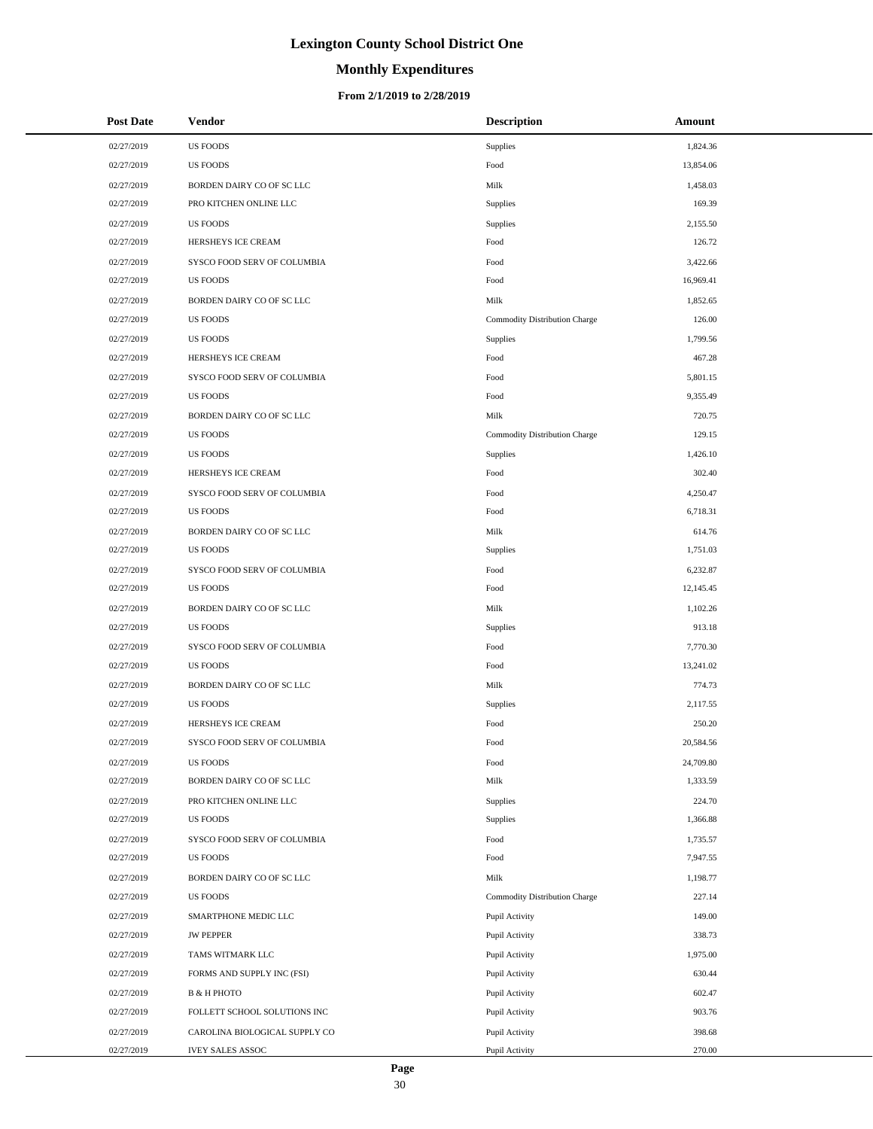# **Monthly Expenditures**

| <b>Post Date</b> | Vendor                             | <b>Description</b>            | Amount    |
|------------------|------------------------------------|-------------------------------|-----------|
| 02/27/2019       | <b>US FOODS</b>                    | Supplies                      | 1,824.36  |
| 02/27/2019       | <b>US FOODS</b>                    | Food                          | 13,854.06 |
| 02/27/2019       | BORDEN DAIRY CO OF SC LLC          | Milk                          | 1,458.03  |
| 02/27/2019       | PRO KITCHEN ONLINE LLC             | Supplies                      | 169.39    |
| 02/27/2019       | <b>US FOODS</b>                    | Supplies                      | 2,155.50  |
| 02/27/2019       | HERSHEYS ICE CREAM                 | Food                          | 126.72    |
| 02/27/2019       | <b>SYSCO FOOD SERV OF COLUMBIA</b> | Food                          | 3,422.66  |
| 02/27/2019       | <b>US FOODS</b>                    | Food                          | 16,969.41 |
| 02/27/2019       | BORDEN DAIRY CO OF SC LLC          | Milk                          | 1,852.65  |
| 02/27/2019       | <b>US FOODS</b>                    | Commodity Distribution Charge | 126.00    |
| 02/27/2019       | <b>US FOODS</b>                    | Supplies                      | 1,799.56  |
| 02/27/2019       | HERSHEYS ICE CREAM                 | Food                          | 467.28    |
| 02/27/2019       | SYSCO FOOD SERV OF COLUMBIA        | Food                          | 5,801.15  |
| 02/27/2019       | <b>US FOODS</b>                    | Food                          | 9,355.49  |
| 02/27/2019       | BORDEN DAIRY CO OF SC LLC          | Milk                          | 720.75    |
| 02/27/2019       | <b>US FOODS</b>                    | Commodity Distribution Charge | 129.15    |
| 02/27/2019       | <b>US FOODS</b>                    | Supplies                      | 1,426.10  |
| 02/27/2019       | HERSHEYS ICE CREAM                 | Food                          | 302.40    |
| 02/27/2019       | SYSCO FOOD SERV OF COLUMBIA        | Food                          | 4,250.47  |
| 02/27/2019       | <b>US FOODS</b>                    | Food                          | 6,718.31  |
| 02/27/2019       | BORDEN DAIRY CO OF SC LLC          | Milk                          | 614.76    |
| 02/27/2019       | <b>US FOODS</b>                    | Supplies                      | 1,751.03  |
| 02/27/2019       | SYSCO FOOD SERV OF COLUMBIA        | Food                          | 6,232.87  |
| 02/27/2019       | <b>US FOODS</b>                    | Food                          | 12,145.45 |
| 02/27/2019       | BORDEN DAIRY CO OF SC LLC          | Milk                          | 1,102.26  |
| 02/27/2019       | <b>US FOODS</b>                    | Supplies                      | 913.18    |
| 02/27/2019       | SYSCO FOOD SERV OF COLUMBIA        | Food                          | 7,770.30  |
| 02/27/2019       | <b>US FOODS</b>                    | Food                          | 13,241.02 |
| 02/27/2019       | BORDEN DAIRY CO OF SC LLC          | Milk                          | 774.73    |
| 02/27/2019       | <b>US FOODS</b>                    | Supplies                      | 2,117.55  |
| 02/27/2019       | HERSHEYS ICE CREAM                 | Food                          | 250.20    |
| 02/27/2019       | SYSCO FOOD SERV OF COLUMBIA        | Food                          | 20,584.56 |
| 02/27/2019       | <b>US FOODS</b>                    | Food                          | 24,709.80 |
| 02/27/2019       | BORDEN DAIRY CO OF SC LLC          | Milk                          | 1,333.59  |
| 02/27/2019       | PRO KITCHEN ONLINE LLC             | Supplies                      | 224.70    |
| 02/27/2019       | <b>US FOODS</b>                    | Supplies                      | 1,366.88  |
| 02/27/2019       | SYSCO FOOD SERV OF COLUMBIA        | Food                          | 1,735.57  |
| 02/27/2019       | <b>US FOODS</b>                    | Food                          | 7,947.55  |
| 02/27/2019       | BORDEN DAIRY CO OF SC LLC          | Milk                          | 1,198.77  |
| 02/27/2019       | <b>US FOODS</b>                    | Commodity Distribution Charge | 227.14    |
| 02/27/2019       | SMARTPHONE MEDIC LLC               | Pupil Activity                | 149.00    |
| 02/27/2019       | <b>JW PEPPER</b>                   | Pupil Activity                | 338.73    |
| 02/27/2019       | TAMS WITMARK LLC                   | Pupil Activity                | 1,975.00  |
| 02/27/2019       | FORMS AND SUPPLY INC (FSI)         | Pupil Activity                | 630.44    |
| 02/27/2019       | <b>B &amp; H PHOTO</b>             | Pupil Activity                | 602.47    |
| 02/27/2019       | FOLLETT SCHOOL SOLUTIONS INC       | Pupil Activity                | 903.76    |
| 02/27/2019       | CAROLINA BIOLOGICAL SUPPLY CO      | Pupil Activity                | 398.68    |
| 02/27/2019       | <b>IVEY SALES ASSOC</b>            | Pupil Activity                | 270.00    |